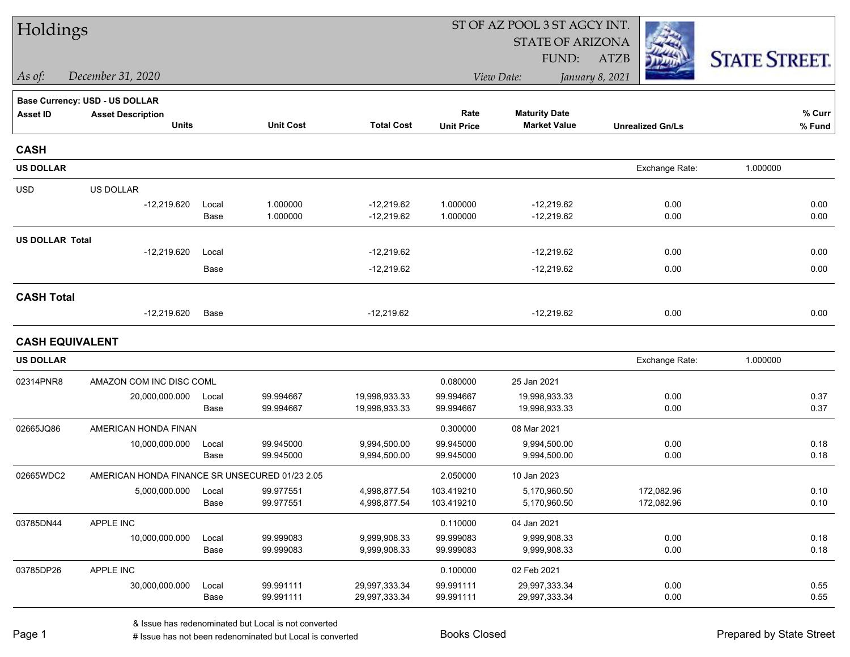| Holdings               |                                                |       |                  |                   | ST OF AZ POOL 3 ST AGCY INT. |                         |                         |                      |
|------------------------|------------------------------------------------|-------|------------------|-------------------|------------------------------|-------------------------|-------------------------|----------------------|
|                        |                                                |       |                  |                   |                              | <b>STATE OF ARIZONA</b> |                         |                      |
|                        |                                                |       |                  |                   |                              | FUND:                   | <b>ATZB</b>             | <b>STATE STREET.</b> |
| As of:                 | December 31, 2020                              |       |                  |                   |                              | View Date:              | January 8, 2021         |                      |
|                        | Base Currency: USD - US DOLLAR                 |       |                  |                   |                              |                         |                         |                      |
| <b>Asset ID</b>        | <b>Asset Description</b>                       |       |                  |                   | Rate                         | <b>Maturity Date</b>    |                         | % Curr               |
|                        | <b>Units</b>                                   |       | <b>Unit Cost</b> | <b>Total Cost</b> | <b>Unit Price</b>            | <b>Market Value</b>     | <b>Unrealized Gn/Ls</b> | % Fund               |
| <b>CASH</b>            |                                                |       |                  |                   |                              |                         |                         |                      |
| <b>US DOLLAR</b>       |                                                |       |                  |                   |                              |                         | Exchange Rate:          | 1.000000             |
| <b>USD</b>             | US DOLLAR                                      |       |                  |                   |                              |                         |                         |                      |
|                        | $-12,219.620$                                  | Local | 1.000000         | $-12,219.62$      | 1.000000                     | $-12,219.62$            | 0.00                    | 0.00                 |
|                        |                                                | Base  | 1.000000         | $-12,219.62$      | 1.000000                     | $-12,219.62$            | 0.00                    | 0.00                 |
| <b>US DOLLAR Total</b> |                                                |       |                  |                   |                              |                         |                         |                      |
|                        | $-12,219.620$                                  | Local |                  | $-12,219.62$      |                              | $-12,219.62$            | 0.00                    | 0.00                 |
|                        |                                                | Base  |                  | $-12,219.62$      |                              | $-12,219.62$            | 0.00                    | 0.00                 |
| <b>CASH Total</b>      |                                                |       |                  |                   |                              |                         |                         |                      |
|                        | $-12,219.620$                                  | Base  |                  | $-12,219.62$      |                              | $-12,219.62$            | 0.00                    | 0.00                 |
| <b>CASH EQUIVALENT</b> |                                                |       |                  |                   |                              |                         |                         |                      |
| <b>US DOLLAR</b>       |                                                |       |                  |                   |                              |                         | Exchange Rate:          | 1.000000             |
| 02314PNR8              | AMAZON COM INC DISC COML                       |       |                  |                   | 0.080000                     | 25 Jan 2021             |                         |                      |
|                        | 20,000,000.000                                 | Local | 99.994667        | 19,998,933.33     | 99.994667                    | 19,998,933.33           | 0.00                    | 0.37                 |
|                        |                                                | Base  | 99.994667        | 19,998,933.33     | 99.994667                    | 19,998,933.33           | 0.00                    | 0.37                 |
| 02665JQ86              | AMERICAN HONDA FINAN                           |       |                  |                   | 0.300000                     | 08 Mar 2021             |                         |                      |
|                        | 10,000,000.000                                 | Local | 99.945000        | 9,994,500.00      | 99.945000                    | 9,994,500.00            | 0.00                    | 0.18                 |
|                        |                                                | Base  | 99.945000        | 9,994,500.00      | 99.945000                    | 9,994,500.00            | 0.00                    | 0.18                 |
| 02665WDC2              | AMERICAN HONDA FINANCE SR UNSECURED 01/23 2.05 |       |                  |                   | 2.050000                     | 10 Jan 2023             |                         |                      |
|                        | 5,000,000.000                                  | Local | 99.977551        | 4,998,877.54      | 103.419210                   | 5,170,960.50            | 172,082.96              | 0.10                 |
|                        |                                                | Base  | 99.977551        | 4,998,877.54      | 103.419210                   | 5,170,960.50            | 172,082.96              | 0.10                 |
| 03785DN44              | APPLE INC                                      |       |                  |                   | 0.110000                     | 04 Jan 2021             |                         |                      |
|                        | 10,000,000.000                                 | Local | 99.999083        | 9,999,908.33      | 99.999083                    | 9,999,908.33            | 0.00                    | 0.18                 |
|                        |                                                | Base  | 99.999083        | 9,999,908.33      | 99.999083                    | 9,999,908.33            | 0.00                    | 0.18                 |
| 03785DP26              | APPLE INC                                      |       |                  |                   | 0.100000                     | 02 Feb 2021             |                         |                      |
|                        | 30,000,000.000                                 | Local | 99.991111        | 29,997,333.34     | 99.991111                    | 29,997,333.34           | 0.00                    | 0.55                 |
|                        |                                                | Base  | 99.991111        | 29,997,333.34     | 99.991111                    | 29,997,333.34           | 0.00                    | 0.55                 |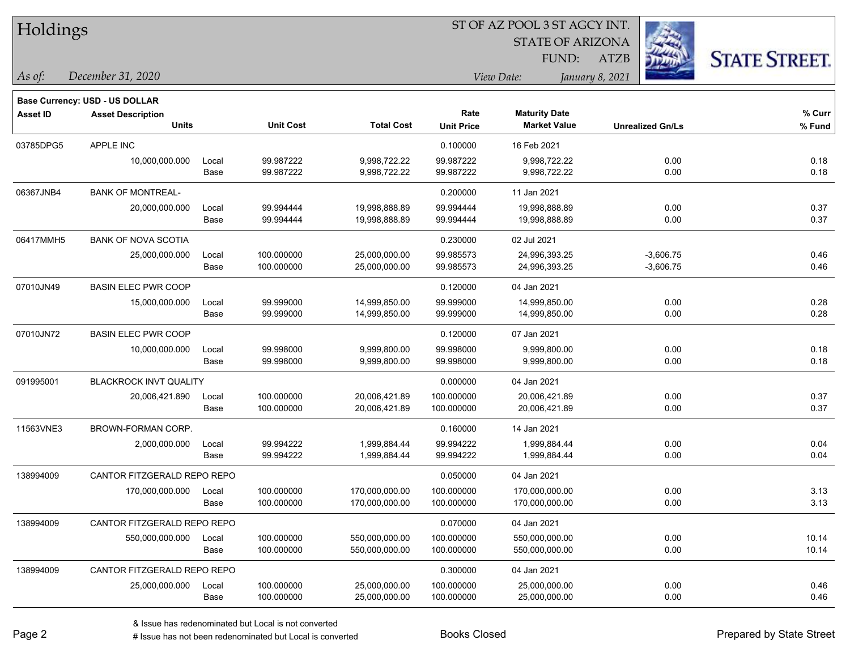|  | Holdings |
|--|----------|
|--|----------|

STATE OF ARIZONA FUND:



*December 31, 2020 As of: View Date: January 8, 2021*

**Base Currency: USD - US DOLLAR**

ATZB

| Asset ID  | <b>Asset Description</b>      |       |                  |                   | Rate                                     | <b>Maturity Date</b> |                         | % Curr |
|-----------|-------------------------------|-------|------------------|-------------------|------------------------------------------|----------------------|-------------------------|--------|
|           | <b>Units</b>                  |       | <b>Unit Cost</b> | <b>Total Cost</b> | <b>Market Value</b><br><b>Unit Price</b> |                      | <b>Unrealized Gn/Ls</b> | % Fund |
| 03785DPG5 | <b>APPLE INC</b>              |       |                  |                   | 0.100000                                 | 16 Feb 2021          |                         |        |
|           | 10,000,000.000                | Local | 99.987222        | 9,998,722.22      | 99.987222                                | 9,998,722.22         | 0.00                    | 0.18   |
|           |                               | Base  | 99.987222        | 9,998,722.22      | 99.987222                                | 9,998,722.22         | 0.00                    | 0.18   |
| 06367JNB4 | <b>BANK OF MONTREAL-</b>      |       |                  |                   | 0.200000                                 | 11 Jan 2021          |                         |        |
|           | 20,000,000.000                | Local | 99.994444        | 19,998,888.89     | 99.994444                                | 19,998,888.89        | 0.00                    | 0.37   |
|           |                               | Base  | 99.994444        | 19,998,888.89     | 99.994444                                | 19,998,888.89        | 0.00                    | 0.37   |
| 06417MMH5 | <b>BANK OF NOVA SCOTIA</b>    |       |                  |                   | 0.230000                                 | 02 Jul 2021          |                         |        |
|           | 25,000,000.000                | Local | 100.000000       | 25,000,000.00     | 99.985573                                | 24,996,393.25        | $-3,606.75$             | 0.46   |
|           |                               | Base  | 100.000000       | 25,000,000.00     | 99.985573                                | 24,996,393.25        | $-3,606.75$             | 0.46   |
| 07010JN49 | <b>BASIN ELEC PWR COOP</b>    |       |                  |                   | 0.120000                                 | 04 Jan 2021          |                         |        |
|           | 15,000,000.000                | Local | 99.999000        | 14,999,850.00     | 99.999000                                | 14,999,850.00        | 0.00                    | 0.28   |
|           |                               | Base  | 99.999000        | 14,999,850.00     | 99.999000                                | 14,999,850.00        | 0.00                    | 0.28   |
| 07010JN72 | <b>BASIN ELEC PWR COOP</b>    |       |                  |                   | 0.120000                                 | 07 Jan 2021          |                         |        |
|           | 10,000,000.000                | Local | 99.998000        | 9,999,800.00      | 99.998000                                | 9,999,800.00         | 0.00                    | 0.18   |
|           |                               | Base  | 99.998000        | 9,999,800.00      | 99.998000                                | 9,999,800.00         | 0.00                    | 0.18   |
| 091995001 | <b>BLACKROCK INVT QUALITY</b> |       |                  |                   | 0.000000                                 | 04 Jan 2021          |                         |        |
|           | 20,006,421.890                | Local | 100.000000       | 20,006,421.89     | 100.000000                               | 20,006,421.89        | 0.00                    | 0.37   |
|           |                               | Base  | 100.000000       | 20,006,421.89     | 100.000000                               | 20,006,421.89        | 0.00                    | 0.37   |
| 11563VNE3 | BROWN-FORMAN CORP.            |       |                  |                   | 0.160000                                 | 14 Jan 2021          |                         |        |
|           | 2,000,000.000                 | Local | 99.994222        | 1,999,884.44      | 99.994222                                | 1,999,884.44         | 0.00                    | 0.04   |
|           |                               | Base  | 99.994222        | 1,999,884.44      | 99.994222                                | 1,999,884.44         | 0.00                    | 0.04   |
| 138994009 | CANTOR FITZGERALD REPO REPO   |       |                  |                   | 0.050000                                 | 04 Jan 2021          |                         |        |
|           | 170,000,000.000               | Local | 100.000000       | 170,000,000.00    | 100.000000                               | 170,000,000.00       | 0.00                    | 3.13   |
|           |                               | Base  | 100.000000       | 170,000,000.00    | 100.000000                               | 170,000,000.00       | 0.00                    | 3.13   |
| 138994009 | CANTOR FITZGERALD REPO REPO   |       |                  |                   | 0.070000                                 | 04 Jan 2021          |                         |        |
|           | 550,000,000.000               | Local | 100.000000       | 550,000,000.00    | 100.000000                               | 550,000,000.00       | 0.00                    | 10.14  |
|           |                               | Base  | 100.000000       | 550,000,000.00    | 100.000000                               | 550,000,000.00       | 0.00                    | 10.14  |
| 138994009 | CANTOR FITZGERALD REPO REPO   |       |                  |                   | 0.300000                                 | 04 Jan 2021          |                         |        |
|           | 25,000,000.000                | Local | 100.000000       | 25,000,000.00     | 100.000000                               | 25,000,000.00        | 0.00                    | 0.46   |
|           |                               | Base  | 100.000000       | 25,000,000.00     | 100.000000                               | 25,000,000.00        | 0.00                    | 0.46   |

A ISSUE ISSUE ISSUE ISSUE ISSUE ISSUE ISSUE ISSUE ISSUE ISSUE ISSUE ISSUE ISSUE ISSUE ISSUE ISSUE ISSUE ISSUE I<br>
# Issue has not been redenominated but Local is converted **BOOKS** Closed **Prepared by State Street**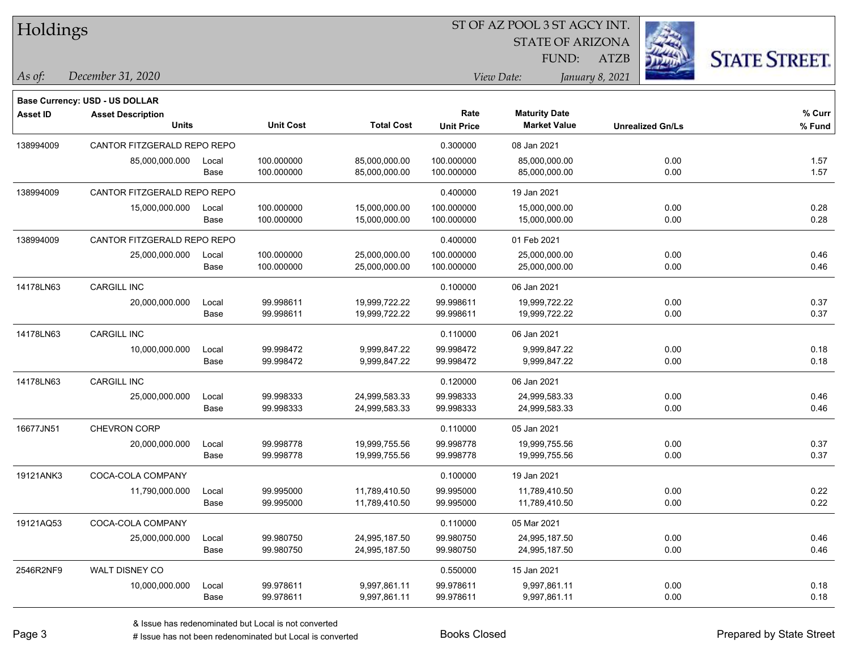|  | Holdings |
|--|----------|
|--|----------|

STATE OF ARIZONA FUND:



*December 31, 2020 As of: View Date: January 8, 2021*

**Base Currency: USD - US DOLLAR**

| Asset ID  | <b>Asset Description</b>    |       |                  |                   | Rate              | <b>Maturity Date</b> |                         | % Curr |
|-----------|-----------------------------|-------|------------------|-------------------|-------------------|----------------------|-------------------------|--------|
|           | <b>Units</b>                |       | <b>Unit Cost</b> | <b>Total Cost</b> | <b>Unit Price</b> | <b>Market Value</b>  | <b>Unrealized Gn/Ls</b> | % Fund |
| 138994009 | CANTOR FITZGERALD REPO REPO |       |                  |                   | 0.300000          | 08 Jan 2021          |                         |        |
|           | 85,000,000.000              | Local | 100.000000       | 85,000,000.00     | 100.000000        | 85,000,000.00        | 0.00                    | 1.57   |
|           |                             | Base  | 100.000000       | 85,000,000.00     | 100.000000        | 85,000,000.00        | 0.00                    | 1.57   |
| 138994009 | CANTOR FITZGERALD REPO REPO |       |                  |                   | 0.400000          | 19 Jan 2021          |                         |        |
|           | 15,000,000.000              | Local | 100.000000       | 15,000,000.00     | 100.000000        | 15,000,000.00        | 0.00                    | 0.28   |
|           |                             | Base  | 100.000000       | 15,000,000.00     | 100.000000        | 15,000,000.00        | 0.00                    | 0.28   |
| 138994009 | CANTOR FITZGERALD REPO REPO |       |                  |                   | 0.400000          | 01 Feb 2021          |                         |        |
|           | 25,000,000.000              | Local | 100.000000       | 25,000,000.00     | 100.000000        | 25,000,000.00        | 0.00                    | 0.46   |
|           |                             | Base  | 100.000000       | 25,000,000.00     | 100.000000        | 25,000,000.00        | 0.00                    | 0.46   |
| 14178LN63 | CARGILL INC                 |       |                  |                   | 0.100000          | 06 Jan 2021          |                         |        |
|           | 20,000,000.000              | Local | 99.998611        | 19,999,722.22     | 99.998611         | 19,999,722.22        | 0.00                    | 0.37   |
|           |                             | Base  | 99.998611        | 19,999,722.22     | 99.998611         | 19,999,722.22        | 0.00                    | 0.37   |
| 14178LN63 | CARGILL INC                 |       |                  |                   | 0.110000          | 06 Jan 2021          |                         |        |
|           | 10,000,000.000              | Local | 99.998472        | 9,999,847.22      | 99.998472         | 9,999,847.22         | 0.00                    | 0.18   |
|           |                             | Base  | 99.998472        | 9,999,847.22      | 99.998472         | 9,999,847.22         | 0.00                    | 0.18   |
| 14178LN63 | <b>CARGILL INC</b>          |       |                  |                   | 0.120000          | 06 Jan 2021          |                         |        |
|           | 25,000,000.000              | Local | 99.998333        | 24,999,583.33     | 99.998333         | 24,999,583.33        | 0.00                    | 0.46   |
|           |                             | Base  | 99.998333        | 24,999,583.33     | 99.998333         | 24,999,583.33        | 0.00                    | 0.46   |
| 16677JN51 | <b>CHEVRON CORP</b>         |       |                  |                   | 0.110000          | 05 Jan 2021          |                         |        |
|           | 20,000,000.000              | Local | 99.998778        | 19,999,755.56     | 99.998778         | 19,999,755.56        | 0.00                    | 0.37   |
|           |                             | Base  | 99.998778        | 19,999,755.56     | 99.998778         | 19,999,755.56        | 0.00                    | 0.37   |
| 19121ANK3 | COCA-COLA COMPANY           |       |                  |                   | 0.100000          | 19 Jan 2021          |                         |        |
|           | 11,790,000.000              | Local | 99.995000        | 11,789,410.50     | 99.995000         | 11,789,410.50        | 0.00                    | 0.22   |
|           |                             | Base  | 99.995000        | 11,789,410.50     | 99.995000         | 11,789,410.50        | 0.00                    | 0.22   |
| 19121AQ53 | COCA-COLA COMPANY           |       |                  |                   | 0.110000          | 05 Mar 2021          |                         |        |
|           | 25,000,000.000              | Local | 99.980750        | 24,995,187.50     | 99.980750         | 24,995,187.50        | 0.00                    | 0.46   |
|           |                             | Base  | 99.980750        | 24,995,187.50     | 99.980750         | 24,995,187.50        | 0.00                    | 0.46   |
| 2546R2NF9 | WALT DISNEY CO              |       |                  |                   | 0.550000          | 15 Jan 2021          |                         |        |
|           | 10,000,000.000              | Local | 99.978611        | 9,997,861.11      | 99.978611         | 9,997,861.11         | 0.00                    | 0.18   |
|           |                             | Base  | 99.978611        | 9,997,861.11      | 99.978611         | 9,997,861.11         | 0.00                    | 0.18   |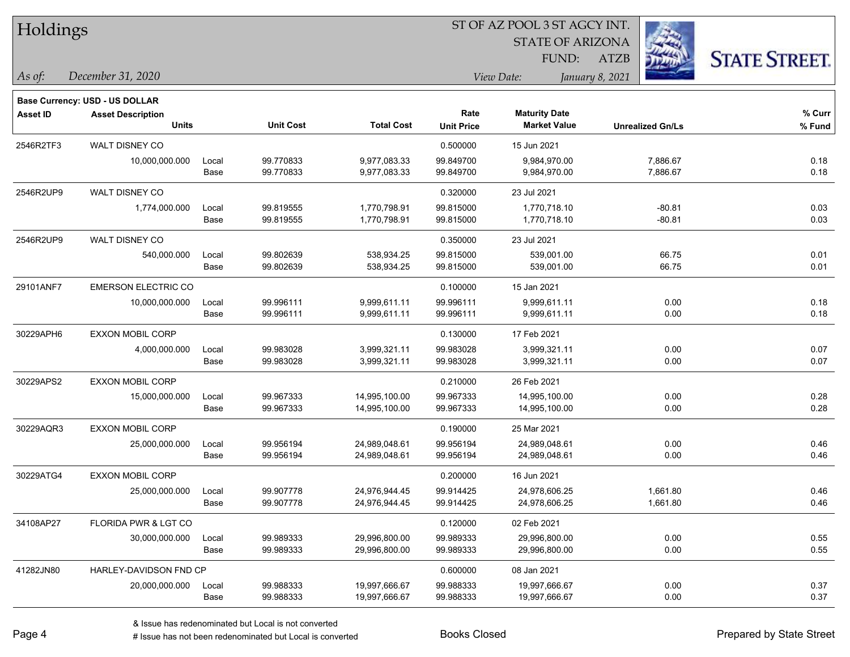| Holdings |  |  |
|----------|--|--|
|          |  |  |

STATE OF ARIZONA FUND:



*December 31, 2020 As of: View Date: January 8, 2021*

**Base Currency: USD - US DOLLAR**

ATZB

| Asset ID  | <b>Asset Description</b><br><b>Units</b> |               | <b>Unit Cost</b>       | <b>Total Cost</b>            | Rate<br><b>Unit Price</b> | <b>Maturity Date</b><br><b>Market Value</b> | <b>Unrealized Gn/Ls</b> | % Curr<br>% Fund |
|-----------|------------------------------------------|---------------|------------------------|------------------------------|---------------------------|---------------------------------------------|-------------------------|------------------|
| 2546R2TF3 | <b>WALT DISNEY CO</b>                    |               |                        |                              | 0.500000                  | 15 Jun 2021                                 |                         |                  |
|           | 10,000,000.000                           | Local<br>Base | 99.770833<br>99.770833 | 9,977,083.33<br>9,977,083.33 | 99.849700<br>99.849700    | 9,984,970.00<br>9,984,970.00                | 7,886.67<br>7,886.67    | 0.18<br>0.18     |
| 2546R2UP9 | WALT DISNEY CO                           |               |                        |                              | 0.320000                  | 23 Jul 2021                                 |                         |                  |
|           | 1,774,000.000                            | Local         | 99.819555              | 1,770,798.91                 | 99.815000                 | 1,770,718.10                                | $-80.81$                | 0.03             |
|           |                                          | Base          | 99.819555              | 1,770,798.91                 | 99.815000                 | 1,770,718.10                                | $-80.81$                | 0.03             |
| 2546R2UP9 | WALT DISNEY CO                           |               |                        |                              | 0.350000                  | 23 Jul 2021                                 |                         |                  |
|           | 540,000.000                              | Local         | 99.802639              | 538,934.25                   | 99.815000                 | 539,001.00                                  | 66.75                   | 0.01             |
|           |                                          | Base          | 99.802639              | 538,934.25                   | 99.815000                 | 539,001.00                                  | 66.75                   | 0.01             |
| 29101ANF7 | <b>EMERSON ELECTRIC CO</b>               |               |                        |                              | 0.100000                  | 15 Jan 2021                                 |                         |                  |
|           | 10,000,000.000                           | Local         | 99.996111              | 9,999,611.11                 | 99.996111                 | 9,999,611.11                                | 0.00                    | 0.18             |
|           |                                          | Base          | 99.996111              | 9,999,611.11                 | 99.996111                 | 9,999,611.11                                | 0.00                    | 0.18             |
| 30229APH6 | <b>EXXON MOBIL CORP</b>                  |               |                        |                              | 0.130000                  | 17 Feb 2021                                 |                         |                  |
|           | 4,000,000.000                            | Local         | 99.983028              | 3,999,321.11                 | 99.983028                 | 3,999,321.11                                | 0.00                    | 0.07             |
|           |                                          | Base          | 99.983028              | 3,999,321.11                 | 99.983028                 | 3,999,321.11                                | 0.00                    | 0.07             |
| 30229APS2 | <b>EXXON MOBIL CORP</b>                  |               |                        |                              | 0.210000                  | 26 Feb 2021                                 |                         |                  |
|           | 15,000,000.000                           | Local         | 99.967333              | 14,995,100.00                | 99.967333                 | 14,995,100.00                               | 0.00                    | 0.28             |
|           |                                          | Base          | 99.967333              | 14,995,100.00                | 99.967333                 | 14,995,100.00                               | 0.00                    | 0.28             |
| 30229AQR3 | <b>EXXON MOBIL CORP</b>                  |               |                        |                              | 0.190000                  | 25 Mar 2021                                 |                         |                  |
|           | 25,000,000.000                           | Local         | 99.956194              | 24,989,048.61                | 99.956194                 | 24,989,048.61                               | 0.00                    | 0.46             |
|           |                                          | Base          | 99.956194              | 24,989,048.61                | 99.956194                 | 24,989,048.61                               | 0.00                    | 0.46             |
| 30229ATG4 | <b>EXXON MOBIL CORP</b>                  |               |                        |                              | 0.200000                  | 16 Jun 2021                                 |                         |                  |
|           | 25,000,000.000                           | Local         | 99.907778              | 24,976,944.45                | 99.914425                 | 24,978,606.25                               | 1,661.80                | 0.46             |
|           |                                          | Base          | 99.907778              | 24,976,944.45                | 99.914425                 | 24,978,606.25                               | 1,661.80                | 0.46             |
| 34108AP27 | FLORIDA PWR & LGT CO                     |               |                        |                              | 0.120000                  | 02 Feb 2021                                 |                         |                  |
|           | 30,000,000.000                           | Local         | 99.989333              | 29,996,800.00                | 99.989333                 | 29,996,800.00                               | 0.00                    | 0.55             |
|           |                                          | Base          | 99.989333              | 29,996,800.00                | 99.989333                 | 29,996,800.00                               | 0.00                    | 0.55             |
| 41282JN80 | HARLEY-DAVIDSON FND CP                   |               |                        |                              | 0.600000                  | 08 Jan 2021                                 |                         |                  |
|           | 20,000,000.000                           | Local         | 99.988333              | 19,997,666.67                | 99.988333                 | 19,997,666.67                               | 0.00                    | 0.37             |
|           |                                          | Base          | 99.988333              | 19,997,666.67                | 99.988333                 | 19,997,666.67                               | 0.00                    | 0.37             |

 $\overline{\phantom{0}}$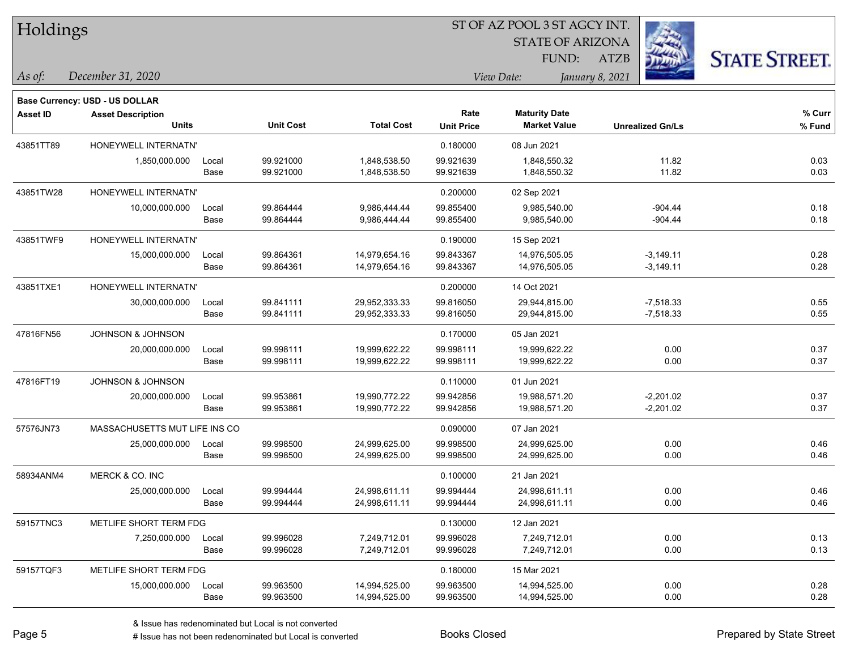| Holdings        |                                |       |                  |                   | ST OF AZ POOL 3 ST AGCY INT. |                         |                         |                      |  |  |
|-----------------|--------------------------------|-------|------------------|-------------------|------------------------------|-------------------------|-------------------------|----------------------|--|--|
|                 |                                |       |                  |                   |                              | <b>STATE OF ARIZONA</b> |                         |                      |  |  |
|                 |                                |       |                  |                   |                              | FUND:                   | <b>ATZB</b>             | <b>STATE STREET.</b> |  |  |
| As of:          | December 31, 2020              |       |                  |                   |                              | View Date:              | January 8, 2021         |                      |  |  |
|                 | Base Currency: USD - US DOLLAR |       |                  |                   |                              |                         |                         |                      |  |  |
| <b>Asset ID</b> | <b>Asset Description</b>       |       |                  |                   | Rate                         | <b>Maturity Date</b>    |                         | % Curr               |  |  |
|                 | <b>Units</b>                   |       | <b>Unit Cost</b> | <b>Total Cost</b> | <b>Unit Price</b>            | <b>Market Value</b>     | <b>Unrealized Gn/Ls</b> | % Fund               |  |  |
| 43851TT89       | HONEYWELL INTERNATN'           |       |                  |                   | 0.180000                     | 08 Jun 2021             |                         |                      |  |  |
|                 | 1,850,000.000                  | Local | 99.921000        | 1,848,538.50      | 99.921639                    | 1,848,550.32            | 11.82                   | 0.03                 |  |  |
|                 |                                | Base  | 99.921000        | 1,848,538.50      | 99.921639                    | 1,848,550.32            | 11.82                   | 0.03                 |  |  |
| 43851TW28       | HONEYWELL INTERNATN'           |       |                  |                   | 0.200000                     | 02 Sep 2021             |                         |                      |  |  |
|                 | 10,000,000.000                 | Local | 99.864444        | 9,986,444.44      | 99.855400                    | 9,985,540.00            | $-904.44$               | 0.18                 |  |  |
|                 |                                | Base  | 99.864444        | 9,986,444.44      | 99.855400                    | 9,985,540.00            | $-904.44$               | 0.18                 |  |  |
| 43851TWF9       | HONEYWELL INTERNATN'           |       |                  |                   | 0.190000                     | 15 Sep 2021             |                         |                      |  |  |
|                 | 15,000,000.000                 | Local | 99.864361        | 14,979,654.16     | 99.843367                    | 14,976,505.05           | $-3,149.11$             | 0.28                 |  |  |
|                 |                                | Base  | 99.864361        | 14,979,654.16     | 99.843367                    | 14,976,505.05           | $-3,149.11$             | 0.28                 |  |  |
| 43851TXE1       | HONEYWELL INTERNATN'           |       |                  |                   | 0.200000                     | 14 Oct 2021             |                         |                      |  |  |
|                 | 30,000,000.000                 | Local | 99.841111        | 29,952,333.33     | 99.816050                    | 29,944,815.00           | $-7,518.33$             | 0.55                 |  |  |
|                 |                                | Base  | 99.841111        | 29,952,333.33     | 99.816050                    | 29,944,815.00           | $-7,518.33$             | 0.55                 |  |  |
| 47816FN56       | JOHNSON & JOHNSON              |       |                  |                   | 0.170000                     | 05 Jan 2021             |                         |                      |  |  |
|                 | 20,000,000.000                 | Local | 99.998111        | 19,999,622.22     | 99.998111                    | 19,999,622.22           | 0.00                    | 0.37                 |  |  |
|                 |                                | Base  | 99.998111        | 19,999,622.22     | 99.998111                    | 19,999,622.22           | 0.00                    | 0.37                 |  |  |
| 47816FT19       | JOHNSON & JOHNSON              |       |                  |                   | 0.110000                     | 01 Jun 2021             |                         |                      |  |  |
|                 | 20,000,000.000                 | Local | 99.953861        | 19,990,772.22     | 99.942856                    | 19,988,571.20           | $-2,201.02$             | 0.37                 |  |  |
|                 |                                | Base  | 99.953861        | 19,990,772.22     | 99.942856                    | 19,988,571.20           | $-2,201.02$             | 0.37                 |  |  |
| 57576JN73       | MASSACHUSETTS MUT LIFE INS CO  |       |                  |                   | 0.090000                     | 07 Jan 2021             |                         |                      |  |  |
|                 | 25,000,000.000                 | Local | 99.998500        | 24,999,625.00     | 99.998500                    | 24,999,625.00           | 0.00                    | 0.46                 |  |  |
|                 |                                | Base  | 99.998500        | 24,999,625.00     | 99.998500                    | 24,999,625.00           | 0.00                    | 0.46                 |  |  |
| 58934ANM4       | MERCK & CO. INC                |       |                  |                   | 0.100000                     | 21 Jan 2021             |                         |                      |  |  |
|                 | 25,000,000.000                 | Local | 99.994444        | 24,998,611.11     | 99.994444                    | 24,998,611.11           | 0.00                    | 0.46                 |  |  |
|                 |                                | Base  | 99.994444        | 24,998,611.11     | 99.994444                    | 24,998,611.11           | 0.00                    | 0.46                 |  |  |
| 59157TNC3       | METLIFE SHORT TERM FDG         |       |                  |                   | 0.130000                     | 12 Jan 2021             |                         |                      |  |  |
|                 | 7,250,000.000                  | Local | 99.996028        | 7,249,712.01      | 99.996028                    | 7,249,712.01            | 0.00                    | 0.13                 |  |  |
|                 |                                | Base  | 99.996028        | 7,249,712.01      | 99.996028                    | 7,249,712.01            | 0.00                    | 0.13                 |  |  |
| 59157TQF3       | METLIFE SHORT TERM FDG         |       |                  |                   | 0.180000                     | 15 Mar 2021             |                         |                      |  |  |
|                 | 15,000,000.000                 | Local | 99.963500        | 14,994,525.00     | 99.963500                    | 14,994,525.00           | 0.00                    | 0.28                 |  |  |
|                 |                                | Base  | 99.963500        | 14,994,525.00     | 99.963500                    | 14,994,525.00           | 0.00                    | 0.28                 |  |  |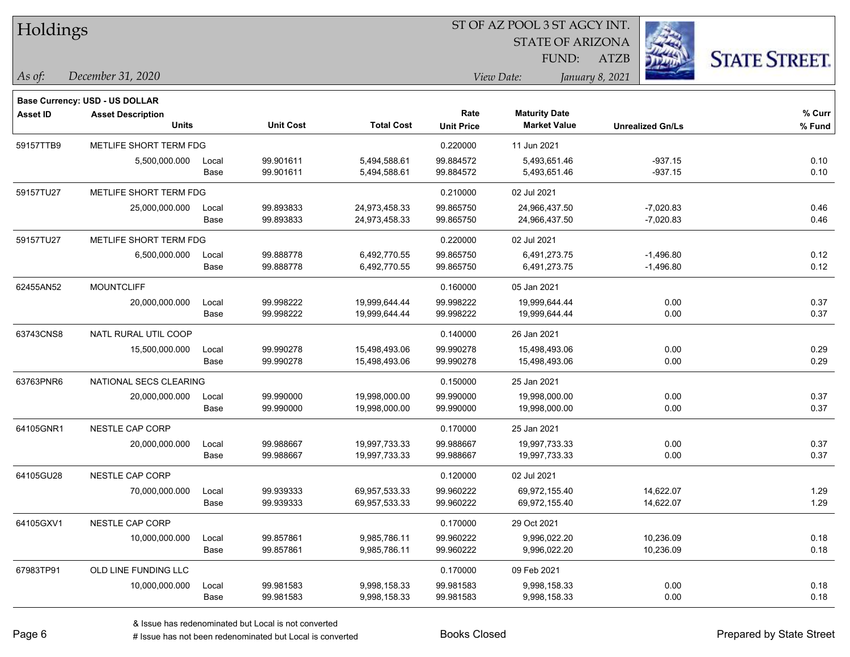| Holdings        |                                |       |                  | ST OF AZ POOL 3 ST AGCY INT. |                   |                         |                         |                      |  |
|-----------------|--------------------------------|-------|------------------|------------------------------|-------------------|-------------------------|-------------------------|----------------------|--|
|                 |                                |       |                  |                              |                   | <b>STATE OF ARIZONA</b> |                         |                      |  |
|                 |                                |       |                  |                              |                   | FUND:                   | ATZB                    | <b>STATE STREET.</b> |  |
| As of:          | December 31, 2020              |       |                  |                              |                   | View Date:              | January 8, 2021         |                      |  |
|                 | Base Currency: USD - US DOLLAR |       |                  |                              |                   |                         |                         |                      |  |
| <b>Asset ID</b> | <b>Asset Description</b>       |       |                  |                              | Rate              | <b>Maturity Date</b>    |                         | % Curr               |  |
|                 | <b>Units</b>                   |       | <b>Unit Cost</b> | <b>Total Cost</b>            | <b>Unit Price</b> | <b>Market Value</b>     | <b>Unrealized Gn/Ls</b> | % Fund               |  |
| 59157TTB9       | METLIFE SHORT TERM FDG         |       |                  |                              | 0.220000          | 11 Jun 2021             |                         |                      |  |
|                 | 5,500,000.000                  | Local | 99.901611        | 5,494,588.61                 | 99.884572         | 5,493,651.46            | $-937.15$               | 0.10                 |  |
|                 |                                | Base  | 99.901611        | 5,494,588.61                 | 99.884572         | 5,493,651.46            | $-937.15$               | 0.10                 |  |
| 59157TU27       | METLIFE SHORT TERM FDG         |       |                  |                              | 0.210000          | 02 Jul 2021             |                         |                      |  |
|                 | 25,000,000.000                 | Local | 99.893833        | 24,973,458.33                | 99.865750         | 24,966,437.50           | $-7,020.83$             | 0.46                 |  |
|                 |                                | Base  | 99.893833        | 24,973,458.33                | 99.865750         | 24,966,437.50           | $-7,020.83$             | 0.46                 |  |
| 59157TU27       | METLIFE SHORT TERM FDG         |       |                  |                              | 0.220000          | 02 Jul 2021             |                         |                      |  |
|                 | 6,500,000.000                  | Local | 99.888778        | 6,492,770.55                 | 99.865750         | 6,491,273.75            | $-1,496.80$             | 0.12                 |  |
|                 |                                | Base  | 99.888778        | 6,492,770.55                 | 99.865750         | 6,491,273.75            | $-1,496.80$             | 0.12                 |  |
| 62455AN52       | <b>MOUNTCLIFF</b>              |       |                  |                              | 0.160000          | 05 Jan 2021             |                         |                      |  |
|                 | 20,000,000.000                 | Local | 99.998222        | 19,999,644.44                | 99.998222         | 19,999,644.44           | 0.00                    | 0.37                 |  |
|                 |                                | Base  | 99.998222        | 19,999,644.44                | 99.998222         | 19,999,644.44           | 0.00                    | 0.37                 |  |
| 63743CNS8       | NATL RURAL UTIL COOP           |       |                  |                              | 0.140000          | 26 Jan 2021             |                         |                      |  |
|                 | 15,500,000.000                 | Local | 99.990278        | 15,498,493.06                | 99.990278         | 15,498,493.06           | 0.00                    | 0.29                 |  |
|                 |                                | Base  | 99.990278        | 15,498,493.06                | 99.990278         | 15,498,493.06           | 0.00                    | 0.29                 |  |
| 63763PNR6       | NATIONAL SECS CLEARING         |       |                  |                              | 0.150000          | 25 Jan 2021             |                         |                      |  |
|                 | 20,000,000.000                 | Local | 99.990000        | 19,998,000.00                | 99.990000         | 19,998,000.00           | 0.00                    | 0.37                 |  |
|                 |                                | Base  | 99.990000        | 19,998,000.00                | 99.990000         | 19,998,000.00           | 0.00                    | 0.37                 |  |
| 64105GNR1       | NESTLE CAP CORP                |       |                  |                              | 0.170000          | 25 Jan 2021             |                         |                      |  |
|                 | 20,000,000.000                 | Local | 99.988667        | 19,997,733.33                | 99.988667         | 19,997,733.33           | 0.00                    | 0.37                 |  |
|                 |                                | Base  | 99.988667        | 19,997,733.33                | 99.988667         | 19,997,733.33           | 0.00                    | 0.37                 |  |
| 64105GU28       | NESTLE CAP CORP                |       |                  |                              | 0.120000          | 02 Jul 2021             |                         |                      |  |
|                 | 70,000,000.000                 | Local | 99.939333        | 69,957,533.33                | 99.960222         | 69,972,155.40           | 14,622.07               | 1.29                 |  |
|                 |                                | Base  | 99.939333        | 69,957,533.33                | 99.960222         | 69,972,155.40           | 14,622.07               | 1.29                 |  |
| 64105GXV1       | NESTLE CAP CORP                |       |                  |                              | 0.170000          | 29 Oct 2021             |                         |                      |  |
|                 | 10,000,000.000                 | Local | 99.857861        | 9,985,786.11                 | 99.960222         | 9,996,022.20            | 10,236.09               | 0.18                 |  |
|                 |                                | Base  | 99.857861        | 9,985,786.11                 | 99.960222         | 9,996,022.20            | 10,236.09               | 0.18                 |  |
| 67983TP91       | OLD LINE FUNDING LLC           |       |                  |                              | 0.170000          | 09 Feb 2021             |                         |                      |  |
|                 | 10,000,000.000                 | Local | 99.981583        | 9,998,158.33                 | 99.981583         | 9,998,158.33            | 0.00                    | 0.18                 |  |
|                 |                                | Base  | 99.981583        | 9,998,158.33                 | 99.981583         | 9,998,158.33            | 0.00                    | 0.18                 |  |

 $\overline{\phantom{0}}$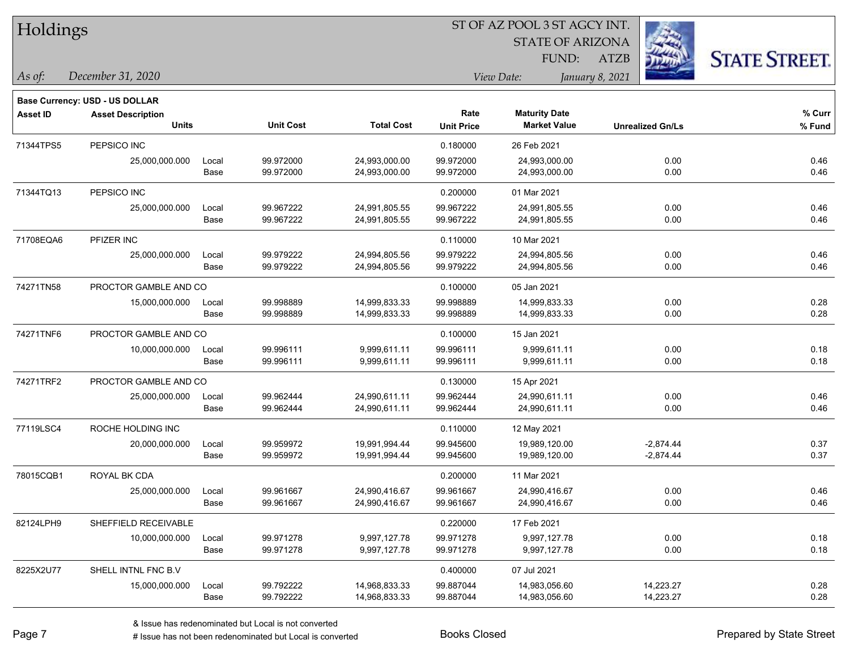| Holdings |
|----------|
|----------|

STATE OF ARIZONA FUND:



*December 31, 2020 As of: View Date: January 8, 2021*

**Base Currency: USD - US DOLLAR**

| <b>Asset ID</b> | <b>Asset Description</b> |       |                  |                   | Rate              | <b>Maturity Date</b> |                         | % Curr |
|-----------------|--------------------------|-------|------------------|-------------------|-------------------|----------------------|-------------------------|--------|
|                 | <b>Units</b>             |       | <b>Unit Cost</b> | <b>Total Cost</b> | <b>Unit Price</b> | <b>Market Value</b>  | <b>Unrealized Gn/Ls</b> | % Fund |
| 71344TPS5       | PEPSICO INC              |       |                  |                   | 0.180000          | 26 Feb 2021          |                         |        |
|                 | 25,000,000.000           | Local | 99.972000        | 24,993,000.00     | 99.972000         | 24,993,000.00        | 0.00                    | 0.46   |
|                 |                          | Base  | 99.972000        | 24,993,000.00     | 99.972000         | 24,993,000.00        | 0.00                    | 0.46   |
| 71344TQ13       | PEPSICO INC              |       |                  |                   | 0.200000          | 01 Mar 2021          |                         |        |
|                 | 25,000,000.000           | Local | 99.967222        | 24,991,805.55     | 99.967222         | 24,991,805.55        | 0.00                    | 0.46   |
|                 |                          | Base  | 99.967222        | 24,991,805.55     | 99.967222         | 24,991,805.55        | 0.00                    | 0.46   |
| 71708EQA6       | PFIZER INC               |       |                  |                   | 0.110000          | 10 Mar 2021          |                         |        |
|                 | 25,000,000.000           | Local | 99.979222        | 24,994,805.56     | 99.979222         | 24,994,805.56        | 0.00                    | 0.46   |
|                 |                          | Base  | 99.979222        | 24,994,805.56     | 99.979222         | 24,994,805.56        | 0.00                    | 0.46   |
| 74271TN58       | PROCTOR GAMBLE AND CO    |       |                  |                   | 0.100000          | 05 Jan 2021          |                         |        |
|                 | 15,000,000.000           | Local | 99.998889        | 14,999,833.33     | 99.998889         | 14,999,833.33        | 0.00                    | 0.28   |
|                 |                          | Base  | 99.998889        | 14,999,833.33     | 99.998889         | 14,999,833.33        | 0.00                    | 0.28   |
| 74271TNF6       | PROCTOR GAMBLE AND CO    |       |                  |                   | 0.100000          | 15 Jan 2021          |                         |        |
|                 | 10,000,000.000           | Local | 99.996111        | 9,999,611.11      | 99.996111         | 9,999,611.11         | 0.00                    | 0.18   |
|                 |                          | Base  | 99.996111        | 9,999,611.11      | 99.996111         | 9,999,611.11         | 0.00                    | 0.18   |
| 74271TRF2       | PROCTOR GAMBLE AND CO    |       |                  |                   | 0.130000          | 15 Apr 2021          |                         |        |
|                 | 25,000,000.000           | Local | 99.962444        | 24,990,611.11     | 99.962444         | 24,990,611.11        | 0.00                    | 0.46   |
|                 |                          | Base  | 99.962444        | 24,990,611.11     | 99.962444         | 24,990,611.11        | 0.00                    | 0.46   |
| 77119LSC4       | ROCHE HOLDING INC        |       |                  |                   | 0.110000          | 12 May 2021          |                         |        |
|                 | 20,000,000.000           | Local | 99.959972        | 19,991,994.44     | 99.945600         | 19,989,120.00        | $-2,874.44$             | 0.37   |
|                 |                          | Base  | 99.959972        | 19,991,994.44     | 99.945600         | 19,989,120.00        | $-2,874.44$             | 0.37   |
| 78015CQB1       | <b>ROYAL BK CDA</b>      |       |                  |                   | 0.200000          | 11 Mar 2021          |                         |        |
|                 | 25,000,000.000           | Local | 99.961667        | 24,990,416.67     | 99.961667         | 24,990,416.67        | 0.00                    | 0.46   |
|                 |                          | Base  | 99.961667        | 24,990,416.67     | 99.961667         | 24,990,416.67        | 0.00                    | 0.46   |
| 82124LPH9       | SHEFFIELD RECEIVABLE     |       |                  |                   | 0.220000          | 17 Feb 2021          |                         |        |
|                 | 10,000,000.000           | Local | 99.971278        | 9,997,127.78      | 99.971278         | 9,997,127.78         | 0.00                    | 0.18   |
|                 |                          | Base  | 99.971278        | 9,997,127.78      | 99.971278         | 9,997,127.78         | 0.00                    | 0.18   |
| 8225X2U77       | SHELL INTNL FNC B.V      |       |                  |                   | 0.400000          | 07 Jul 2021          |                         |        |
|                 | 15,000,000.000           | Local | 99.792222        | 14,968,833.33     | 99.887044         | 14,983,056.60        | 14,223.27               | 0.28   |
|                 |                          | Base  | 99.792222        | 14,968,833.33     | 99.887044         | 14,983,056.60        | 14,223.27               | 0.28   |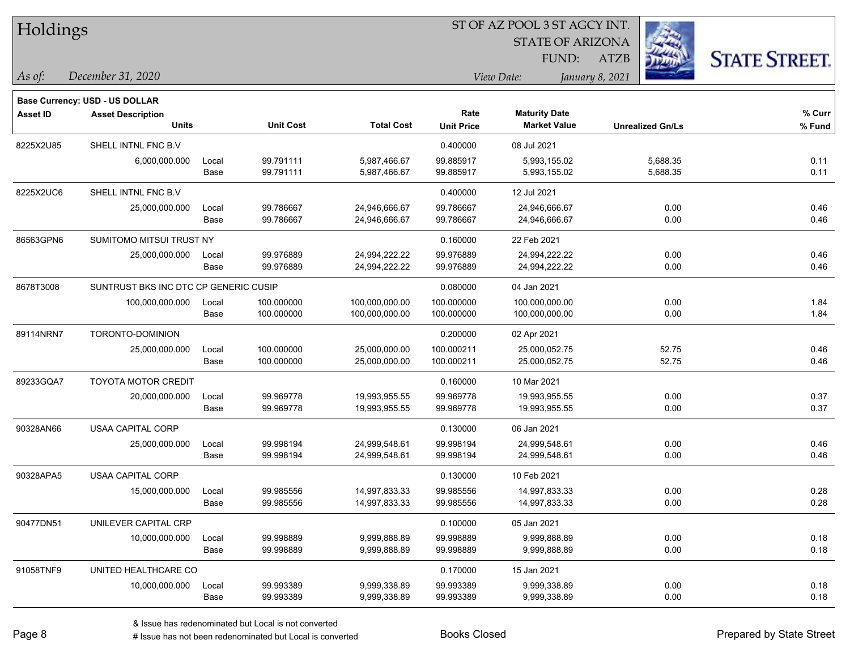| Holdings        |                                       |       |                  |                   | ST OF AZ POOL 3 ST AGCY INT. |                         |                         |                      |  |  |
|-----------------|---------------------------------------|-------|------------------|-------------------|------------------------------|-------------------------|-------------------------|----------------------|--|--|
|                 |                                       |       |                  |                   |                              | <b>STATE OF ARIZONA</b> |                         |                      |  |  |
|                 |                                       |       |                  |                   |                              | FUND:                   | <b>ATZB</b>             | <b>STATE STREET.</b> |  |  |
| As of:          | December 31, 2020                     |       |                  |                   |                              | View Date:              | January 8, 2021         |                      |  |  |
|                 | <b>Base Currency: USD - US DOLLAR</b> |       |                  |                   |                              |                         |                         |                      |  |  |
| <b>Asset ID</b> | <b>Asset Description</b>              |       |                  |                   | Rate                         | <b>Maturity Date</b>    |                         | % Curr               |  |  |
|                 | <b>Units</b>                          |       | <b>Unit Cost</b> | <b>Total Cost</b> | <b>Unit Price</b>            | <b>Market Value</b>     | <b>Unrealized Gn/Ls</b> | % Fund               |  |  |
| 8225X2U85       | SHELL INTNL FNC B.V                   |       |                  |                   | 0.400000                     | 08 Jul 2021             |                         |                      |  |  |
|                 | 6,000,000.000                         | Local | 99.791111        | 5,987,466.67      | 99.885917                    | 5,993,155.02            | 5,688.35                | 0.11                 |  |  |
|                 |                                       | Base  | 99.791111        | 5,987,466.67      | 99.885917                    | 5,993,155.02            | 5,688.35                | 0.11                 |  |  |
| 8225X2UC6       | SHELL INTNL FNC B.V                   |       |                  |                   | 0.400000                     | 12 Jul 2021             |                         |                      |  |  |
|                 | 25,000,000.000                        | Local | 99.786667        | 24,946,666.67     | 99.786667                    | 24,946,666.67           | 0.00                    | 0.46                 |  |  |
|                 |                                       | Base  | 99.786667        | 24,946,666.67     | 99.786667                    | 24,946,666.67           | 0.00                    | 0.46                 |  |  |
| 86563GPN6       | SUMITOMO MITSUI TRUST NY              |       |                  |                   | 0.160000                     | 22 Feb 2021             |                         |                      |  |  |
|                 | 25,000,000.000                        | Local | 99.976889        | 24,994,222.22     | 99.976889                    | 24,994,222.22           | 0.00                    | 0.46                 |  |  |
|                 |                                       | Base  | 99.976889        | 24,994,222.22     | 99.976889                    | 24,994,222.22           | 0.00                    | 0.46                 |  |  |
| 8678T3008       | SUNTRUST BKS INC DTC CP GENERIC CUSIP |       |                  |                   | 0.080000                     | 04 Jan 2021             |                         |                      |  |  |
|                 | 100,000,000.000                       | Local | 100.000000       | 100,000,000.00    | 100.000000                   | 100,000,000.00          | 0.00                    | 1.84                 |  |  |
|                 |                                       | Base  | 100.000000       | 100,000,000.00    | 100.000000                   | 100,000,000.00          | 0.00                    | 1.84                 |  |  |
| 89114NRN7       | TORONTO-DOMINION                      |       |                  |                   | 0.200000                     | 02 Apr 2021             |                         |                      |  |  |
|                 | 25,000,000.000                        | Local | 100.000000       | 25,000,000.00     | 100.000211                   | 25,000,052.75           | 52.75                   | 0.46                 |  |  |
|                 |                                       | Base  | 100.000000       | 25,000,000.00     | 100.000211                   | 25,000,052.75           | 52.75                   | 0.46                 |  |  |
| 89233GQA7       | <b>TOYOTA MOTOR CREDIT</b>            |       |                  |                   | 0.160000                     | 10 Mar 2021             |                         |                      |  |  |
|                 | 20,000,000.000                        | Local | 99.969778        | 19,993,955.55     | 99.969778                    | 19,993,955.55           | 0.00                    | 0.37                 |  |  |
|                 |                                       | Base  | 99.969778        | 19,993,955.55     | 99.969778                    | 19,993,955.55           | 0.00                    | 0.37                 |  |  |
| 90328AN66       | <b>USAA CAPITAL CORP</b>              |       |                  |                   | 0.130000                     | 06 Jan 2021             |                         |                      |  |  |
|                 | 25,000,000.000                        | Local | 99.998194        | 24,999,548.61     | 99.998194                    | 24,999,548.61           | 0.00                    | 0.46                 |  |  |
|                 |                                       | Base  | 99.998194        | 24,999,548.61     | 99.998194                    | 24,999,548.61           | 0.00                    | 0.46                 |  |  |
| 90328APA5       | USAA CAPITAL CORP                     |       |                  |                   | 0.130000                     | 10 Feb 2021             |                         |                      |  |  |
|                 | 15,000,000.000                        | Local | 99.985556        | 14,997,833.33     | 99.985556                    | 14,997,833.33           | 0.00                    | 0.28                 |  |  |
|                 |                                       | Base  | 99.985556        | 14,997,833.33     | 99.985556                    | 14,997,833.33           | 0.00                    | 0.28                 |  |  |
| 90477DN51       | UNILEVER CAPITAL CRP                  |       |                  |                   | 0.100000                     | 05 Jan 2021             |                         |                      |  |  |
|                 | 10,000,000.000                        | Local | 99.998889        | 9,999,888.89      | 99.998889                    | 9,999,888.89            | 0.00                    | 0.18                 |  |  |
|                 |                                       | Base  | 99.998889        | 9,999,888.89      | 99.998889                    | 9,999,888.89            | 0.00                    | 0.18                 |  |  |
| 91058TNF9       | UNITED HEALTHCARE CO                  |       |                  |                   | 0.170000                     | 15 Jan 2021             |                         |                      |  |  |
|                 | 10,000,000.000                        | Local | 99.993389        | 9,999,338.89      | 99.993389                    | 9,999,338.89            | 0.00                    | 0.18                 |  |  |
|                 |                                       | Base  | 99.993389        | 9,999,338.89      | 99.993389                    | 9,999,338.89            | 0.00                    | 0.18                 |  |  |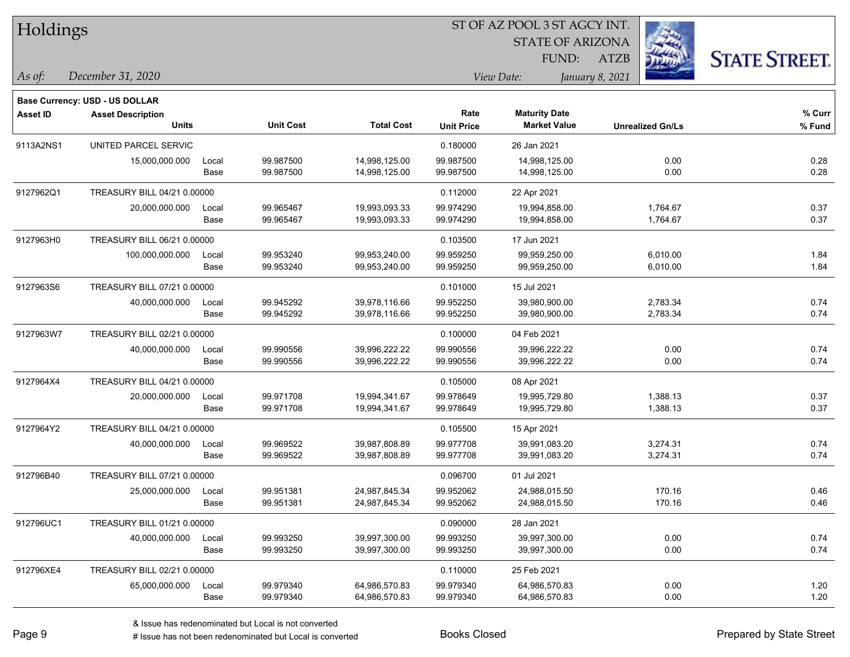| Holdings        |                                                            |       |                  |                   |                   |                         |                 |                         |                      |
|-----------------|------------------------------------------------------------|-------|------------------|-------------------|-------------------|-------------------------|-----------------|-------------------------|----------------------|
|                 |                                                            |       |                  |                   |                   | <b>STATE OF ARIZONA</b> |                 |                         |                      |
|                 |                                                            |       |                  |                   |                   | FUND:                   | <b>ATZB</b>     |                         | <b>STATE STREET.</b> |
| $\vert$ As of:  | December 31, 2020                                          |       |                  |                   |                   | View Date:              | January 8, 2021 |                         |                      |
|                 |                                                            |       |                  |                   |                   |                         |                 |                         |                      |
| <b>Asset ID</b> | Base Currency: USD - US DOLLAR<br><b>Asset Description</b> |       |                  |                   | Rate              | <b>Maturity Date</b>    |                 |                         | % Curr               |
|                 | <b>Units</b>                                               |       | <b>Unit Cost</b> | <b>Total Cost</b> | <b>Unit Price</b> | <b>Market Value</b>     |                 | <b>Unrealized Gn/Ls</b> | % Fund               |
| 9113A2NS1       | UNITED PARCEL SERVIC                                       |       |                  |                   | 0.180000          | 26 Jan 2021             |                 |                         |                      |
|                 | 15,000,000.000                                             | Local | 99.987500        | 14,998,125.00     | 99.987500         | 14,998,125.00           |                 | 0.00                    | 0.28                 |
|                 |                                                            | Base  | 99.987500        | 14,998,125.00     | 99.987500         | 14,998,125.00           |                 | 0.00                    | 0.28                 |
| 9127962Q1       | TREASURY BILL 04/21 0.00000                                |       |                  |                   | 0.112000          | 22 Apr 2021             |                 |                         |                      |
|                 | 20,000,000.000                                             | Local | 99.965467        | 19,993,093.33     | 99.974290         | 19,994,858.00           |                 | 1,764.67                | 0.37                 |
|                 |                                                            | Base  | 99.965467        | 19,993,093.33     | 99.974290         | 19,994,858.00           |                 | 1,764.67                | 0.37                 |
| 9127963H0       | TREASURY BILL 06/21 0.00000                                |       |                  |                   | 0.103500          | 17 Jun 2021             |                 |                         |                      |
|                 | 100,000,000.000                                            | Local | 99.953240        | 99,953,240.00     | 99.959250         | 99,959,250.00           |                 | 6,010.00                | 1.84                 |
|                 |                                                            | Base  | 99.953240        | 99,953,240.00     | 99.959250         | 99,959,250.00           |                 | 6,010.00                | 1.84                 |
| 9127963S6       | TREASURY BILL 07/21 0.00000                                |       |                  |                   | 0.101000          | 15 Jul 2021             |                 |                         |                      |
|                 | 40,000,000.000                                             | Local | 99.945292        | 39,978,116.66     | 99.952250         | 39,980,900.00           |                 | 2,783.34                | 0.74                 |
|                 |                                                            | Base  | 99.945292        | 39,978,116.66     | 99.952250         | 39,980,900.00           |                 | 2,783.34                | 0.74                 |
| 9127963W7       | TREASURY BILL 02/21 0.00000                                |       |                  |                   | 0.100000          | 04 Feb 2021             |                 |                         |                      |
|                 | 40,000,000.000                                             | Local | 99.990556        | 39,996,222.22     | 99.990556         | 39,996,222.22           |                 | 0.00                    | 0.74                 |
|                 |                                                            | Base  | 99.990556        | 39,996,222.22     | 99.990556         | 39,996,222.22           |                 | 0.00                    | 0.74                 |
| 9127964X4       | TREASURY BILL 04/21 0.00000                                |       |                  |                   | 0.105000          | 08 Apr 2021             |                 |                         |                      |
|                 | 20,000,000.000                                             | Local | 99.971708        | 19,994,341.67     | 99.978649         | 19,995,729.80           |                 | 1,388.13                | 0.37                 |
|                 |                                                            | Base  | 99.971708        | 19,994,341.67     | 99.978649         | 19,995,729.80           |                 | 1,388.13                | 0.37                 |
| 9127964Y2       | TREASURY BILL 04/21 0.00000                                |       |                  |                   | 0.105500          | 15 Apr 2021             |                 |                         |                      |
|                 | 40,000,000.000                                             | Local | 99.969522        | 39,987,808.89     | 99.977708         | 39,991,083.20           |                 | 3,274.31                | 0.74                 |
|                 |                                                            | Base  | 99.969522        | 39,987,808.89     | 99.977708         | 39,991,083.20           |                 | 3,274.31                | 0.74                 |
| 912796B40       | TREASURY BILL 07/21 0.00000                                |       |                  |                   | 0.096700          | 01 Jul 2021             |                 |                         |                      |
|                 | 25,000,000.000                                             | Local | 99.951381        | 24,987,845.34     | 99.952062         | 24,988,015.50           |                 | 170.16                  | 0.46                 |
|                 |                                                            | Base  | 99.951381        | 24,987,845.34     | 99.952062         | 24,988,015.50           |                 | 170.16                  | 0.46                 |
| 912796UC1       | TREASURY BILL 01/21 0.00000                                |       |                  |                   | 0.090000          | 28 Jan 2021             |                 |                         |                      |
|                 | 40,000,000.000                                             | Local | 99.993250        | 39,997,300.00     | 99.993250         | 39,997,300.00           |                 | 0.00                    | 0.74                 |
|                 |                                                            | Base  | 99.993250        | 39,997,300.00     | 99.993250         | 39,997,300.00           |                 | 0.00                    | 0.74                 |
| 912796XE4       | TREASURY BILL 02/21 0.00000                                |       |                  |                   | 0.110000          | 25 Feb 2021             |                 |                         |                      |
|                 | 65,000,000.000                                             | Local | 99.979340        | 64,986,570.83     | 99.979340         | 64,986,570.83           |                 | 0.00                    | 1.20                 |
|                 |                                                            | Base  | 99.979340        | 64,986,570.83     | 99.979340         | 64,986,570.83           |                 | 0.00                    | 1.20                 |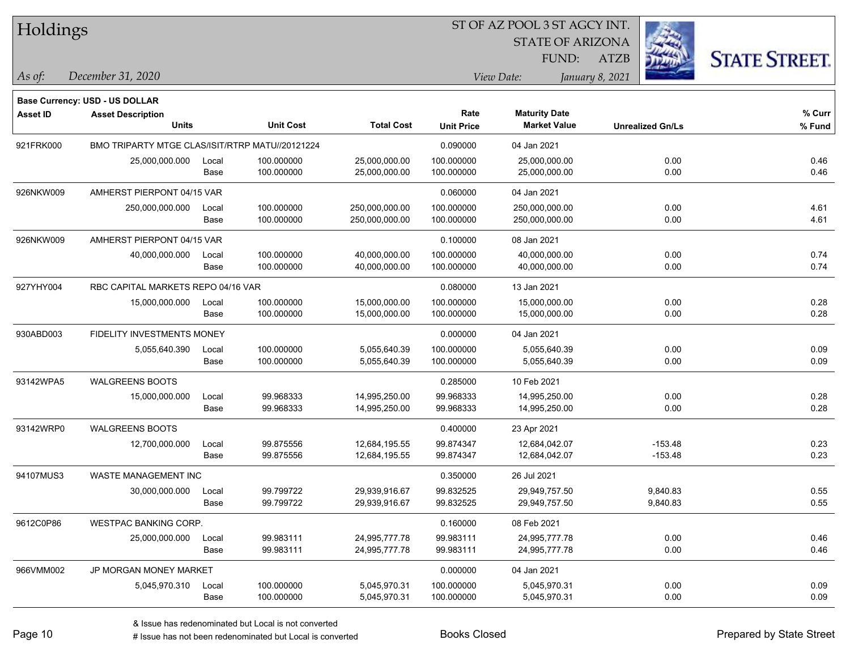ST OF AZ POOL 3 ST AGCY INT. Holdings STATE OF ARIZONA **STATE STREET.** FUND: ATZB *December 31, 2020 As of: View Date: January 8, 2021* **Base Currency: USD - US DOLLAR Asset ID Asset Description Rate Maturity Date Units Unit Cost Total Cost Unit Price Market Value Unrealized Gn/Ls** 921FRK000 BMO TRIPARTY MTGE CLAS/ISIT/RTRP MATU//20121224 0.090000 04 Jan 2021 25,000,000.000 Local 100.000000 25,000,000.00 100.000000 25,000,000.00 0.00 0.46 Base 100.000000 25,000,000.00 100.000000 25,000,000.00 0.00 0.46 926NKW009 AMHERST PIERPONT 04/15 VAR 0.06000 04 Jan 2021 250,000,000.000 Local 100.000000 250,000,000.00 100.000000 250,000,000.00 0.00 4.61 Base 100.000000 250,000,000.00 100.000000 250,000,000.00 0.00 4.61 926NKW009 AMHERST PIERPONT 04/15 VAR 0.100000 08 Jan 2021 40,000,000.000 Local 100.000000 40,000,000.00 100.000000 40,000,000.00 0.00 0.74 Base 100.000000 40,000,000.00 100.000000 40,000,000.00 0.00 0.74 927YHY004 RBC CAPITAL MARKETS REPO 04/16 VAR 0.08000 13 Jan 2021 15,000,000.000 Local 100.000000 15,000,000.00 100.000000 15,000,000.00 0.00 0.28 Base 100.000000 15,000,000.00 100.000000 15,000,000.00 0.00 0.28 930ABD003 FIDELITY INVESTMENTS MONEY 0.000000 04 Jan 2021 5,055,640.390 Local 100.000000 5,055,640.39 100.000000 5,055,640.39 0.00 0.09 Base 100.000000 5,055,640.39 100.000000 5,055,640.39 0.00 0.09 93142WPA5 WALGREENS BOOTS 0.285000 10 Feb 2021 15,000,000.000 Local 99.968333 14,995,250.00 99.968333 14,995,250.00 0.00 0.28 Base 99.968333 14,995,250.00 99.968333 14,995,250.00 0.00 0.28 93142WRP0 WALGREENS BOOTS 0.400000 23 Apr 2021 12,700,000.000 Local 99.875556 12,684,195.55 99.874347 12,684,042.07 -153.48 0.23 Base 99.875556 12,684,195.55 99.874347 12,684,042.07 -153.48 0.23 94107MUS3 WASTE MANAGEMENT INC 0.350000 26 Jul 2021 30,000,000.000 Local 99.799722 29,939,916.67 99.832525 29,949,757.50 9,840.83 0.55 Base 99.799722 29,939,916.67 99.832525 29,949,757.50 9,840.83 0.55 9612C0P86 WESTPAC BANKING CORP. 0.160000 08 Feb 2021 25,000,000.000 Local 99.983111 24,995,777.78 99.983111 24,995,777.78 0.00 0.46 Base 99.983111 24,995,777.78 99.983111 24,995,777.78 0.00 0.46 966VMM002 JP MORGAN MONEY MARKET 3000000 04 Jan 2021

5,045,970.310 Local 100.000000 5,045,970.31 100.000000 5,045,970.31 0.00 0.09

Base 100.000000 5,045,970.31 100.000000 5,045,970.31 0.00 0.09 0.09

**% Fund**

**% Curr**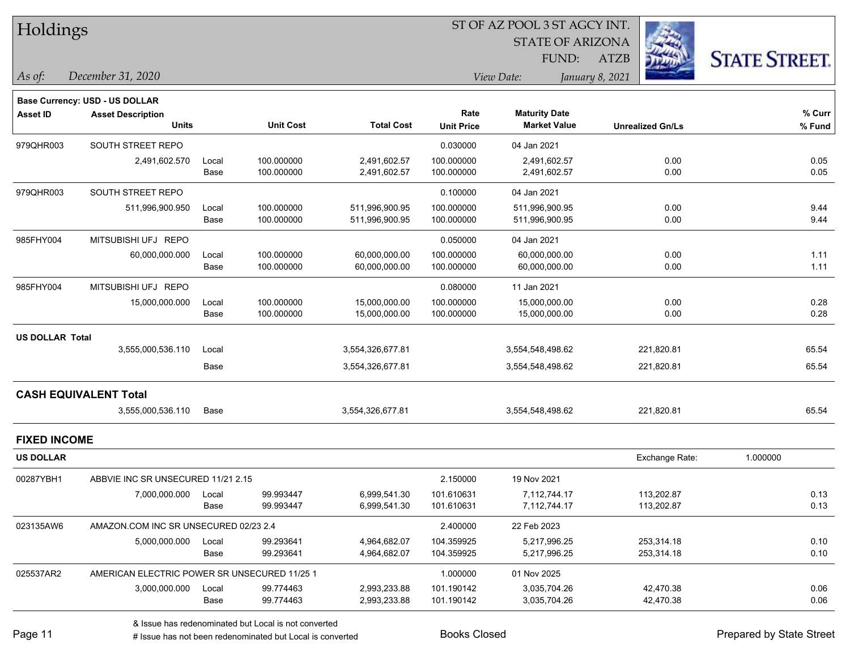|  | <b>Holdings</b> |
|--|-----------------|
|--|-----------------|

**Maturity Date**

STATE OF ARIZONA

FUND:



**% Curr**

*December 31, 2020 As of: View Date: January 8, 2021*

**Base Currency: USD - US DOLLAR**

ATZB

|                        | <b>Units</b>                          |       | <b>Unit Cost</b> | <b>Total Cost</b> | <b>Unit Price</b> | <b>Market Value</b> | <b>Unrealized Gn/Ls</b> | % Fund   |
|------------------------|---------------------------------------|-------|------------------|-------------------|-------------------|---------------------|-------------------------|----------|
| 979QHR003              | SOUTH STREET REPO                     |       |                  |                   | 0.030000          | 04 Jan 2021         |                         |          |
|                        | 2,491,602.570                         | Local | 100.000000       | 2,491,602.57      | 100.000000        | 2,491,602.57        | 0.00                    | 0.05     |
|                        |                                       | Base  | 100.000000       | 2,491,602.57      | 100.000000        | 2,491,602.57        | 0.00                    | 0.05     |
| 979QHR003              | SOUTH STREET REPO                     |       |                  |                   | 0.100000          | 04 Jan 2021         |                         |          |
|                        | 511,996,900.950                       | Local | 100.000000       | 511,996,900.95    | 100.000000        | 511,996,900.95      | 0.00                    | 9.44     |
|                        |                                       | Base  | 100.000000       | 511,996,900.95    | 100.000000        | 511,996,900.95      | 0.00                    | 9.44     |
| 985FHY004              | MITSUBISHI UFJ REPO                   |       |                  |                   | 0.050000          | 04 Jan 2021         |                         |          |
|                        | 60,000,000.000                        | Local | 100.000000       | 60,000,000.00     | 100.000000        | 60,000,000.00       | 0.00                    | 1.11     |
|                        |                                       | Base  | 100.000000       | 60,000,000.00     | 100.000000        | 60,000,000.00       | 0.00                    | 1.11     |
| 985FHY004              | MITSUBISHI UFJ REPO                   |       |                  |                   | 0.080000          | 11 Jan 2021         |                         |          |
|                        | 15,000,000.000                        | Local | 100.000000       | 15,000,000.00     | 100.000000        | 15,000,000.00       | 0.00                    | 0.28     |
|                        |                                       | Base  | 100.000000       | 15,000,000.00     | 100.000000        | 15,000,000.00       | 0.00                    | 0.28     |
| <b>US DOLLAR Total</b> |                                       |       |                  |                   |                   |                     |                         |          |
|                        | 3,555,000,536.110                     | Local |                  | 3,554,326,677.81  |                   | 3,554,548,498.62    | 221,820.81              | 65.54    |
|                        |                                       | Base  |                  | 3,554,326,677.81  |                   | 3,554,548,498.62    | 221,820.81              | 65.54    |
|                        | <b>CASH EQUIVALENT Total</b>          |       |                  |                   |                   |                     |                         |          |
|                        | 3,555,000,536.110                     | Base  |                  | 3,554,326,677.81  |                   | 3,554,548,498.62    | 221,820.81              | 65.54    |
| <b>FIXED INCOME</b>    |                                       |       |                  |                   |                   |                     |                         |          |
| <b>US DOLLAR</b>       |                                       |       |                  |                   |                   |                     | Exchange Rate:          | 1.000000 |
| 00287YBH1              | ABBVIE INC SR UNSECURED 11/21 2.15    |       |                  |                   | 2.150000          | 19 Nov 2021         |                         |          |
|                        | 7,000,000.000                         | Local | 99.993447        | 6,999,541.30      | 101.610631        | 7,112,744.17        | 113,202.87              | 0.13     |
|                        |                                       | Base  | 99.993447        | 6,999,541.30      | 101.610631        | 7,112,744.17        | 113,202.87              | 0.13     |
| 023135AW6              | AMAZON.COM INC SR UNSECURED 02/23 2.4 |       |                  |                   | 2.400000          | 22 Feb 2023         |                         |          |
|                        | 5,000,000.000                         | Local | 99.293641        | 4,964,682.07      | 104.359925        | 5,217,996.25        | 253,314.18              | 0.10     |
|                        |                                       | Base  | 99.293641        | 4,964,682.07      | 104.359925        | 5,217,996.25        | 253,314.18              | 0.10     |

**Asset ID Asset Description Rate**

# Issue has not been redenominated but Local is converted Books Closed Books Closed Prepared by State Street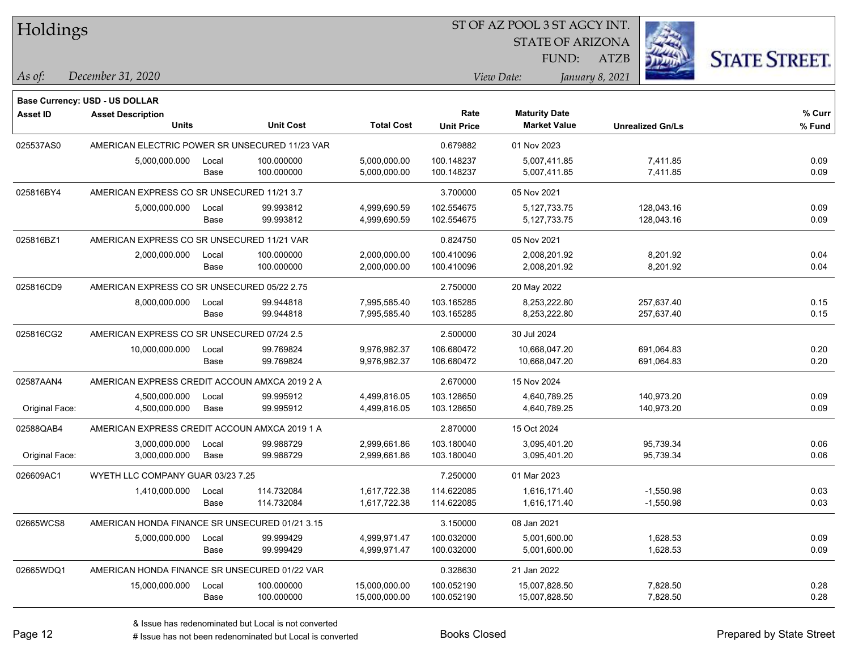| Holdings        |                                                |       |                  |                   | ST OF AZ POOL 3 ST AGCY INT. |                         |                         |                      |  |  |
|-----------------|------------------------------------------------|-------|------------------|-------------------|------------------------------|-------------------------|-------------------------|----------------------|--|--|
|                 |                                                |       |                  |                   |                              | <b>STATE OF ARIZONA</b> |                         |                      |  |  |
|                 |                                                |       |                  |                   |                              | FUND:                   | <b>ATZB</b>             | <b>STATE STREET.</b> |  |  |
| As of:          | December 31, 2020                              |       |                  |                   |                              | View Date:              | January 8, 2021         |                      |  |  |
|                 | <b>Base Currency: USD - US DOLLAR</b>          |       |                  |                   |                              |                         |                         |                      |  |  |
| <b>Asset ID</b> | <b>Asset Description</b>                       |       |                  |                   | Rate                         | <b>Maturity Date</b>    |                         | $%$ Curr             |  |  |
|                 | <b>Units</b>                                   |       | <b>Unit Cost</b> | <b>Total Cost</b> | <b>Unit Price</b>            | <b>Market Value</b>     | <b>Unrealized Gn/Ls</b> | % Fund               |  |  |
| 025537AS0       | AMERICAN ELECTRIC POWER SR UNSECURED 11/23 VAR |       |                  |                   | 0.679882                     | 01 Nov 2023             |                         |                      |  |  |
|                 | 5,000,000.000                                  | Local | 100.000000       | 5,000,000.00      | 100.148237                   | 5,007,411.85            | 7,411.85                | 0.09                 |  |  |
|                 |                                                | Base  | 100.000000       | 5,000,000.00      | 100.148237                   | 5,007,411.85            | 7,411.85                | 0.09                 |  |  |
| 025816BY4       | AMERICAN EXPRESS CO SR UNSECURED 11/21 3.7     |       |                  |                   | 3.700000                     | 05 Nov 2021             |                         |                      |  |  |
|                 | 5,000,000.000                                  | Local | 99.993812        | 4,999,690.59      | 102.554675                   | 5,127,733.75            | 128,043.16              | 0.09                 |  |  |
|                 |                                                | Base  | 99.993812        | 4,999,690.59      | 102.554675                   | 5,127,733.75            | 128,043.16              | 0.09                 |  |  |
| 025816BZ1       | AMERICAN EXPRESS CO SR UNSECURED 11/21 VAR     |       |                  |                   | 0.824750                     | 05 Nov 2021             |                         |                      |  |  |
|                 | 2,000,000.000                                  | Local | 100.000000       | 2,000,000.00      | 100.410096                   | 2,008,201.92            | 8,201.92                | 0.04                 |  |  |
|                 |                                                | Base  | 100.000000       | 2,000,000.00      | 100.410096                   | 2,008,201.92            | 8,201.92                | 0.04                 |  |  |
| 025816CD9       | AMERICAN EXPRESS CO SR UNSECURED 05/22 2.75    |       |                  |                   | 2.750000                     | 20 May 2022             |                         |                      |  |  |
|                 | 8,000,000.000                                  | Local | 99.944818        | 7,995,585.40      | 103.165285                   | 8,253,222.80            | 257,637.40              | 0.15                 |  |  |
|                 |                                                | Base  | 99.944818        | 7,995,585.40      | 103.165285                   | 8,253,222.80            | 257,637.40              | 0.15                 |  |  |
| 025816CG2       | AMERICAN EXPRESS CO SR UNSECURED 07/24 2.5     |       |                  |                   | 2.500000                     | 30 Jul 2024             |                         |                      |  |  |
|                 | 10,000,000.000                                 | Local | 99.769824        | 9,976,982.37      | 106.680472                   | 10,668,047.20           | 691,064.83              | 0.20                 |  |  |
|                 |                                                | Base  | 99.769824        | 9,976,982.37      | 106.680472                   | 10,668,047.20           | 691,064.83              | 0.20                 |  |  |
| 02587AAN4       | AMERICAN EXPRESS CREDIT ACCOUN AMXCA 2019 2 A  |       |                  |                   | 2.670000                     | 15 Nov 2024             |                         |                      |  |  |
|                 | 4,500,000.000                                  | Local | 99.995912        | 4,499,816.05      | 103.128650                   | 4,640,789.25            | 140,973.20              | 0.09                 |  |  |
| Original Face:  | 4,500,000.000                                  | Base  | 99.995912        | 4,499,816.05      | 103.128650                   | 4,640,789.25            | 140,973.20              | 0.09                 |  |  |
| 02588QAB4       | AMERICAN EXPRESS CREDIT ACCOUN AMXCA 2019 1 A  |       |                  |                   | 2.870000                     | 15 Oct 2024             |                         |                      |  |  |
|                 | 3,000,000.000                                  | Local | 99.988729        | 2,999,661.86      | 103.180040                   | 3,095,401.20            | 95,739.34               | 0.06                 |  |  |
| Original Face:  | 3,000,000.000                                  | Base  | 99.988729        | 2,999,661.86      | 103.180040                   | 3,095,401.20            | 95,739.34               | 0.06                 |  |  |
| 026609AC1       | WYETH LLC COMPANY GUAR 03/23 7.25              |       |                  |                   | 7.250000                     | 01 Mar 2023             |                         |                      |  |  |
|                 | 1,410,000.000                                  | Local | 114.732084       | 1,617,722.38      | 114.622085                   | 1,616,171.40            | $-1,550.98$             | 0.03                 |  |  |
|                 |                                                | Base  | 114.732084       | 1,617,722.38      | 114.622085                   | 1,616,171.40            | $-1,550.98$             | 0.03                 |  |  |
| 02665WCS8       | AMERICAN HONDA FINANCE SR UNSECURED 01/21 3.15 |       |                  |                   | 3.150000                     | 08 Jan 2021             |                         |                      |  |  |
|                 | 5,000,000.000                                  | Local | 99.999429        | 4,999,971.47      | 100.032000                   | 5,001,600.00            | 1,628.53                | 0.09                 |  |  |
|                 |                                                | Base  | 99.999429        | 4,999,971.47      | 100.032000                   | 5,001,600.00            | 1,628.53                | 0.09                 |  |  |
| 02665WDQ1       | AMERICAN HONDA FINANCE SR UNSECURED 01/22 VAR  |       |                  |                   | 0.328630                     | 21 Jan 2022             |                         |                      |  |  |
|                 | 15,000,000.000                                 | Local | 100.000000       | 15,000,000.00     | 100.052190                   | 15,007,828.50           | 7,828.50                | 0.28                 |  |  |
|                 |                                                | Base  | 100.000000       | 15,000,000.00     | 100.052190                   | 15,007,828.50           | 7,828.50                | 0.28                 |  |  |

 $\overline{\phantom{0}}$ 

 $\overline{\phantom{0}}$ 

 $\overline{\phantom{0}}$ 

 $\overline{\phantom{0}}$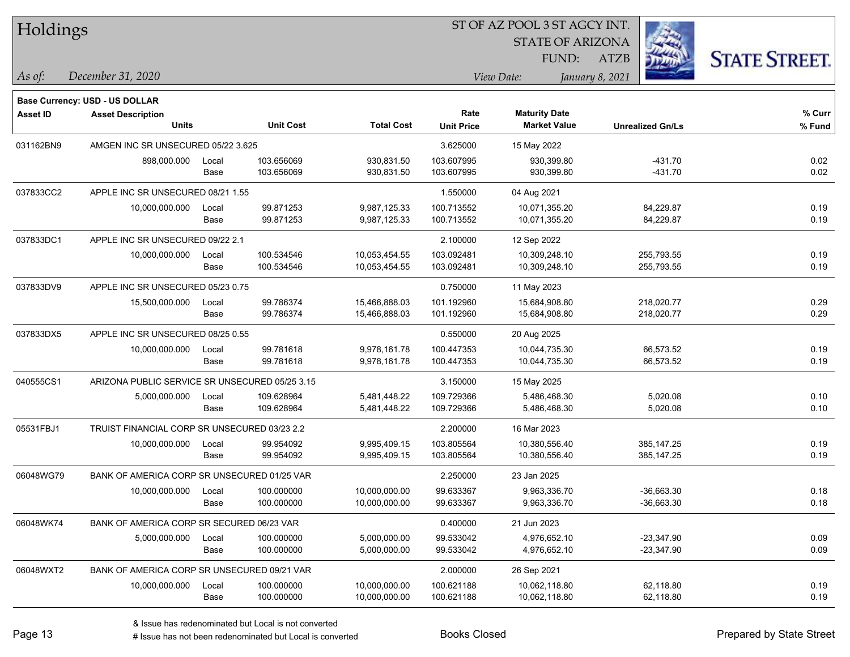| Holdings        |                                                |       |                  |                   | ST OF AZ POOL 3 ST AGCY INT. |                         |                         |                      |
|-----------------|------------------------------------------------|-------|------------------|-------------------|------------------------------|-------------------------|-------------------------|----------------------|
|                 |                                                |       |                  |                   |                              | <b>STATE OF ARIZONA</b> |                         |                      |
|                 |                                                |       |                  |                   |                              | FUND:                   | ATZB                    | <b>STATE STREET.</b> |
| As of:          | December 31, 2020                              |       |                  |                   |                              | View Date:              | January 8, 2021         |                      |
|                 | Base Currency: USD - US DOLLAR                 |       |                  |                   |                              |                         |                         |                      |
| <b>Asset ID</b> | <b>Asset Description</b>                       |       |                  |                   | Rate                         | <b>Maturity Date</b>    |                         | % Curr               |
|                 | <b>Units</b>                                   |       | <b>Unit Cost</b> | <b>Total Cost</b> | <b>Unit Price</b>            | <b>Market Value</b>     | <b>Unrealized Gn/Ls</b> | % Fund               |
| 031162BN9       | AMGEN INC SR UNSECURED 05/22 3.625             |       |                  |                   | 3.625000                     | 15 May 2022             |                         |                      |
|                 | 898,000.000                                    | Local | 103.656069       | 930,831.50        | 103.607995                   | 930,399.80              | $-431.70$               | 0.02                 |
|                 |                                                | Base  | 103.656069       | 930,831.50        | 103.607995                   | 930,399.80              | $-431.70$               | 0.02                 |
| 037833CC2       | APPLE INC SR UNSECURED 08/21 1.55              |       |                  |                   | 1.550000                     | 04 Aug 2021             |                         |                      |
|                 | 10,000,000.000                                 | Local | 99.871253        | 9,987,125.33      | 100.713552                   | 10,071,355.20           | 84,229.87               | 0.19                 |
|                 |                                                | Base  | 99.871253        | 9,987,125.33      | 100.713552                   | 10,071,355.20           | 84,229.87               | 0.19                 |
| 037833DC1       | APPLE INC SR UNSECURED 09/22 2.1               |       |                  |                   | 2.100000                     | 12 Sep 2022             |                         |                      |
|                 | 10,000,000.000                                 | Local | 100.534546       | 10,053,454.55     | 103.092481                   | 10,309,248.10           | 255,793.55              | 0.19                 |
|                 |                                                | Base  | 100.534546       | 10,053,454.55     | 103.092481                   | 10,309,248.10           | 255,793.55              | 0.19                 |
| 037833DV9       | APPLE INC SR UNSECURED 05/23 0.75              |       |                  |                   | 0.750000                     | 11 May 2023             |                         |                      |
|                 | 15,500,000.000                                 | Local | 99.786374        | 15,466,888.03     | 101.192960                   | 15,684,908.80           | 218,020.77              | 0.29                 |
|                 |                                                | Base  | 99.786374        | 15,466,888.03     | 101.192960                   | 15,684,908.80           | 218,020.77              | 0.29                 |
| 037833DX5       | APPLE INC SR UNSECURED 08/25 0.55              |       |                  |                   | 0.550000                     | 20 Aug 2025             |                         |                      |
|                 | 10,000,000.000                                 | Local | 99.781618        | 9,978,161.78      | 100.447353                   | 10,044,735.30           | 66,573.52               | 0.19                 |
|                 |                                                | Base  | 99.781618        | 9,978,161.78      | 100.447353                   | 10,044,735.30           | 66,573.52               | 0.19                 |
| 040555CS1       | ARIZONA PUBLIC SERVICE SR UNSECURED 05/25 3.15 |       |                  |                   | 3.150000                     | 15 May 2025             |                         |                      |
|                 | 5,000,000.000                                  | Local | 109.628964       | 5,481,448.22      | 109.729366                   | 5,486,468.30            | 5,020.08                | 0.10                 |
|                 |                                                | Base  | 109.628964       | 5,481,448.22      | 109.729366                   | 5,486,468.30            | 5,020.08                | 0.10                 |
| 05531FBJ1       | TRUIST FINANCIAL CORP SR UNSECURED 03/23 2.2   |       |                  |                   | 2.200000                     | 16 Mar 2023             |                         |                      |
|                 | 10,000,000.000                                 | Local | 99.954092        | 9,995,409.15      | 103.805564                   | 10,380,556.40           | 385, 147.25             | 0.19                 |
|                 |                                                | Base  | 99.954092        | 9,995,409.15      | 103.805564                   | 10,380,556.40           | 385, 147. 25            | 0.19                 |
| 06048WG79       | BANK OF AMERICA CORP SR UNSECURED 01/25 VAR    |       |                  |                   | 2.250000                     | 23 Jan 2025             |                         |                      |
|                 | 10,000,000.000                                 | Local | 100.000000       | 10,000,000.00     | 99.633367                    | 9,963,336.70            | $-36,663.30$            | 0.18                 |
|                 |                                                | Base  | 100.000000       | 10,000,000.00     | 99.633367                    | 9,963,336.70            | $-36,663.30$            | 0.18                 |
| 06048WK74       | BANK OF AMERICA CORP SR SECURED 06/23 VAR      |       |                  |                   | 0.400000                     | 21 Jun 2023             |                         |                      |
|                 | 5,000,000.000                                  | Local | 100.000000       | 5,000,000.00      | 99.533042                    | 4,976,652.10            | $-23,347.90$            | 0.09                 |
|                 |                                                | Base  | 100.000000       | 5,000,000.00      | 99.533042                    | 4,976,652.10            | $-23,347.90$            | 0.09                 |
| 06048WXT2       | BANK OF AMERICA CORP SR UNSECURED 09/21 VAR    |       |                  |                   | 2.000000                     | 26 Sep 2021             |                         |                      |
|                 | 10,000,000.000                                 | Local | 100.000000       | 10,000,000.00     | 100.621188                   | 10,062,118.80           | 62,118.80               | 0.19                 |
|                 |                                                | Base  | 100.000000       | 10,000,000.00     | 100.621188                   | 10,062,118.80           | 62,118.80               | 0.19                 |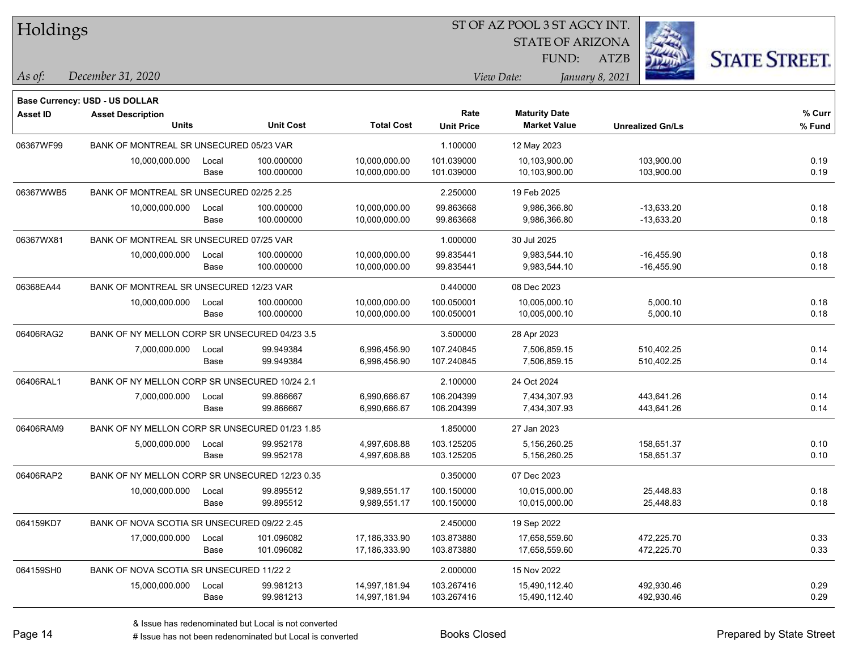| Holdings        |                                                                   |       |                  |                   |                   | ST OF AZ POOL 3 ST AGCY INT. |                         |                      |
|-----------------|-------------------------------------------------------------------|-------|------------------|-------------------|-------------------|------------------------------|-------------------------|----------------------|
|                 |                                                                   |       |                  |                   |                   | <b>STATE OF ARIZONA</b>      |                         |                      |
|                 |                                                                   |       |                  |                   |                   | FUND:                        | <b>ATZB</b>             | <b>STATE STREET.</b> |
| $\vert$ As of:  | December 31, 2020                                                 |       |                  |                   |                   | View Date:                   | January 8, 2021         |                      |
|                 |                                                                   |       |                  |                   |                   |                              |                         |                      |
| <b>Asset ID</b> | <b>Base Currency: USD - US DOLLAR</b><br><b>Asset Description</b> |       |                  |                   | Rate              | <b>Maturity Date</b>         |                         | % Curr               |
|                 | Units                                                             |       | <b>Unit Cost</b> | <b>Total Cost</b> | <b>Unit Price</b> | <b>Market Value</b>          | <b>Unrealized Gn/Ls</b> | % Fund               |
| 06367WF99       | BANK OF MONTREAL SR UNSECURED 05/23 VAR                           |       |                  |                   | 1.100000          | 12 May 2023                  |                         |                      |
|                 | 10,000,000.000                                                    | Local | 100.000000       | 10,000,000.00     | 101.039000        | 10,103,900.00                | 103,900.00              | 0.19                 |
|                 |                                                                   | Base  | 100.000000       | 10,000,000.00     | 101.039000        | 10,103,900.00                | 103,900.00              | 0.19                 |
| 06367WWB5       | BANK OF MONTREAL SR UNSECURED 02/25 2.25                          |       |                  |                   | 2.250000          | 19 Feb 2025                  |                         |                      |
|                 | 10,000,000.000                                                    | Local | 100.000000       | 10,000,000.00     | 99.863668         | 9,986,366.80                 | $-13,633.20$            | 0.18                 |
|                 |                                                                   | Base  | 100.000000       | 10,000,000.00     | 99.863668         | 9,986,366.80                 | $-13,633.20$            | 0.18                 |
| 06367WX81       | BANK OF MONTREAL SR UNSECURED 07/25 VAR                           |       |                  |                   | 1.000000          | 30 Jul 2025                  |                         |                      |
|                 | 10,000,000.000                                                    | Local | 100.000000       | 10,000,000.00     | 99.835441         | 9,983,544.10                 | $-16,455.90$            | 0.18                 |
|                 |                                                                   | Base  | 100.000000       | 10,000,000.00     | 99.835441         | 9,983,544.10                 | $-16,455.90$            | 0.18                 |
| 06368EA44       | BANK OF MONTREAL SR UNSECURED 12/23 VAR                           |       |                  |                   | 0.440000          | 08 Dec 2023                  |                         |                      |
|                 | 10,000,000.000                                                    | Local | 100.000000       | 10,000,000.00     | 100.050001        | 10,005,000.10                | 5,000.10                | 0.18                 |
|                 |                                                                   | Base  | 100.000000       | 10,000,000.00     | 100.050001        | 10,005,000.10                | 5,000.10                | 0.18                 |
| 06406RAG2       | BANK OF NY MELLON CORP SR UNSECURED 04/23 3.5                     |       |                  |                   | 3.500000          | 28 Apr 2023                  |                         |                      |
|                 | 7,000,000.000                                                     | Local | 99.949384        | 6,996,456.90      | 107.240845        | 7,506,859.15                 | 510,402.25              | 0.14                 |
|                 |                                                                   | Base  | 99.949384        | 6,996,456.90      | 107.240845        | 7,506,859.15                 | 510,402.25              | 0.14                 |
| 06406RAL1       | BANK OF NY MELLON CORP SR UNSECURED 10/24 2.1                     |       |                  |                   | 2.100000          | 24 Oct 2024                  |                         |                      |
|                 | 7,000,000.000                                                     | Local | 99.866667        | 6,990,666.67      | 106.204399        | 7,434,307.93                 | 443,641.26              | 0.14                 |
|                 |                                                                   | Base  | 99.866667        | 6,990,666.67      | 106.204399        | 7,434,307.93                 | 443,641.26              | 0.14                 |
| 06406RAM9       | BANK OF NY MELLON CORP SR UNSECURED 01/23 1.85                    |       |                  |                   | 1.850000          | 27 Jan 2023                  |                         |                      |
|                 | 5,000,000.000                                                     | Local | 99.952178        | 4,997,608.88      | 103.125205        | 5,156,260.25                 | 158,651.37              | 0.10                 |
|                 |                                                                   | Base  | 99.952178        | 4,997,608.88      | 103.125205        | 5,156,260.25                 | 158,651.37              | 0.10                 |
| 06406RAP2       | BANK OF NY MELLON CORP SR UNSECURED 12/23 0.35                    |       |                  |                   | 0.350000          | 07 Dec 2023                  |                         |                      |
|                 | 10,000,000.000                                                    | Local | 99.895512        | 9,989,551.17      | 100.150000        | 10,015,000.00                | 25,448.83               | 0.18                 |
|                 |                                                                   | Base  | 99.895512        | 9,989,551.17      | 100.150000        | 10,015,000.00                | 25,448.83               | 0.18                 |
| 064159KD7       | BANK OF NOVA SCOTIA SR UNSECURED 09/22 2.45                       |       |                  |                   | 2.450000          | 19 Sep 2022                  |                         |                      |
|                 | 17,000,000.000                                                    | Local | 101.096082       | 17,186,333.90     | 103.873880        | 17,658,559.60                | 472,225.70              | 0.33                 |
|                 |                                                                   | Base  | 101.096082       | 17,186,333.90     | 103.873880        | 17,658,559.60                | 472,225.70              | 0.33                 |
| 064159SH0       | BANK OF NOVA SCOTIA SR UNSECURED 11/22 2                          |       |                  |                   | 2.000000          | 15 Nov 2022                  |                         |                      |
|                 | 15,000,000.000                                                    | Local | 99.981213        | 14,997,181.94     | 103.267416        | 15,490,112.40                | 492,930.46              | 0.29                 |
|                 |                                                                   | Base  | 99.981213        | 14,997,181.94     | 103.267416        | 15,490,112.40                | 492,930.46              | 0.29                 |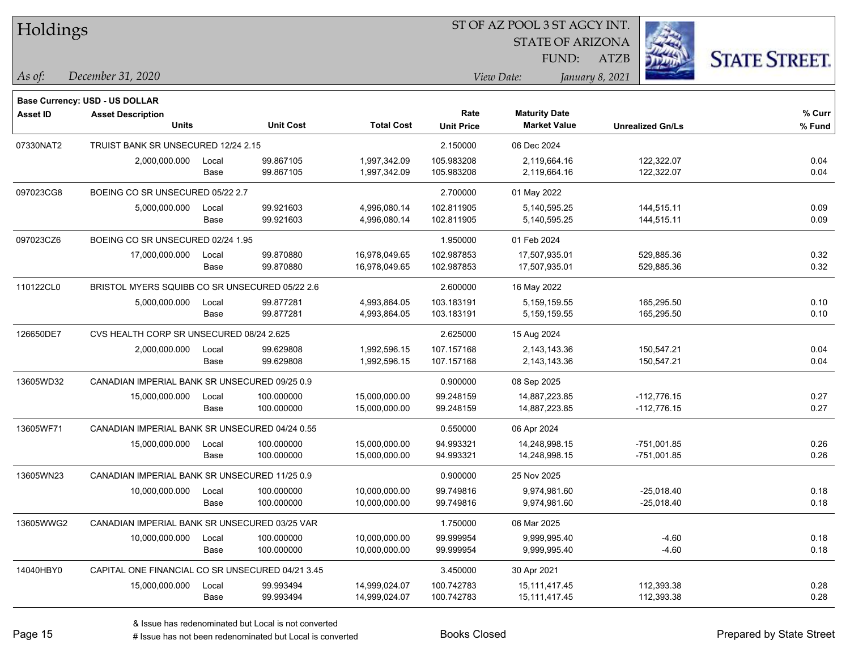| Holdings        |                                                  |       |                  |                   | ST OF AZ POOL 3 ST AGCY INT. |                         |                         |                      |  |  |
|-----------------|--------------------------------------------------|-------|------------------|-------------------|------------------------------|-------------------------|-------------------------|----------------------|--|--|
|                 |                                                  |       |                  |                   |                              | <b>STATE OF ARIZONA</b> |                         |                      |  |  |
|                 |                                                  |       |                  |                   |                              | FUND:                   | <b>ATZB</b>             | <b>STATE STREET.</b> |  |  |
| As of:          | December 31, 2020                                |       |                  |                   |                              | View Date:              | January 8, 2021         |                      |  |  |
|                 | <b>Base Currency: USD - US DOLLAR</b>            |       |                  |                   |                              |                         |                         |                      |  |  |
| <b>Asset ID</b> | <b>Asset Description</b>                         |       |                  |                   | Rate                         | <b>Maturity Date</b>    |                         | % Curr               |  |  |
|                 | <b>Units</b>                                     |       | <b>Unit Cost</b> | <b>Total Cost</b> | <b>Unit Price</b>            | <b>Market Value</b>     | <b>Unrealized Gn/Ls</b> | % Fund               |  |  |
| 07330NAT2       | TRUIST BANK SR UNSECURED 12/24 2.15              |       |                  |                   | 2.150000                     | 06 Dec 2024             |                         |                      |  |  |
|                 | 2,000,000.000                                    | Local | 99.867105        | 1,997,342.09      | 105.983208                   | 2,119,664.16            | 122,322.07              | 0.04                 |  |  |
|                 |                                                  | Base  | 99.867105        | 1,997,342.09      | 105.983208                   | 2,119,664.16            | 122,322.07              | 0.04                 |  |  |
| 097023CG8       | BOEING CO SR UNSECURED 05/22 2.7                 |       |                  |                   | 2.700000                     | 01 May 2022             |                         |                      |  |  |
|                 | 5,000,000.000                                    | Local | 99.921603        | 4,996,080.14      | 102.811905                   | 5,140,595.25            | 144,515.11              | 0.09                 |  |  |
|                 |                                                  | Base  | 99.921603        | 4,996,080.14      | 102.811905                   | 5,140,595.25            | 144,515.11              | 0.09                 |  |  |
| 097023CZ6       | BOEING CO SR UNSECURED 02/24 1.95                |       |                  |                   | 1.950000                     | 01 Feb 2024             |                         |                      |  |  |
|                 | 17,000,000.000                                   | Local | 99.870880        | 16,978,049.65     | 102.987853                   | 17,507,935.01           | 529,885.36              | 0.32                 |  |  |
|                 |                                                  | Base  | 99.870880        | 16,978,049.65     | 102.987853                   | 17,507,935.01           | 529,885.36              | 0.32                 |  |  |
| 110122CL0       | BRISTOL MYERS SQUIBB CO SR UNSECURED 05/22 2.6   |       |                  |                   | 2.600000                     | 16 May 2022             |                         |                      |  |  |
|                 | 5,000,000.000                                    | Local | 99.877281        | 4,993,864.05      | 103.183191                   | 5,159,159.55            | 165,295.50              | 0.10                 |  |  |
|                 |                                                  | Base  | 99.877281        | 4,993,864.05      | 103.183191                   | 5,159,159.55            | 165,295.50              | 0.10                 |  |  |
| 126650DE7       | CVS HEALTH CORP SR UNSECURED 08/24 2.625         |       |                  |                   | 2.625000                     | 15 Aug 2024             |                         |                      |  |  |
|                 | 2,000,000.000                                    | Local | 99.629808        | 1,992,596.15      | 107.157168                   | 2,143,143.36            | 150,547.21              | 0.04                 |  |  |
|                 |                                                  | Base  | 99.629808        | 1,992,596.15      | 107.157168                   | 2,143,143.36            | 150,547.21              | 0.04                 |  |  |
| 13605WD32       | CANADIAN IMPERIAL BANK SR UNSECURED 09/25 0.9    |       |                  |                   | 0.900000                     | 08 Sep 2025             |                         |                      |  |  |
|                 | 15,000,000.000                                   | Local | 100.000000       | 15,000,000.00     | 99.248159                    | 14,887,223.85           | $-112,776.15$           | 0.27                 |  |  |
|                 |                                                  | Base  | 100.000000       | 15,000,000.00     | 99.248159                    | 14,887,223.85           | $-112,776.15$           | 0.27                 |  |  |
| 13605WF71       | CANADIAN IMPERIAL BANK SR UNSECURED 04/24 0.55   |       |                  |                   | 0.550000                     | 06 Apr 2024             |                         |                      |  |  |
|                 | 15,000,000.000                                   | Local | 100.000000       | 15,000,000.00     | 94.993321                    | 14,248,998.15           | $-751,001.85$           | 0.26                 |  |  |
|                 |                                                  | Base  | 100.000000       | 15,000,000.00     | 94.993321                    | 14,248,998.15           | $-751,001.85$           | 0.26                 |  |  |
| 13605WN23       | CANADIAN IMPERIAL BANK SR UNSECURED 11/25 0.9    |       |                  |                   | 0.900000                     | 25 Nov 2025             |                         |                      |  |  |
|                 | 10,000,000.000                                   | Local | 100.000000       | 10,000,000.00     | 99.749816                    | 9,974,981.60            | $-25,018.40$            | 0.18                 |  |  |
|                 |                                                  | Base  | 100.000000       | 10,000,000.00     | 99.749816                    | 9,974,981.60            | $-25,018.40$            | 0.18                 |  |  |
| 13605WWG2       | CANADIAN IMPERIAL BANK SR UNSECURED 03/25 VAR    |       |                  |                   | 1.750000                     | 06 Mar 2025             |                         |                      |  |  |
|                 | 10,000,000.000                                   | Local | 100.000000       | 10,000,000.00     | 99.999954                    | 9,999,995.40            | $-4.60$                 | 0.18                 |  |  |
|                 |                                                  | Base  | 100.000000       | 10,000,000.00     | 99.999954                    | 9,999,995.40            | $-4.60$                 | 0.18                 |  |  |
| 14040HBY0       | CAPITAL ONE FINANCIAL CO SR UNSECURED 04/21 3.45 |       |                  |                   | 3.450000                     | 30 Apr 2021             |                         |                      |  |  |
|                 | 15,000,000.000                                   | Local | 99.993494        | 14,999,024.07     | 100.742783                   | 15,111,417.45           | 112,393.38              | 0.28                 |  |  |

Base 99.993494 14,999,024.07 100.742783 15,111,417.45 112,393.38 0.28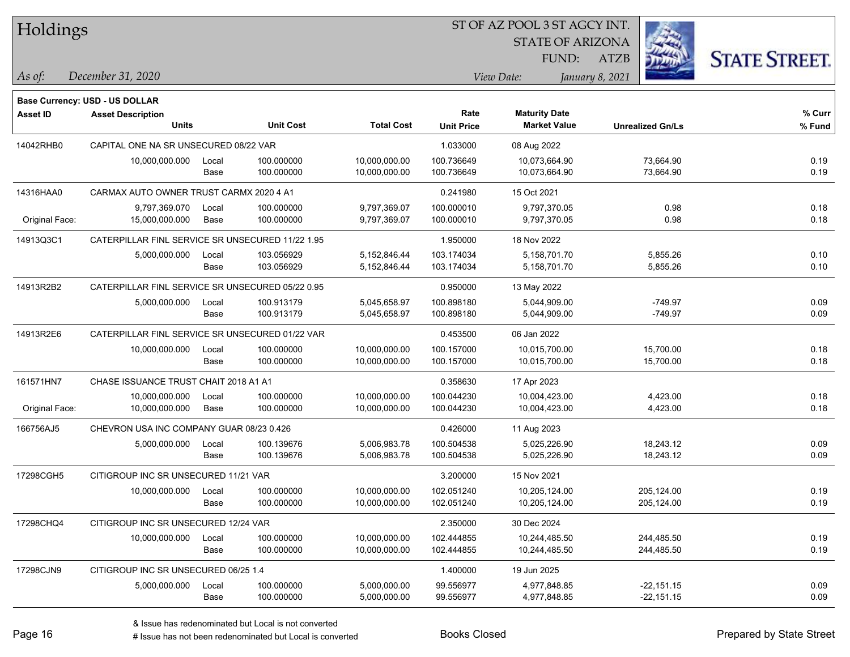| Holdings        |                                                  |               |                          |                                |                           | <b>STATE OF ARIZONA</b><br>FUND:            | <b>ATZB</b>                  | <b>STATE STREET.</b> |
|-----------------|--------------------------------------------------|---------------|--------------------------|--------------------------------|---------------------------|---------------------------------------------|------------------------------|----------------------|
| As of:          | December 31, 2020                                |               |                          |                                |                           | View Date:                                  | January 8, 2021              |                      |
|                 | Base Currency: USD - US DOLLAR                   |               |                          |                                |                           |                                             |                              |                      |
| <b>Asset ID</b> | <b>Asset Description</b><br><b>Units</b>         |               | <b>Unit Cost</b>         | <b>Total Cost</b>              | Rate<br><b>Unit Price</b> | <b>Maturity Date</b><br><b>Market Value</b> | <b>Unrealized Gn/Ls</b>      | % Curr<br>% Fund     |
| 14042RHB0       | CAPITAL ONE NA SR UNSECURED 08/22 VAR            |               |                          |                                | 1.033000                  | 08 Aug 2022                                 |                              |                      |
|                 | 10,000,000.000                                   | Local<br>Base | 100.000000<br>100.000000 | 10,000,000.00<br>10,000,000.00 | 100.736649<br>100.736649  | 10,073,664.90<br>10,073,664.90              | 73,664.90<br>73,664.90       | 0.19<br>0.19         |
| 14316HAA0       | CARMAX AUTO OWNER TRUST CARMX 2020 4 A1          |               |                          |                                | 0.241980                  | 15 Oct 2021                                 |                              |                      |
| Original Face:  | 9,797,369.070<br>15,000,000.000                  | Local<br>Base | 100.000000<br>100.000000 | 9,797,369.07<br>9,797,369.07   | 100.000010<br>100.000010  | 9,797,370.05<br>9,797,370.05                | 0.98<br>0.98                 | 0.18<br>0.18         |
| 14913Q3C1       | CATERPILLAR FINL SERVICE SR UNSECURED 11/22 1.95 |               |                          |                                | 1.950000                  | 18 Nov 2022                                 |                              |                      |
|                 | 5,000,000.000                                    | Local<br>Base | 103.056929<br>103.056929 | 5,152,846.44<br>5,152,846.44   | 103.174034<br>103.174034  | 5,158,701.70<br>5,158,701.70                | 5,855.26<br>5,855.26         | 0.10<br>0.10         |
| 14913R2B2       | CATERPILLAR FINL SERVICE SR UNSECURED 05/22 0.95 |               |                          |                                | 0.950000                  | 13 May 2022                                 |                              |                      |
|                 | 5,000,000.000                                    | Local<br>Base | 100.913179<br>100.913179 | 5,045,658.97<br>5,045,658.97   | 100.898180<br>100.898180  | 5,044,909.00<br>5,044,909.00                | $-749.97$<br>$-749.97$       | 0.09<br>0.09         |
| 14913R2E6       | CATERPILLAR FINL SERVICE SR UNSECURED 01/22 VAR  |               |                          |                                | 0.453500                  | 06 Jan 2022                                 |                              |                      |
|                 | 10,000,000.000                                   | Local<br>Base | 100.000000<br>100.000000 | 10,000,000.00<br>10,000,000.00 | 100.157000<br>100.157000  | 10,015,700.00<br>10,015,700.00              | 15,700.00<br>15,700.00       | 0.18<br>0.18         |
| 161571HN7       | CHASE ISSUANCE TRUST CHAIT 2018 A1 A1            |               |                          |                                | 0.358630                  | 17 Apr 2023                                 |                              |                      |
| Original Face:  | 10,000,000.000<br>10,000,000.000                 | Local<br>Base | 100.000000<br>100.000000 | 10,000,000.00<br>10,000,000.00 | 100.044230<br>100.044230  | 10,004,423.00<br>10,004,423.00              | 4,423.00<br>4,423.00         | 0.18<br>0.18         |
| 166756AJ5       | CHEVRON USA INC COMPANY GUAR 08/23 0.426         |               |                          |                                | 0.426000                  | 11 Aug 2023                                 |                              |                      |
|                 | 5,000,000.000                                    | Local<br>Base | 100.139676<br>100.139676 | 5,006,983.78<br>5,006,983.78   | 100.504538<br>100.504538  | 5,025,226.90<br>5,025,226.90                | 18,243.12<br>18,243.12       | 0.09<br>0.09         |
| 17298CGH5       | CITIGROUP INC SR UNSECURED 11/21 VAR             |               |                          |                                | 3.200000                  | 15 Nov 2021                                 |                              |                      |
|                 | 10,000,000.000                                   | Local<br>Base | 100.000000<br>100.000000 | 10,000,000.00<br>10,000,000.00 | 102.051240<br>102.051240  | 10,205,124.00<br>10,205,124.00              | 205,124.00<br>205,124.00     | 0.19<br>0.19         |
| 17298CHQ4       | CITIGROUP INC SR UNSECURED 12/24 VAR             |               |                          |                                | 2.350000                  | 30 Dec 2024                                 |                              |                      |
|                 | 10,000,000.000                                   | Local<br>Base | 100.000000<br>100.000000 | 10,000,000.00<br>10,000,000.00 | 102.444855<br>102.444855  | 10,244,485.50<br>10,244,485.50              | 244,485.50<br>244,485.50     | 0.19<br>0.19         |
| 17298CJN9       | CITIGROUP INC SR UNSECURED 06/25 1.4             |               |                          |                                | 1.400000                  | 19 Jun 2025                                 |                              |                      |
|                 | 5,000,000.000                                    | Local<br>Base | 100.000000<br>100.000000 | 5,000,000.00<br>5,000,000.00   | 99.556977<br>99.556977    | 4,977,848.85<br>4,977,848.85                | $-22,151.15$<br>$-22,151.15$ | 0.09<br>0.09         |

**CONSTRUCTION** 

 $TT.1.1:$ 

 $\overline{\phantom{0}}$ 

 $\overline{\phantom{0}}$ 

 $\overline{\phantom{0}}$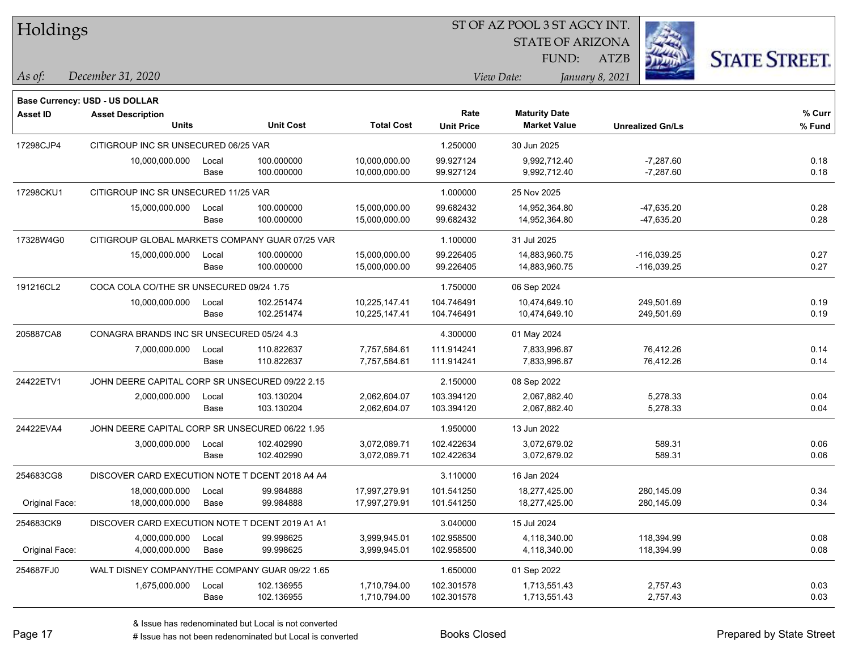| Holdings        |                                                 |       |                  |                   | ST OF AZ POOL 3 ST AGCY INT. |                         |                         |                      |  |  |
|-----------------|-------------------------------------------------|-------|------------------|-------------------|------------------------------|-------------------------|-------------------------|----------------------|--|--|
|                 |                                                 |       |                  |                   |                              | <b>STATE OF ARIZONA</b> |                         |                      |  |  |
|                 |                                                 |       |                  |                   |                              | FUND:                   | ATZB                    | <b>STATE STREET.</b> |  |  |
| As of:          | December 31, 2020                               |       |                  |                   |                              | View Date:              | January 8, 2021         |                      |  |  |
|                 |                                                 |       |                  |                   |                              |                         |                         |                      |  |  |
|                 | Base Currency: USD - US DOLLAR                  |       |                  |                   |                              |                         |                         |                      |  |  |
| <b>Asset ID</b> | <b>Asset Description</b>                        |       |                  |                   | Rate                         | <b>Maturity Date</b>    |                         | % Curr               |  |  |
|                 | <b>Units</b>                                    |       | <b>Unit Cost</b> | <b>Total Cost</b> | <b>Unit Price</b>            | <b>Market Value</b>     | <b>Unrealized Gn/Ls</b> | % Fund               |  |  |
| 17298CJP4       | CITIGROUP INC SR UNSECURED 06/25 VAR            |       |                  |                   | 1.250000                     | 30 Jun 2025             |                         |                      |  |  |
|                 | 10,000,000.000                                  | Local | 100.000000       | 10,000,000.00     | 99.927124                    | 9,992,712.40            | $-7,287.60$             | 0.18                 |  |  |
|                 |                                                 | Base  | 100.000000       | 10,000,000.00     | 99.927124                    | 9,992,712.40            | $-7,287.60$             | 0.18                 |  |  |
| 17298CKU1       | CITIGROUP INC SR UNSECURED 11/25 VAR            |       |                  |                   | 1.000000                     | 25 Nov 2025             |                         |                      |  |  |
|                 | 15,000,000.000                                  | Local | 100.000000       | 15,000,000.00     | 99.682432                    | 14,952,364.80           | -47,635.20              | 0.28                 |  |  |
|                 |                                                 | Base  | 100.000000       | 15,000,000.00     | 99.682432                    | 14,952,364.80           | $-47,635.20$            | 0.28                 |  |  |
| 17328W4G0       | CITIGROUP GLOBAL MARKETS COMPANY GUAR 07/25 VAR |       |                  |                   | 1.100000                     | 31 Jul 2025             |                         |                      |  |  |
|                 | 15,000,000.000                                  | Local | 100.000000       | 15,000,000.00     | 99.226405                    | 14,883,960.75           | $-116,039.25$           | 0.27                 |  |  |
|                 |                                                 | Base  | 100.000000       | 15,000,000.00     | 99.226405                    | 14,883,960.75           | $-116,039.25$           | 0.27                 |  |  |
| 191216CL2       | COCA COLA CO/THE SR UNSECURED 09/24 1.75        |       |                  |                   | 1.750000                     | 06 Sep 2024             |                         |                      |  |  |
|                 | 10,000,000.000                                  | Local | 102.251474       | 10,225,147.41     | 104.746491                   | 10,474,649.10           | 249,501.69              | 0.19                 |  |  |
|                 |                                                 | Base  | 102.251474       | 10,225,147.41     | 104.746491                   | 10,474,649.10           | 249,501.69              | 0.19                 |  |  |
| 205887CA8       | CONAGRA BRANDS INC SR UNSECURED 05/24 4.3       |       |                  |                   | 4.300000                     | 01 May 2024             |                         |                      |  |  |
|                 | 7,000,000.000                                   | Local | 110.822637       | 7,757,584.61      | 111.914241                   | 7,833,996.87            | 76,412.26               | 0.14                 |  |  |
|                 |                                                 | Base  | 110.822637       | 7,757,584.61      | 111.914241                   | 7,833,996.87            | 76,412.26               | 0.14                 |  |  |
| 24422ETV1       | JOHN DEERE CAPITAL CORP SR UNSECURED 09/22 2.15 |       |                  |                   | 2.150000                     | 08 Sep 2022             |                         |                      |  |  |
|                 | 2,000,000.000                                   | Local | 103.130204       | 2,062,604.07      | 103.394120                   | 2,067,882.40            | 5,278.33                | 0.04                 |  |  |
|                 |                                                 | Base  | 103.130204       | 2,062,604.07      | 103.394120                   | 2,067,882.40            | 5,278.33                | 0.04                 |  |  |
| 24422EVA4       | JOHN DEERE CAPITAL CORP SR UNSECURED 06/22 1.95 |       |                  |                   | 1.950000                     | 13 Jun 2022             |                         |                      |  |  |
|                 | 3,000,000.000                                   | Local | 102.402990       | 3,072,089.71      | 102.422634                   | 3,072,679.02            | 589.31                  | 0.06                 |  |  |
|                 |                                                 | Base  | 102.402990       | 3,072,089.71      | 102.422634                   | 3,072,679.02            | 589.31                  | 0.06                 |  |  |
| 254683CG8       | DISCOVER CARD EXECUTION NOTE T DCENT 2018 A4 A4 |       |                  |                   | 3.110000                     | 16 Jan 2024             |                         |                      |  |  |
|                 | 18,000,000.000                                  | Local | 99.984888        | 17,997,279.91     | 101.541250                   | 18,277,425.00           | 280,145.09              | 0.34                 |  |  |
| Original Face:  | 18,000,000.000                                  | Base  | 99.984888        | 17,997,279.91     | 101.541250                   | 18,277,425.00           | 280,145.09              | 0.34                 |  |  |
| 254683CK9       | DISCOVER CARD EXECUTION NOTE T DCENT 2019 A1 A1 |       |                  |                   | 3.040000                     | 15 Jul 2024             |                         |                      |  |  |
|                 | 4,000,000.000                                   | Local | 99.998625        | 3,999,945.01      | 102.958500                   | 4,118,340.00            | 118,394.99              | 0.08                 |  |  |
| Original Face:  | 4,000,000.000                                   | Base  | 99.998625        | 3,999,945.01      | 102.958500                   | 4,118,340.00            | 118,394.99              | 0.08                 |  |  |
| 254687FJ0       | WALT DISNEY COMPANY/THE COMPANY GUAR 09/22 1.65 |       |                  |                   | 1.650000                     | 01 Sep 2022             |                         |                      |  |  |
|                 | 1,675,000.000                                   | Local | 102.136955       | 1,710,794.00      | 102.301578                   | 1,713,551.43            | 2,757.43                | 0.03                 |  |  |
|                 |                                                 | Base  | 102.136955       | 1,710,794.00      | 102.301578                   | 1,713,551.43            | 2,757.43                | 0.03                 |  |  |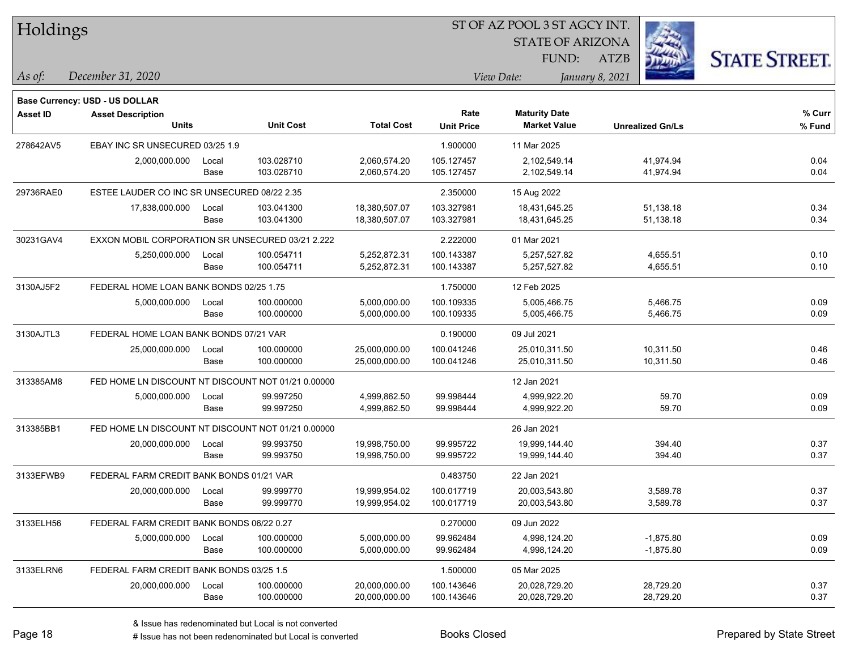| Holdings        |                                                    |       |                  |                   | SI OF AZ POOL 3 SI AGCY IN I. |                         |                         |                      |  |  |
|-----------------|----------------------------------------------------|-------|------------------|-------------------|-------------------------------|-------------------------|-------------------------|----------------------|--|--|
|                 |                                                    |       |                  |                   |                               | <b>STATE OF ARIZONA</b> |                         |                      |  |  |
|                 |                                                    |       |                  |                   |                               | FUND:                   | <b>ATZB</b>             | <b>STATE STREET.</b> |  |  |
| As of:          | December 31, 2020                                  |       |                  |                   |                               | View Date:              | January 8, 2021         |                      |  |  |
|                 | Base Currency: USD - US DOLLAR                     |       |                  |                   |                               |                         |                         |                      |  |  |
| <b>Asset ID</b> | <b>Asset Description</b>                           |       |                  |                   | Rate                          | <b>Maturity Date</b>    |                         | $%$ Curr             |  |  |
|                 | <b>Units</b>                                       |       | <b>Unit Cost</b> | <b>Total Cost</b> | <b>Unit Price</b>             | <b>Market Value</b>     | <b>Unrealized Gn/Ls</b> | % Fund               |  |  |
| 278642AV5       | EBAY INC SR UNSECURED 03/25 1.9                    |       |                  |                   | 1.900000                      | 11 Mar 2025             |                         |                      |  |  |
|                 | 2,000,000.000                                      | Local | 103.028710       | 2,060,574.20      | 105.127457                    | 2,102,549.14            | 41,974.94               | 0.04                 |  |  |
|                 |                                                    | Base  | 103.028710       | 2,060,574.20      | 105.127457                    | 2,102,549.14            | 41,974.94               | 0.04                 |  |  |
| 29736RAE0       | ESTEE LAUDER CO INC SR UNSECURED 08/22 2.35        |       |                  |                   | 2.350000                      | 15 Aug 2022             |                         |                      |  |  |
|                 | 17,838,000.000                                     | Local | 103.041300       | 18,380,507.07     | 103.327981                    | 18,431,645.25           | 51,138.18               | 0.34                 |  |  |
|                 |                                                    | Base  | 103.041300       | 18,380,507.07     | 103.327981                    | 18,431,645.25           | 51,138.18               | 0.34                 |  |  |
| 30231GAV4       | EXXON MOBIL CORPORATION SR UNSECURED 03/21 2.222   |       |                  |                   | 2.222000                      | 01 Mar 2021             |                         |                      |  |  |
|                 | 5,250,000.000                                      | Local | 100.054711       | 5,252,872.31      | 100.143387                    | 5,257,527.82            | 4,655.51                | 0.10                 |  |  |
|                 |                                                    | Base  | 100.054711       | 5,252,872.31      | 100.143387                    | 5,257,527.82            | 4,655.51                | 0.10                 |  |  |
| 3130AJ5F2       | FEDERAL HOME LOAN BANK BONDS 02/25 1.75            |       |                  |                   | 1.750000                      | 12 Feb 2025             |                         |                      |  |  |
|                 | 5,000,000.000                                      | Local | 100.000000       | 5,000,000.00      | 100.109335                    | 5,005,466.75            | 5,466.75                | 0.09                 |  |  |
|                 |                                                    | Base  | 100.000000       | 5,000,000.00      | 100.109335                    | 5,005,466.75            | 5,466.75                | 0.09                 |  |  |
| 3130AJTL3       | FEDERAL HOME LOAN BANK BONDS 07/21 VAR             |       |                  |                   | 0.190000                      | 09 Jul 2021             |                         |                      |  |  |
|                 | 25,000,000.000                                     | Local | 100.000000       | 25,000,000.00     | 100.041246                    | 25,010,311.50           | 10,311.50               | 0.46                 |  |  |
|                 |                                                    | Base  | 100.000000       | 25,000,000.00     | 100.041246                    | 25,010,311.50           | 10,311.50               | 0.46                 |  |  |
| 313385AM8       | FED HOME LN DISCOUNT NT DISCOUNT NOT 01/21 0.00000 |       |                  |                   |                               | 12 Jan 2021             |                         |                      |  |  |
|                 | 5,000,000.000                                      | Local | 99.997250        | 4,999,862.50      | 99.998444                     | 4,999,922.20            | 59.70                   | 0.09                 |  |  |
|                 |                                                    | Base  | 99.997250        | 4,999,862.50      | 99.998444                     | 4,999,922.20            | 59.70                   | 0.09                 |  |  |
| 313385BB1       | FED HOME LN DISCOUNT NT DISCOUNT NOT 01/21 0.00000 |       |                  |                   |                               | 26 Jan 2021             |                         |                      |  |  |
|                 | 20,000,000.000                                     | Local | 99.993750        | 19,998,750.00     | 99.995722                     | 19,999,144.40           | 394.40                  | 0.37                 |  |  |
|                 |                                                    | Base  | 99.993750        | 19,998,750.00     | 99.995722                     | 19,999,144.40           | 394.40                  | 0.37                 |  |  |
| 3133EFWB9       | FEDERAL FARM CREDIT BANK BONDS 01/21 VAR           |       |                  |                   | 0.483750                      | 22 Jan 2021             |                         |                      |  |  |
|                 | 20,000,000.000                                     | Local | 99.999770        | 19,999,954.02     | 100.017719                    | 20,003,543.80           | 3,589.78                | 0.37                 |  |  |
|                 |                                                    | Base  | 99.999770        | 19,999,954.02     | 100.017719                    | 20,003,543.80           | 3,589.78                | 0.37                 |  |  |
| 3133ELH56       | FEDERAL FARM CREDIT BANK BONDS 06/22 0.27          |       |                  |                   | 0.270000                      | 09 Jun 2022             |                         |                      |  |  |
|                 | 5,000,000.000                                      | Local | 100.000000       | 5,000,000.00      | 99.962484                     | 4,998,124.20            | $-1,875.80$             | 0.09                 |  |  |
|                 |                                                    | Base  | 100.000000       | 5,000,000.00      | 99.962484                     | 4,998,124.20            | $-1,875.80$             | 0.09                 |  |  |
| 3133ELRN6       | FEDERAL FARM CREDIT BANK BONDS 03/25 1.5           |       |                  |                   | 1.500000                      | 05 Mar 2025             |                         |                      |  |  |
|                 | 20,000,000.000                                     | Local | 100.000000       | 20,000,000.00     | 100.143646                    | 20,028,729.20           | 28,729.20               | 0.37                 |  |  |
|                 |                                                    | Base  | 100.000000       | 20,000,000.00     | 100.143646                    | 20,028,729.20           | 28,729.20               | 0.37                 |  |  |

 $\overline{\text{SUSP}}$ 

٦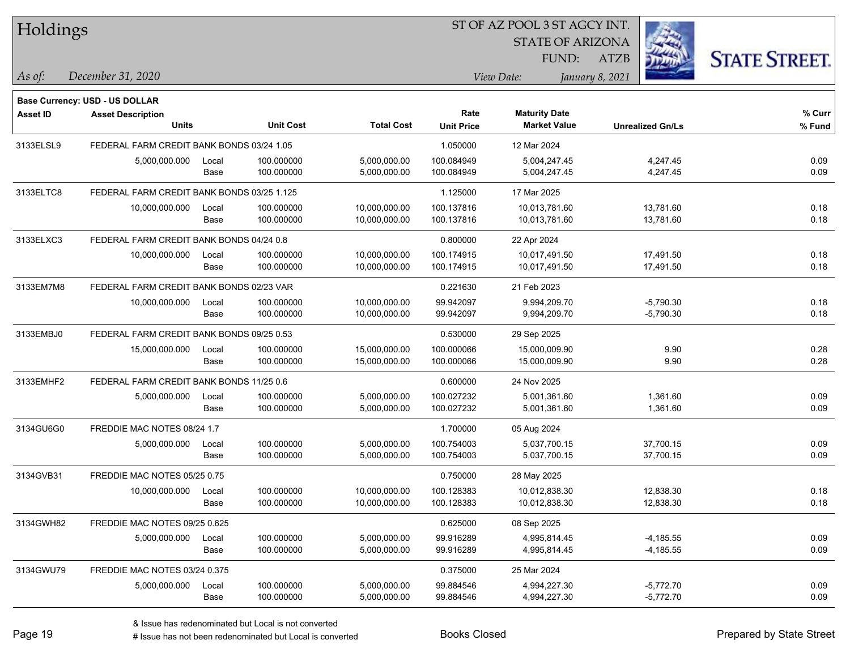| Holdings        |                                            |       |                  |                   | ST OF AZ POOL 3 ST AGCY INT. |                         |                 |                         |                      |  |
|-----------------|--------------------------------------------|-------|------------------|-------------------|------------------------------|-------------------------|-----------------|-------------------------|----------------------|--|
|                 |                                            |       |                  |                   |                              | <b>STATE OF ARIZONA</b> |                 |                         |                      |  |
|                 |                                            |       |                  |                   |                              | FUND:                   | <b>ATZB</b>     |                         | <b>STATE STREET.</b> |  |
| As of:          | December 31, 2020                          |       |                  |                   |                              | View Date:              | January 8, 2021 |                         |                      |  |
|                 | Base Currency: USD - US DOLLAR             |       |                  |                   |                              |                         |                 |                         |                      |  |
| <b>Asset ID</b> | <b>Asset Description</b>                   |       |                  |                   | Rate                         | <b>Maturity Date</b>    |                 |                         | % Curr               |  |
|                 | <b>Units</b>                               |       | <b>Unit Cost</b> | <b>Total Cost</b> | <b>Unit Price</b>            | <b>Market Value</b>     |                 | <b>Unrealized Gn/Ls</b> | % Fund               |  |
| 3133ELSL9       | FEDERAL FARM CREDIT BANK BONDS 03/24 1.05  |       |                  |                   | 1.050000                     | 12 Mar 2024             |                 |                         |                      |  |
|                 | 5,000,000.000                              | Local | 100.000000       | 5,000,000.00      | 100.084949                   | 5,004,247.45            |                 | 4,247.45                | 0.09                 |  |
|                 |                                            | Base  | 100.000000       | 5,000,000.00      | 100.084949                   | 5,004,247.45            |                 | 4,247.45                | 0.09                 |  |
| 3133ELTC8       | FEDERAL FARM CREDIT BANK BONDS 03/25 1.125 |       |                  |                   | 1.125000                     | 17 Mar 2025             |                 |                         |                      |  |
|                 | 10,000,000.000                             | Local | 100.000000       | 10,000,000.00     | 100.137816                   | 10,013,781.60           |                 | 13,781.60               | 0.18                 |  |
|                 |                                            | Base  | 100.000000       | 10,000,000.00     | 100.137816                   | 10,013,781.60           |                 | 13,781.60               | 0.18                 |  |
| 3133ELXC3       | FEDERAL FARM CREDIT BANK BONDS 04/24 0.8   |       |                  |                   | 0.800000                     | 22 Apr 2024             |                 |                         |                      |  |
|                 | 10,000,000.000                             | Local | 100.000000       | 10,000,000.00     | 100.174915                   | 10,017,491.50           |                 | 17,491.50               | 0.18                 |  |
|                 |                                            | Base  | 100.000000       | 10,000,000.00     | 100.174915                   | 10,017,491.50           |                 | 17,491.50               | 0.18                 |  |
| 3133EM7M8       | FEDERAL FARM CREDIT BANK BONDS 02/23 VAR   |       |                  |                   | 0.221630                     | 21 Feb 2023             |                 |                         |                      |  |
|                 | 10,000,000.000                             | Local | 100.000000       | 10,000,000.00     | 99.942097                    | 9,994,209.70            |                 | $-5,790.30$             | 0.18                 |  |
|                 |                                            | Base  | 100.000000       | 10,000,000.00     | 99.942097                    | 9,994,209.70            |                 | $-5,790.30$             | 0.18                 |  |
| 3133EMBJ0       | FEDERAL FARM CREDIT BANK BONDS 09/25 0.53  |       |                  |                   | 0.530000                     | 29 Sep 2025             |                 |                         |                      |  |
|                 | 15,000,000.000                             | Local | 100.000000       | 15,000,000.00     | 100.000066                   | 15,000,009.90           |                 | 9.90                    | 0.28                 |  |
|                 |                                            | Base  | 100.000000       | 15,000,000.00     | 100.000066                   | 15,000,009.90           |                 | 9.90                    | 0.28                 |  |
| 3133EMHF2       | FEDERAL FARM CREDIT BANK BONDS 11/25 0.6   |       |                  |                   | 0.600000                     | 24 Nov 2025             |                 |                         |                      |  |
|                 | 5,000,000.000                              | Local | 100.000000       | 5,000,000.00      | 100.027232                   | 5,001,361.60            |                 | 1,361.60                | 0.09                 |  |
|                 |                                            | Base  | 100.000000       | 5,000,000.00      | 100.027232                   | 5,001,361.60            |                 | 1,361.60                | 0.09                 |  |
| 3134GU6G0       | FREDDIE MAC NOTES 08/24 1.7                |       |                  |                   | 1.700000                     | 05 Aug 2024             |                 |                         |                      |  |
|                 | 5,000,000.000                              | Local | 100.000000       | 5,000,000.00      | 100.754003                   | 5,037,700.15            |                 | 37,700.15               | 0.09                 |  |
|                 |                                            | Base  | 100.000000       | 5,000,000.00      | 100.754003                   | 5,037,700.15            |                 | 37,700.15               | 0.09                 |  |
| 3134GVB31       | FREDDIE MAC NOTES 05/25 0.75               |       |                  |                   | 0.750000                     | 28 May 2025             |                 |                         |                      |  |
|                 | 10,000,000.000                             | Local | 100.000000       | 10,000,000.00     | 100.128383                   | 10,012,838.30           |                 | 12,838.30               | 0.18                 |  |
|                 |                                            | Base  | 100.000000       | 10,000,000.00     | 100.128383                   | 10,012,838.30           |                 | 12,838.30               | 0.18                 |  |
| 3134GWH82       | FREDDIE MAC NOTES 09/25 0.625              |       |                  |                   | 0.625000                     | 08 Sep 2025             |                 |                         |                      |  |
|                 | 5,000,000.000                              | Local | 100.000000       | 5,000,000.00      | 99.916289                    | 4,995,814.45            |                 | $-4,185.55$             | 0.09                 |  |
|                 |                                            | Base  | 100.000000       | 5,000,000.00      | 99.916289                    | 4,995,814.45            |                 | $-4,185.55$             | 0.09                 |  |
| 3134GWU79       | FREDDIE MAC NOTES 03/24 0.375              |       |                  |                   | 0.375000                     | 25 Mar 2024             |                 |                         |                      |  |
|                 | 5,000,000.000                              | Local | 100.000000       | 5,000,000.00      | 99.884546                    | 4,994,227.30            |                 | $-5,772.70$             | 0.09                 |  |
|                 |                                            | Base  | 100.000000       | 5,000,000.00      | 99.884546                    | 4,994,227.30            |                 | $-5,772.70$             | 0.09                 |  |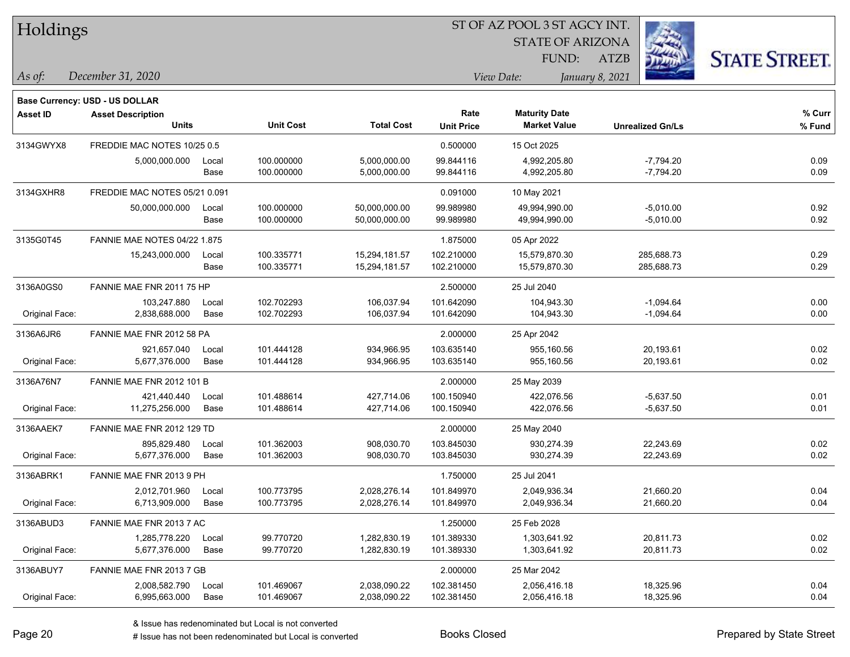|  | <b>Holdings</b> |
|--|-----------------|
|  |                 |

**Maturity Date**

STATE OF ARIZONA

ATZB



**% Fund**

**% Curr**

*December 31, 2020 As of: View Date: January 8, 2021*

**Base Currency: USD - US DOLLAR**

FUND:

| 3134GWYX8      | FREDDIE MAC NOTES 10/25 0.5         |               |                          |                                | 0.500000                 | 15 Oct 2025                    |                            |              |
|----------------|-------------------------------------|---------------|--------------------------|--------------------------------|--------------------------|--------------------------------|----------------------------|--------------|
|                | 5.000.000.000                       | Local<br>Base | 100.000000<br>100.000000 | 5,000,000.00<br>5,000,000.00   | 99.844116<br>99.844116   | 4,992,205.80<br>4,992,205.80   | $-7,794.20$<br>$-7,794.20$ | 0.09<br>0.09 |
| 3134GXHR8      | FREDDIE MAC NOTES 05/21 0.091       |               |                          |                                | 0.091000                 | 10 May 2021                    |                            |              |
|                | 50,000,000.000                      | Local<br>Base | 100.000000<br>100.000000 | 50,000,000.00<br>50,000,000.00 | 99.989980<br>99.989980   | 49,994,990.00<br>49,994,990.00 | $-5,010.00$<br>$-5,010.00$ | 0.92<br>0.92 |
| 3135G0T45      | <b>FANNIE MAE NOTES 04/22 1.875</b> |               |                          |                                | 1.875000                 | 05 Apr 2022                    |                            |              |
|                | 15,243,000.000                      | Local<br>Base | 100.335771<br>100.335771 | 15,294,181.57<br>15,294,181.57 | 102.210000<br>102.210000 | 15,579,870.30<br>15,579,870.30 | 285,688.73<br>285,688.73   | 0.29<br>0.29 |
| 3136A0GS0      | FANNIE MAE FNR 2011 75 HP           |               |                          |                                | 2.500000                 | 25 Jul 2040                    |                            |              |
| Original Face: | 103,247.880<br>2,838,688.000        | Local<br>Base | 102.702293<br>102.702293 | 106.037.94<br>106,037.94       | 101.642090<br>101.642090 | 104.943.30<br>104,943.30       | $-1,094.64$<br>$-1,094.64$ | 0.00<br>0.00 |
| 3136A6JR6      | FANNIE MAE FNR 2012 58 PA           |               |                          |                                | 2.000000                 | 25 Apr 2042                    |                            |              |
| Original Face: | 921,657.040<br>5,677,376.000        | Local<br>Base | 101.444128<br>101.444128 | 934,966.95<br>934,966.95       | 103.635140<br>103.635140 | 955,160.56<br>955,160.56       | 20,193.61<br>20,193.61     | 0.02<br>0.02 |
| 3136A76N7      | <b>FANNIE MAE FNR 2012 101 B</b>    |               |                          |                                | 2.000000                 | 25 May 2039                    |                            |              |
| Original Face: | 421,440.440<br>11,275,256.000       | Local<br>Base | 101.488614<br>101.488614 | 427,714.06<br>427,714.06       | 100.150940<br>100.150940 | 422.076.56<br>422,076.56       | $-5,637.50$<br>$-5,637.50$ | 0.01<br>0.01 |
| 3136AAEK7      | FANNIE MAE FNR 2012 129 TD          |               |                          |                                | 2.000000                 | 25 May 2040                    |                            |              |
| Original Face: | 895,829.480<br>5.677.376.000        | Local<br>Base | 101.362003<br>101.362003 | 908,030.70<br>908,030.70       | 103.845030<br>103.845030 | 930,274.39<br>930,274.39       | 22,243.69<br>22,243.69     | 0.02<br>0.02 |
| 3136ABRK1      | FANNIE MAE FNR 2013 9 PH            |               |                          |                                | 1.750000                 | 25 Jul 2041                    |                            |              |
| Original Face: | 2,012,701.960<br>6,713,909.000      | Local<br>Base | 100.773795<br>100.773795 | 2,028,276.14<br>2,028,276.14   | 101.849970<br>101.849970 | 2,049,936.34<br>2,049,936.34   | 21,660.20<br>21,660.20     | 0.04<br>0.04 |
| 3136ABUD3      | FANNIE MAE FNR 2013 7 AC            |               |                          |                                | 1.250000                 | 25 Feb 2028                    |                            |              |
| Original Face: | 1,285,778.220<br>5,677,376.000      | Local<br>Base | 99.770720<br>99.770720   | 1,282,830.19<br>1,282,830.19   | 101.389330<br>101.389330 | 1,303,641.92<br>1,303,641.92   | 20,811.73<br>20,811.73     | 0.02<br>0.02 |
| 3136ABUY7      | FANNIE MAE FNR 2013 7 GB            |               |                          |                                | 2.000000                 | 25 Mar 2042                    |                            |              |
|                | 2,008,582.790                       | Local         | 101.469067               | 2,038,090.22                   | 102.381450               | 2,056,416.18                   | 18,325.96                  | 0.04         |

**Units Unit Cost Total Cost Unit Price Market Value Unrealized Gn/Ls**

**Asset ID Asset Description Rate**

Original Face: 6,995,663.000 Base 101.469067 2,038,090.22 102.381450 2,056,416.18 18,325.96 0.04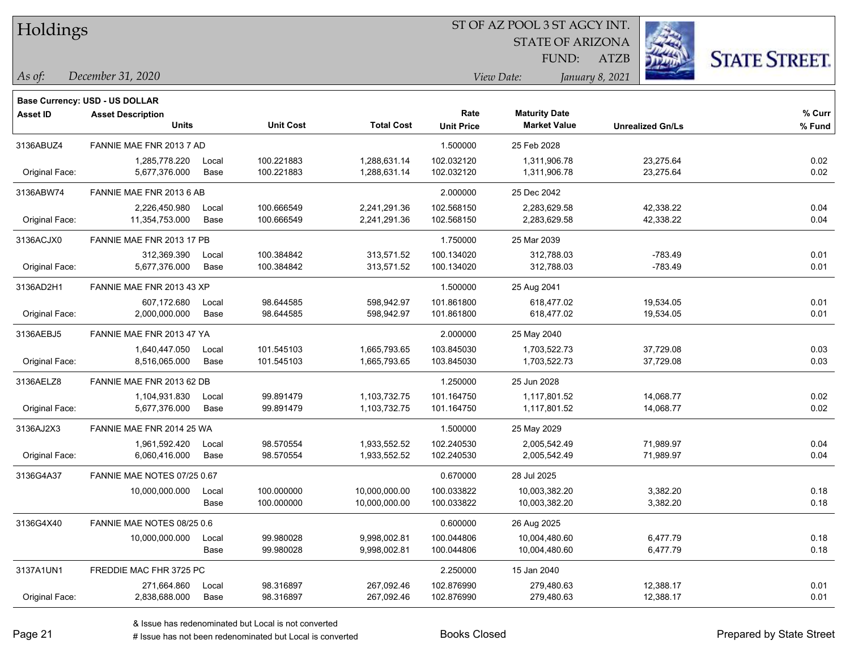| Holdings |
|----------|
|          |

STATE OF ARIZONA FUND:



*December 31, 2020 As of: View Date: January 8, 2021*

|          | $1100$ , $1000$ , $1000$ , $1000$     |  |
|----------|---------------------------------------|--|
|          |                                       |  |
|          | <b>Base Currency: USD - US DOLLAR</b> |  |
| Acces ID | Accept Deception                      |  |

| <b>Asset Description</b>       |               | <b>Unit Cost</b>                                                                                                                                                                                                                                                                                              | <b>Total Cost</b>            | Rate<br><b>Unit Price</b> | <b>Maturity Date</b><br><b>Market Value</b> | <b>Unrealized Gn/Ls</b> | % Curr<br>% Fund |
|--------------------------------|---------------|---------------------------------------------------------------------------------------------------------------------------------------------------------------------------------------------------------------------------------------------------------------------------------------------------------------|------------------------------|---------------------------|---------------------------------------------|-------------------------|------------------|
|                                |               |                                                                                                                                                                                                                                                                                                               |                              | 1.500000                  | 25 Feb 2028                                 |                         |                  |
| 1,285,778.220<br>5,677,376.000 | Local<br>Base | 100.221883<br>100.221883                                                                                                                                                                                                                                                                                      | 1,288,631.14<br>1,288,631.14 | 102.032120<br>102.032120  | 1,311,906.78<br>1,311,906.78                | 23,275.64<br>23,275.64  | 0.02<br>0.02     |
|                                |               |                                                                                                                                                                                                                                                                                                               |                              | 2.000000                  | 25 Dec 2042                                 |                         |                  |
| 2,226,450.980                  | Local         | 100.666549                                                                                                                                                                                                                                                                                                    | 2,241,291.36                 | 102.568150                | 2,283,629.58                                | 42,338.22               | 0.04             |
| 11,354,753.000                 | Base          | 100.666549                                                                                                                                                                                                                                                                                                    | 2,241,291.36                 |                           | 2,283,629.58                                |                         | 0.04             |
|                                |               |                                                                                                                                                                                                                                                                                                               |                              | 1.750000                  | 25 Mar 2039                                 |                         |                  |
| 312,369.390                    | Local         | 100.384842                                                                                                                                                                                                                                                                                                    | 313,571.52                   | 100.134020                | 312,788.03                                  | $-783.49$               | 0.01             |
| 5,677,376.000                  | Base          | 100.384842                                                                                                                                                                                                                                                                                                    | 313,571.52                   | 100.134020                | 312,788.03                                  | $-783.49$               | 0.01             |
|                                |               |                                                                                                                                                                                                                                                                                                               |                              | 1.500000                  | 25 Aug 2041                                 |                         |                  |
| 607,172.680                    | Local         | 98.644585                                                                                                                                                                                                                                                                                                     | 598,942.97                   | 101.861800                | 618,477.02                                  | 19,534.05               | 0.01             |
| 2,000,000.000                  | Base          | 98.644585                                                                                                                                                                                                                                                                                                     | 598,942.97                   | 101.861800                | 618,477.02                                  | 19,534.05               | 0.01             |
|                                |               |                                                                                                                                                                                                                                                                                                               |                              | 2.000000                  | 25 May 2040                                 |                         |                  |
| 1,640,447.050                  | Local         | 101.545103                                                                                                                                                                                                                                                                                                    | 1,665,793.65                 | 103.845030                | 1,703,522.73                                | 37,729.08               | 0.03             |
| 8,516,065.000                  | Base          | 101.545103                                                                                                                                                                                                                                                                                                    | 1,665,793.65                 | 103.845030                | 1,703,522.73                                | 37,729.08               | 0.03             |
|                                |               |                                                                                                                                                                                                                                                                                                               |                              | 1.250000                  | 25 Jun 2028                                 |                         |                  |
| 1,104,931.830                  | Local         | 99.891479                                                                                                                                                                                                                                                                                                     | 1,103,732.75                 | 101.164750                | 1,117,801.52                                | 14,068.77               | 0.02             |
| 5,677,376.000                  | Base          | 99.891479                                                                                                                                                                                                                                                                                                     | 1,103,732.75                 | 101.164750                | 1,117,801.52                                | 14,068.77               | 0.02             |
|                                |               |                                                                                                                                                                                                                                                                                                               |                              | 1.500000                  | 25 May 2029                                 |                         |                  |
| 1,961,592.420                  | Local         | 98.570554                                                                                                                                                                                                                                                                                                     | 1,933,552.52                 | 102.240530                | 2,005,542.49                                | 71,989.97               | 0.04             |
| 6,060,416.000                  | Base          | 98.570554                                                                                                                                                                                                                                                                                                     | 1,933,552.52                 | 102.240530                | 2,005,542.49                                | 71,989.97               | 0.04             |
|                                |               |                                                                                                                                                                                                                                                                                                               |                              | 0.670000                  | 28 Jul 2025                                 |                         |                  |
| 10,000,000.000                 | Local         | 100.000000                                                                                                                                                                                                                                                                                                    | 10,000,000.00                | 100.033822                | 10,003,382.20                               | 3,382.20                | 0.18             |
|                                | Base          | 100.000000                                                                                                                                                                                                                                                                                                    | 10,000,000.00                | 100.033822                | 10,003,382.20                               | 3,382.20                | 0.18             |
|                                |               |                                                                                                                                                                                                                                                                                                               |                              | 0.600000                  | 26 Aug 2025                                 |                         |                  |
| 10,000,000.000                 | Local         | 99.980028                                                                                                                                                                                                                                                                                                     | 9,998,002.81                 | 100.044806                | 10,004,480.60                               | 6,477.79                | 0.18             |
|                                | Base          | 99.980028                                                                                                                                                                                                                                                                                                     | 9,998,002.81                 | 100.044806                | 10,004,480.60                               | 6,477.79                | 0.18             |
|                                |               |                                                                                                                                                                                                                                                                                                               |                              | 2.250000                  | 15 Jan 2040                                 |                         |                  |
| 271,664.860                    | Local         | 98.316897                                                                                                                                                                                                                                                                                                     | 267,092.46                   | 102.876990                | 279,480.63                                  | 12,388.17               | 0.01             |
| 2,838,688.000                  | Base          | 98.316897                                                                                                                                                                                                                                                                                                     | 267,092.46                   | 102.876990                | 279,480.63                                  | 12,388.17               | 0.01             |
|                                |               | <b>Units</b><br>FANNIE MAE FNR 2013 7 AD<br>FANNIE MAE FNR 2013 6 AB<br>FANNIE MAE FNR 2013 17 PB<br>FANNIE MAE FNR 2013 43 XP<br>FANNIE MAE FNR 2013 47 YA<br>FANNIE MAE FNR 2013 62 DB<br>FANNIE MAE FNR 2014 25 WA<br>FANNIE MAE NOTES 07/25 0.67<br>FANNIE MAE NOTES 08/25 0.6<br>FREDDIE MAC FHR 3725 PC |                              |                           | 102.568150                                  |                         | 42,338.22        |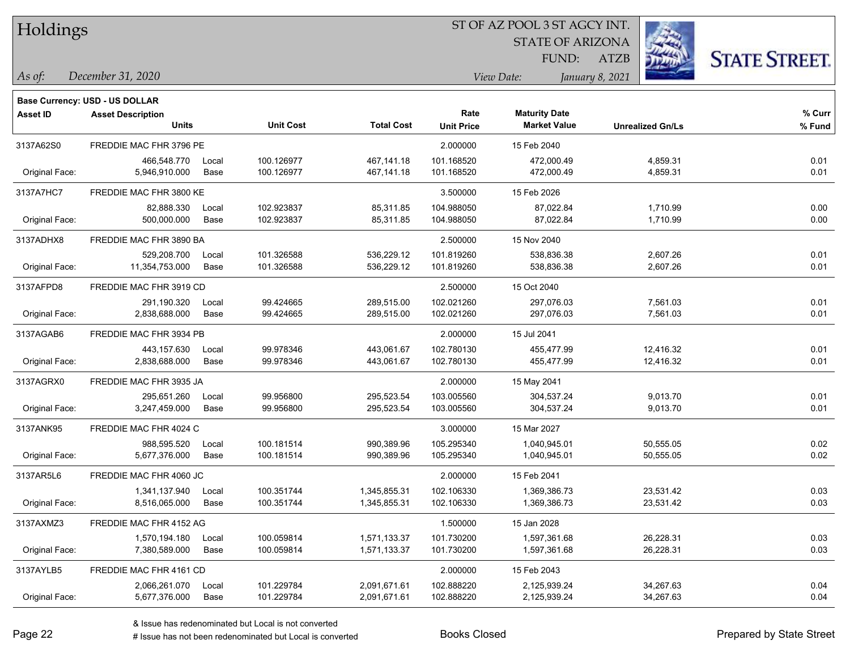| Holdings |
|----------|
|          |

STATE OF ARIZONA FUND:

ATZB



*December 31, 2020 As of: View Date: January 8, 2021*

**Base Currency: USD - US DOLLAR**

| Asset ID       | <b>Asset Description</b> |       |                  |                   | Rate              | <b>Maturity Date</b> |                         | % Curr |
|----------------|--------------------------|-------|------------------|-------------------|-------------------|----------------------|-------------------------|--------|
|                | Units                    |       | <b>Unit Cost</b> | <b>Total Cost</b> | <b>Unit Price</b> | <b>Market Value</b>  | <b>Unrealized Gn/Ls</b> | % Fund |
| 3137A62S0      | FREDDIE MAC FHR 3796 PE  |       |                  |                   | 2.000000          | 15 Feb 2040          |                         |        |
|                | 466,548.770              | Local | 100.126977       | 467,141.18        | 101.168520        | 472,000.49           | 4,859.31                | 0.01   |
| Original Face: | 5,946,910.000            | Base  | 100.126977       | 467,141.18        | 101.168520        | 472,000.49           | 4,859.31                | 0.01   |
| 3137A7HC7      | FREDDIE MAC FHR 3800 KE  |       |                  |                   | 3.500000          | 15 Feb 2026          |                         |        |
|                | 82.888.330               | Local | 102.923837       | 85,311.85         | 104.988050        | 87,022.84            | 1,710.99                | 0.00   |
| Original Face: | 500,000.000              | Base  | 102.923837       | 85,311.85         | 104.988050        | 87,022.84            | 1,710.99                | 0.00   |
| 3137ADHX8      | FREDDIE MAC FHR 3890 BA  |       |                  |                   | 2.500000          | 15 Nov 2040          |                         |        |
|                | 529,208.700              | Local | 101.326588       | 536,229.12        | 101.819260        | 538,836.38           | 2,607.26                | 0.01   |
| Original Face: | 11,354,753.000           | Base  | 101.326588       | 536,229.12        | 101.819260        | 538,836.38           | 2,607.26                | 0.01   |
| 3137AFPD8      | FREDDIE MAC FHR 3919 CD  |       |                  |                   | 2.500000          | 15 Oct 2040          |                         |        |
|                | 291,190.320              | Local | 99.424665        | 289,515.00        | 102.021260        | 297,076.03           | 7,561.03                | 0.01   |
| Original Face: | 2,838,688.000            | Base  | 99.424665        | 289,515.00        | 102.021260        | 297,076.03           | 7,561.03                | 0.01   |
| 3137AGAB6      | FREDDIE MAC FHR 3934 PB  |       |                  |                   | 2.000000          | 15 Jul 2041          |                         |        |
|                | 443,157.630              | Local | 99.978346        | 443,061.67        | 102.780130        | 455,477.99           | 12,416.32               | 0.01   |
| Original Face: | 2,838,688.000            | Base  | 99.978346        | 443,061.67        | 102.780130        | 455,477.99           | 12,416.32               | 0.01   |
| 3137AGRX0      | FREDDIE MAC FHR 3935 JA  |       |                  |                   | 2.000000          | 15 May 2041          |                         |        |
|                | 295,651.260              | Local | 99.956800        | 295,523.54        | 103.005560        | 304,537.24           | 9,013.70                | 0.01   |
| Original Face: | 3,247,459.000            | Base  | 99.956800        | 295,523.54        | 103.005560        | 304,537.24           | 9,013.70                | 0.01   |
| 3137ANK95      | FREDDIE MAC FHR 4024 C   |       |                  |                   | 3.000000          | 15 Mar 2027          |                         |        |
|                | 988,595.520              | Local | 100.181514       | 990,389.96        | 105.295340        | 1,040,945.01         | 50,555.05               | 0.02   |
| Original Face: | 5,677,376.000            | Base  | 100.181514       | 990,389.96        | 105.295340        | 1,040,945.01         | 50,555.05               | 0.02   |
| 3137AR5L6      | FREDDIE MAC FHR 4060 JC  |       |                  |                   | 2.000000          | 15 Feb 2041          |                         |        |
|                | 1,341,137.940            | Local | 100.351744       | 1,345,855.31      | 102.106330        | 1,369,386.73         | 23,531.42               | 0.03   |
| Original Face: | 8,516,065.000            | Base  | 100.351744       | 1,345,855.31      | 102.106330        | 1,369,386.73         | 23,531.42               | 0.03   |
| 3137AXMZ3      | FREDDIE MAC FHR 4152 AG  |       |                  |                   | 1.500000          | 15 Jan 2028          |                         |        |
|                | 1,570,194.180            | Local | 100.059814       | 1,571,133.37      | 101.730200        | 1,597,361.68         | 26,228.31               | 0.03   |
| Original Face: | 7,380,589.000            | Base  | 100.059814       | 1,571,133.37      | 101.730200        | 1,597,361.68         | 26,228.31               | 0.03   |
| 3137AYLB5      | FREDDIE MAC FHR 4161 CD  |       |                  |                   | 2.000000          | 15 Feb 2043          |                         |        |
|                | 2,066,261.070            | Local | 101.229784       | 2,091,671.61      | 102.888220        | 2,125,939.24         | 34,267.63               | 0.04   |
| Original Face: | 5,677,376.000            | Base  | 101.229784       | 2,091,671.61      | 102.888220        | 2,125,939.24         | 34,267.63               | 0.04   |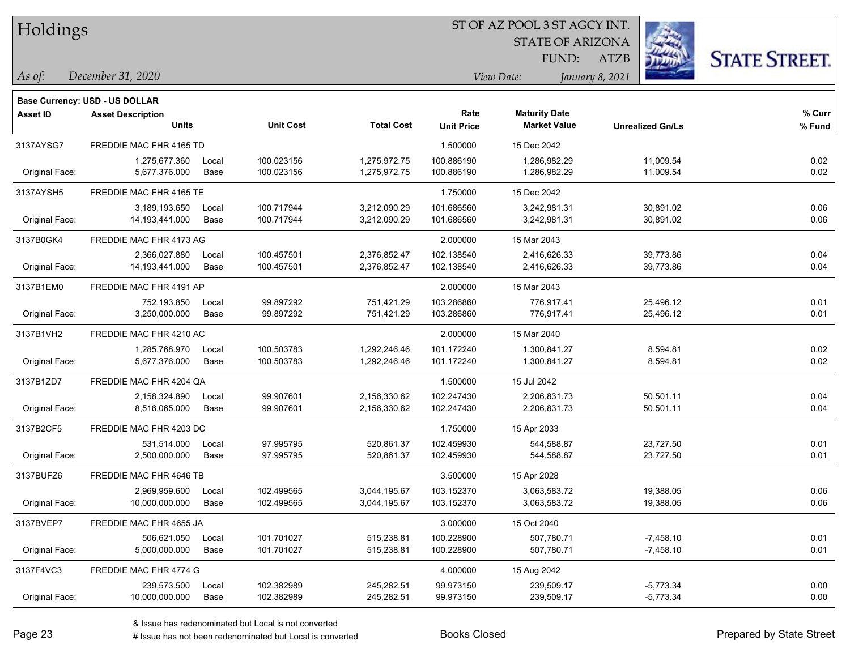Holdings

#### ST OF AZ POOL 3 ST AGCY INT.

STATE OF ARIZONA FUND:



*December 31, 2020 As of: View Date: January 8, 2021*

|           | Base Currency: USD - US DOLLAR |       |                  |                   |                   |
|-----------|--------------------------------|-------|------------------|-------------------|-------------------|
| Asset ID  | <b>Asset Description</b>       |       |                  |                   | Rate              |
|           |                                | Units | <b>Unit Cost</b> | <b>Total Cost</b> | <b>Unit Price</b> |
| 0407AVOO7 | FREBRIE MAC FUR 44CE TR        |       |                  |                   | 1.500000          |

| Asset ID       | <b>Asset Description</b><br><b>Units</b> |               | <b>Unit Cost</b>         | <b>Total Cost</b>            | Rate<br><b>Unit Price</b> | <b>Maturity Date</b><br><b>Market Value</b> | <b>Unrealized Gn/Ls</b> | % Curr<br>% Fund |
|----------------|------------------------------------------|---------------|--------------------------|------------------------------|---------------------------|---------------------------------------------|-------------------------|------------------|
| 3137AYSG7      | FREDDIE MAC FHR 4165 TD                  |               |                          |                              | 1.500000                  | 15 Dec 2042                                 |                         |                  |
| Original Face: | 1,275,677.360<br>5,677,376.000           | Local<br>Base | 100.023156<br>100.023156 | 1,275,972.75<br>1,275,972.75 | 100.886190<br>100.886190  | 1,286,982.29<br>1,286,982.29                | 11,009.54<br>11,009.54  | 0.02<br>0.02     |
| 3137AYSH5      | FREDDIE MAC FHR 4165 TE                  |               |                          |                              | 1.750000                  | 15 Dec 2042                                 |                         |                  |
|                | 3,189,193.650                            | Local         | 100.717944               | 3,212,090.29                 | 101.686560                | 3,242,981.31                                | 30,891.02               | 0.06             |
| Original Face: | 14, 193, 441.000                         | Base          | 100.717944               | 3,212,090.29                 | 101.686560                | 3,242,981.31                                | 30,891.02               | 0.06             |
| 3137B0GK4      | FREDDIE MAC FHR 4173 AG                  |               |                          |                              | 2.000000                  | 15 Mar 2043                                 |                         |                  |
|                | 2,366,027.880                            | Local         | 100.457501               | 2,376,852.47                 | 102.138540                | 2,416,626.33                                | 39,773.86               | 0.04             |
| Original Face: | 14, 193, 441.000                         | Base          | 100.457501               | 2,376,852.47                 | 102.138540                | 2,416,626.33                                | 39,773.86               | 0.04             |
| 3137B1EM0      | FREDDIE MAC FHR 4191 AP                  |               |                          |                              | 2.000000                  | 15 Mar 2043                                 |                         |                  |
|                | 752,193.850                              | Local         | 99.897292                | 751,421.29                   | 103.286860                | 776,917.41                                  | 25,496.12               | 0.01             |
| Original Face: | 3,250,000.000                            | Base          | 99.897292                | 751,421.29                   | 103.286860                | 776,917.41                                  | 25,496.12               | 0.01             |
| 3137B1VH2      | FREDDIE MAC FHR 4210 AC                  |               |                          |                              | 2.000000                  | 15 Mar 2040                                 |                         |                  |
|                | 1,285,768.970                            | Local         | 100.503783               | 1,292,246.46                 | 101.172240                | 1,300,841.27                                | 8,594.81                | 0.02             |
| Original Face: | 5,677,376.000                            | Base          | 100.503783               | 1,292,246.46                 | 101.172240                | 1,300,841.27                                | 8,594.81                | 0.02             |
| 3137B1ZD7      | FREDDIE MAC FHR 4204 QA                  |               |                          |                              | 1.500000                  | 15 Jul 2042                                 |                         |                  |
|                | 2,158,324.890                            | Local         | 99.907601                | 2,156,330.62                 | 102.247430                | 2,206,831.73                                | 50,501.11               | 0.04             |
| Original Face: | 8,516,065.000                            | Base          | 99.907601                | 2,156,330.62                 | 102.247430                | 2,206,831.73                                | 50,501.11               | 0.04             |
| 3137B2CF5      | FREDDIE MAC FHR 4203 DC                  |               |                          |                              | 1.750000                  | 15 Apr 2033                                 |                         |                  |
|                | 531,514.000                              | Local         | 97.995795                | 520,861.37                   | 102.459930                | 544,588.87                                  | 23,727.50               | 0.01             |
| Original Face: | 2,500,000.000                            | Base          | 97.995795                | 520,861.37                   | 102.459930                | 544,588.87                                  | 23,727.50               | 0.01             |
| 3137BUFZ6      | FREDDIE MAC FHR 4646 TB                  |               |                          |                              | 3.500000                  | 15 Apr 2028                                 |                         |                  |
|                | 2,969,959.600                            | Local         | 102.499565               | 3,044,195.67                 | 103.152370                | 3,063,583.72                                | 19,388.05               | 0.06             |
| Original Face: | 10,000,000.000                           | Base          | 102.499565               | 3,044,195.67                 | 103.152370                | 3,063,583.72                                | 19,388.05               | 0.06             |
| 3137BVEP7      | FREDDIE MAC FHR 4655 JA                  |               |                          |                              | 3.000000                  | 15 Oct 2040                                 |                         |                  |
|                | 506,621.050                              | Local         | 101.701027               | 515,238.81                   | 100.228900                | 507,780.71                                  | $-7,458.10$             | 0.01             |
| Original Face: | 5,000,000.000                            | Base          | 101.701027               | 515,238.81                   | 100.228900                | 507,780.71                                  | $-7,458.10$             | 0.01             |
| 3137F4VC3      | FREDDIE MAC FHR 4774 G                   |               |                          |                              | 4.000000                  | 15 Aug 2042                                 |                         |                  |
|                | 239,573.500                              | Local         | 102.382989               | 245,282.51                   | 99.973150                 | 239,509.17                                  | $-5,773.34$             | 0.00             |
| Original Face: | 10,000,000.000                           | Base          | 102.382989               | 245,282.51                   | 99.973150                 | 239,509.17                                  | $-5,773.34$             | 0.00             |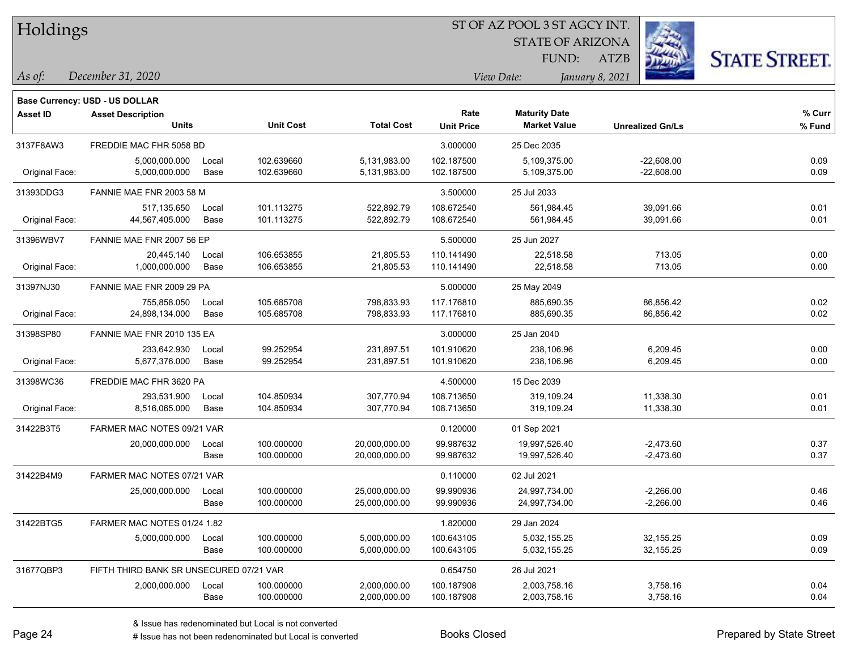| Holdings        |                                         |               |                          |                                | ST OF AZ POOL 3 ST AGCY INT. |                                             |                 |                              |                      |
|-----------------|-----------------------------------------|---------------|--------------------------|--------------------------------|------------------------------|---------------------------------------------|-----------------|------------------------------|----------------------|
|                 |                                         |               |                          |                                |                              | <b>STATE OF ARIZONA</b>                     |                 |                              |                      |
|                 |                                         |               |                          |                                |                              | FUND:                                       | <b>ATZB</b>     |                              | <b>STATE STREET.</b> |
| As of:          | December 31, 2020                       |               |                          |                                |                              | View Date:                                  | January 8, 2021 |                              |                      |
|                 | Base Currency: USD - US DOLLAR          |               |                          |                                |                              |                                             |                 |                              |                      |
| <b>Asset ID</b> | <b>Asset Description</b><br>Units       |               | <b>Unit Cost</b>         | <b>Total Cost</b>              | Rate<br><b>Unit Price</b>    | <b>Maturity Date</b><br><b>Market Value</b> |                 | <b>Unrealized Gn/Ls</b>      | % Curr<br>% Fund     |
| 3137F8AW3       | FREDDIE MAC FHR 5058 BD                 |               |                          |                                | 3.000000                     | 25 Dec 2035                                 |                 |                              |                      |
| Original Face:  | 5,000,000.000<br>5,000,000.000          | Local<br>Base | 102.639660<br>102.639660 | 5,131,983.00<br>5,131,983.00   | 102.187500<br>102.187500     | 5,109,375.00<br>5,109,375.00                |                 | $-22,608.00$<br>$-22,608.00$ | 0.09<br>0.09         |
| 31393DDG3       | FANNIE MAE FNR 2003 58 M                |               |                          |                                | 3.500000                     | 25 Jul 2033                                 |                 |                              |                      |
| Original Face:  | 517,135.650<br>44,567,405.000           | Local<br>Base | 101.113275<br>101.113275 | 522,892.79<br>522,892.79       | 108.672540<br>108.672540     | 561,984.45<br>561,984.45                    |                 | 39,091.66<br>39,091.66       | 0.01<br>0.01         |
| 31396WBV7       | FANNIE MAE FNR 2007 56 EP               |               |                          |                                | 5.500000                     | 25 Jun 2027                                 |                 |                              |                      |
| Original Face:  | 20,445.140<br>1,000,000.000             | Local<br>Base | 106.653855<br>106.653855 | 21,805.53<br>21,805.53         | 110.141490<br>110.141490     | 22,518.58<br>22,518.58                      |                 | 713.05<br>713.05             | 0.00<br>0.00         |
| 31397NJ30       | FANNIE MAE FNR 2009 29 PA               |               |                          |                                | 5.000000                     | 25 May 2049                                 |                 |                              |                      |
| Original Face:  | 755,858.050<br>24,898,134.000           | Local<br>Base | 105.685708<br>105.685708 | 798,833.93<br>798,833.93       | 117.176810<br>117.176810     | 885,690.35<br>885,690.35                    |                 | 86,856.42<br>86,856.42       | 0.02<br>0.02         |
| 31398SP80       | FANNIE MAE FNR 2010 135 EA              |               |                          |                                | 3.000000                     | 25 Jan 2040                                 |                 |                              |                      |
| Original Face:  | 233,642.930<br>5,677,376.000            | Local<br>Base | 99.252954<br>99.252954   | 231,897.51<br>231,897.51       | 101.910620<br>101.910620     | 238,106.96<br>238,106.96                    |                 | 6,209.45<br>6,209.45         | 0.00<br>0.00         |
| 31398WC36       | FREDDIE MAC FHR 3620 PA                 |               |                          |                                | 4.500000                     | 15 Dec 2039                                 |                 |                              |                      |
| Original Face:  | 293,531.900<br>8,516,065.000            | Local<br>Base | 104.850934<br>104.850934 | 307,770.94<br>307,770.94       | 108.713650<br>108.713650     | 319,109.24<br>319,109.24                    |                 | 11,338.30<br>11,338.30       | 0.01<br>0.01         |
| 31422B3T5       | FARMER MAC NOTES 09/21 VAR              |               |                          |                                | 0.120000                     | 01 Sep 2021                                 |                 |                              |                      |
|                 | 20,000,000.000                          | Local<br>Base | 100.000000<br>100.000000 | 20,000,000.00<br>20,000,000.00 | 99.987632<br>99.987632       | 19,997,526.40<br>19,997,526.40              |                 | $-2,473.60$<br>$-2,473.60$   | 0.37<br>0.37         |
| 31422B4M9       | FARMER MAC NOTES 07/21 VAR              |               |                          |                                | 0.110000                     | 02 Jul 2021                                 |                 |                              |                      |
|                 | 25,000,000.000                          | Local<br>Base | 100.000000<br>100.000000 | 25,000,000.00<br>25,000,000.00 | 99.990936<br>99.990936       | 24,997,734.00<br>24,997,734.00              |                 | $-2,266.00$<br>$-2,266.00$   | 0.46<br>0.46         |
| 31422BTG5       | FARMER MAC NOTES 01/24 1.82             |               |                          |                                | 1.820000                     | 29 Jan 2024                                 |                 |                              |                      |
|                 | 5,000,000.000                           | Local<br>Base | 100.000000<br>100.000000 | 5,000,000.00<br>5,000,000.00   | 100.643105<br>100.643105     | 5,032,155.25<br>5,032,155.25                |                 | 32,155.25<br>32,155.25       | 0.09<br>0.09         |
| 31677QBP3       | FIFTH THIRD BANK SR UNSECURED 07/21 VAR |               |                          |                                | 0.654750                     | 26 Jul 2021                                 |                 |                              |                      |

2,000,000.000 Local 100.000000 2,000,000.00 100.187908 2,003,758.16 3,758.16 0.04

Base 100.000000 2,000,000.00 100.187908 2,003,758.16 3,758.16 0.04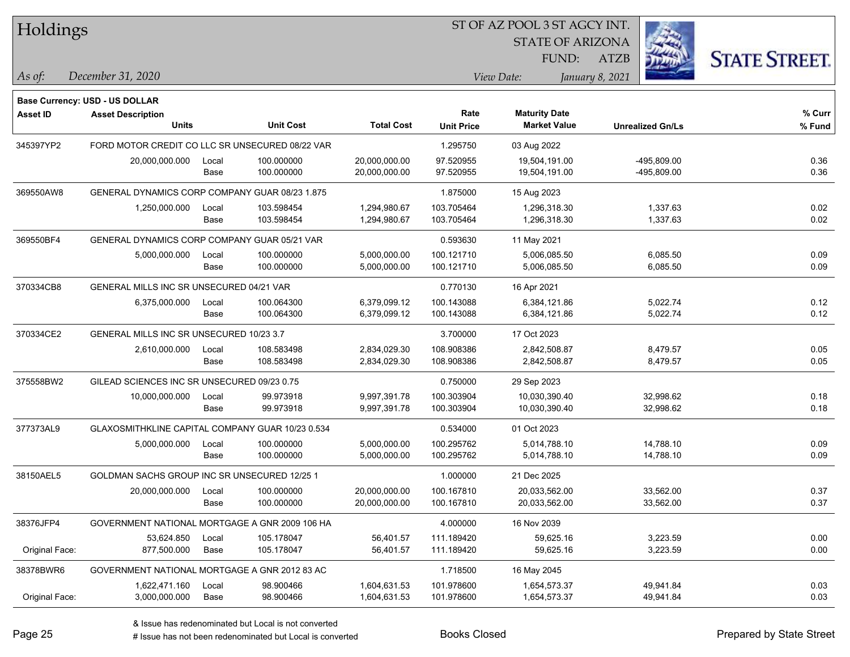| Holdings        |                                                  |               |                          |                                | ST OF AZ POOL 3 ST AGCY INT. |                                             |                            |                      |
|-----------------|--------------------------------------------------|---------------|--------------------------|--------------------------------|------------------------------|---------------------------------------------|----------------------------|----------------------|
|                 |                                                  |               |                          |                                |                              | <b>STATE OF ARIZONA</b>                     |                            |                      |
|                 |                                                  |               |                          |                                |                              | FUND:                                       | <b>ATZB</b>                | <b>STATE STREET.</b> |
| As of:          | December 31, 2020                                |               |                          |                                |                              | View Date:                                  | January 8, 2021            |                      |
|                 |                                                  |               |                          |                                |                              |                                             |                            |                      |
|                 | Base Currency: USD - US DOLLAR                   |               |                          |                                |                              |                                             |                            |                      |
| <b>Asset ID</b> | <b>Asset Description</b><br><b>Units</b>         |               | <b>Unit Cost</b>         | <b>Total Cost</b>              | Rate<br><b>Unit Price</b>    | <b>Maturity Date</b><br><b>Market Value</b> | <b>Unrealized Gn/Ls</b>    | % Curr<br>% Fund     |
|                 |                                                  |               |                          |                                |                              |                                             |                            |                      |
| 345397YP2       | FORD MOTOR CREDIT CO LLC SR UNSECURED 08/22 VAR  |               | 100.000000               |                                | 1.295750<br>97.520955        | 03 Aug 2022                                 |                            |                      |
|                 | 20,000,000.000                                   | Local<br>Base | 100.000000               | 20,000,000.00<br>20,000,000.00 | 97.520955                    | 19,504,191.00<br>19,504,191.00              | -495,809.00<br>-495,809.00 | 0.36<br>0.36         |
|                 |                                                  |               |                          |                                |                              |                                             |                            |                      |
| 369550AW8       | GENERAL DYNAMICS CORP COMPANY GUAR 08/23 1.875   |               |                          |                                | 1.875000                     | 15 Aug 2023                                 |                            |                      |
|                 | 1,250,000.000                                    | Local<br>Base | 103.598454<br>103.598454 | 1,294,980.67<br>1,294,980.67   | 103.705464<br>103.705464     | 1,296,318.30<br>1,296,318.30                | 1,337.63<br>1,337.63       | 0.02<br>0.02         |
|                 |                                                  |               |                          |                                |                              |                                             |                            |                      |
| 369550BF4       | GENERAL DYNAMICS CORP COMPANY GUAR 05/21 VAR     |               |                          |                                | 0.593630                     | 11 May 2021                                 |                            |                      |
|                 | 5,000,000.000                                    | Local<br>Base | 100.000000<br>100.000000 | 5,000,000.00<br>5,000,000.00   | 100.121710<br>100.121710     | 5,006,085.50<br>5,006,085.50                | 6,085.50<br>6,085.50       | 0.09<br>0.09         |
|                 |                                                  |               |                          |                                |                              |                                             |                            |                      |
| 370334CB8       | GENERAL MILLS INC SR UNSECURED 04/21 VAR         |               |                          |                                | 0.770130                     | 16 Apr 2021                                 |                            |                      |
|                 | 6,375,000.000                                    | Local<br>Base | 100.064300<br>100.064300 | 6,379,099.12<br>6,379,099.12   | 100.143088<br>100.143088     | 6,384,121.86<br>6,384,121.86                | 5,022.74<br>5,022.74       | 0.12<br>0.12         |
|                 | GENERAL MILLS INC SR UNSECURED 10/23 3.7         |               |                          |                                |                              |                                             |                            |                      |
| 370334CE2       | 2,610,000.000                                    |               | 108.583498               | 2,834,029.30                   | 3.700000<br>108.908386       | 17 Oct 2023<br>2,842,508.87                 | 8,479.57                   | 0.05                 |
|                 |                                                  | Local<br>Base | 108.583498               | 2,834,029.30                   | 108.908386                   | 2,842,508.87                                | 8,479.57                   | 0.05                 |
| 375558BW2       | GILEAD SCIENCES INC SR UNSECURED 09/23 0.75      |               |                          |                                | 0.750000                     | 29 Sep 2023                                 |                            |                      |
|                 | 10,000,000.000                                   |               | 99.973918                | 9,997,391.78                   | 100.303904                   | 10,030,390.40                               | 32,998.62                  | 0.18                 |
|                 |                                                  | Local<br>Base | 99.973918                | 9,997,391.78                   | 100.303904                   | 10,030,390.40                               | 32,998.62                  | 0.18                 |
| 377373AL9       | GLAXOSMITHKLINE CAPITAL COMPANY GUAR 10/23 0.534 |               |                          |                                | 0.534000                     | 01 Oct 2023                                 |                            |                      |
|                 | 5,000,000.000                                    | Local         | 100.000000               | 5,000,000.00                   | 100.295762                   | 5,014,788.10                                | 14,788.10                  | 0.09                 |
|                 |                                                  | Base          | 100.000000               | 5,000,000.00                   | 100.295762                   | 5,014,788.10                                | 14,788.10                  | 0.09                 |
| 38150AEL5       | GOLDMAN SACHS GROUP INC SR UNSECURED 12/25 1     |               |                          |                                | 1.000000                     | 21 Dec 2025                                 |                            |                      |
|                 | 20,000,000.000                                   | Local         | 100.000000               | 20,000,000.00                  | 100.167810                   | 20,033,562.00                               | 33,562.00                  | 0.37                 |
|                 |                                                  | Base          | 100.000000               | 20,000,000.00                  | 100.167810                   | 20,033,562.00                               | 33,562.00                  | 0.37                 |
| 38376JFP4       | GOVERNMENT NATIONAL MORTGAGE A GNR 2009 106 HA   |               |                          |                                | 4.000000                     | 16 Nov 2039                                 |                            |                      |
|                 | 53,624.850                                       | Local         | 105.178047               | 56,401.57                      | 111.189420                   | 59,625.16                                   | 3,223.59                   | 0.00                 |
| Original Face:  | 877,500.000                                      | Base          | 105.178047               | 56,401.57                      | 111.189420                   | 59,625.16                                   | 3,223.59                   | 0.00                 |
| 38378BWR6       | GOVERNMENT NATIONAL MORTGAGE A GNR 2012 83 AC    |               |                          |                                | 1.718500                     | 16 May 2045                                 |                            |                      |
|                 | 1,622,471.160                                    | Local         | 98.900466                | 1,604,631.53                   | 101.978600                   | 1,654,573.37                                | 49,941.84                  | 0.03                 |
| Original Face:  | 3,000,000.000                                    | Base          | 98.900466                | 1,604,631.53                   | 101.978600                   | 1,654,573.37                                | 49,941.84                  | 0.03                 |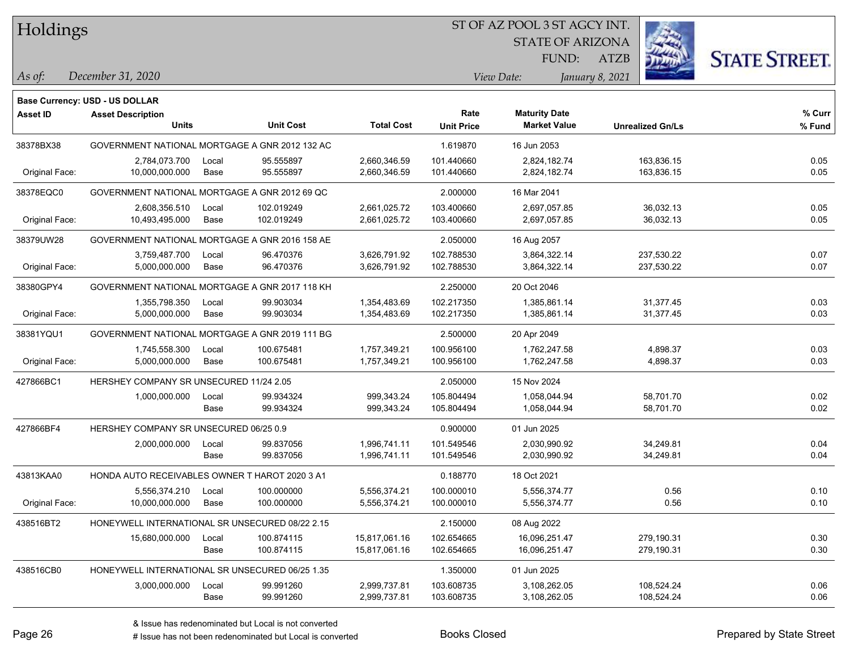Holdings

#### ST OF AZ POOL 3 ST AGCY INT.

STATE OF ARIZONA FUND:



*December 31, 2020 As of: View Date: January 8, 2021*

**Base Currency: USD - US DOLLAR**

| <b>Asset ID</b> | <b>Asset Description</b>                        |       |                  |                   | Rate              | <b>Maturity Date</b> |                         | % Curr |
|-----------------|-------------------------------------------------|-------|------------------|-------------------|-------------------|----------------------|-------------------------|--------|
|                 | <b>Units</b>                                    |       | <b>Unit Cost</b> | <b>Total Cost</b> | <b>Unit Price</b> | <b>Market Value</b>  | <b>Unrealized Gn/Ls</b> | % Fund |
| 38378BX38       | GOVERNMENT NATIONAL MORTGAGE A GNR 2012 132 AC  |       |                  |                   | 1.619870          | 16 Jun 2053          |                         |        |
|                 | 2,784,073.700                                   | Local | 95.555897        | 2,660,346.59      | 101.440660        | 2,824,182.74         | 163,836.15              | 0.05   |
| Original Face:  | 10,000,000.000                                  | Base  | 95.555897        | 2,660,346.59      | 101.440660        | 2,824,182.74         | 163,836.15              | 0.05   |
| 38378EQC0       | GOVERNMENT NATIONAL MORTGAGE A GNR 2012 69 QC   |       |                  |                   | 2.000000          | 16 Mar 2041          |                         |        |
|                 | 2,608,356.510                                   | Local | 102.019249       | 2,661,025.72      | 103.400660        | 2,697,057.85         | 36,032.13               | 0.05   |
| Original Face:  | 10,493,495.000                                  | Base  | 102.019249       | 2,661,025.72      | 103.400660        | 2,697,057.85         | 36,032.13               | 0.05   |
| 38379UW28       | GOVERNMENT NATIONAL MORTGAGE A GNR 2016 158 AE  |       |                  |                   | 2.050000          | 16 Aug 2057          |                         |        |
|                 | 3,759,487.700                                   | Local | 96.470376        | 3,626,791.92      | 102.788530        | 3,864,322.14         | 237,530.22              | 0.07   |
| Original Face:  | 5,000,000.000                                   | Base  | 96.470376        | 3,626,791.92      | 102.788530        | 3,864,322.14         | 237,530.22              | 0.07   |
| 38380GPY4       | GOVERNMENT NATIONAL MORTGAGE A GNR 2017 118 KH  |       |                  |                   | 2.250000          | 20 Oct 2046          |                         |        |
|                 | 1,355,798.350                                   | Local | 99.903034        | 1,354,483.69      | 102.217350        | 1,385,861.14         | 31,377.45               | 0.03   |
| Original Face:  | 5,000,000.000                                   | Base  | 99.903034        | 1,354,483.69      | 102.217350        | 1,385,861.14         | 31,377.45               | 0.03   |
| 38381YQU1       | GOVERNMENT NATIONAL MORTGAGE A GNR 2019 111 BG  |       |                  | 2.500000          | 20 Apr 2049       |                      |                         |        |
|                 | 1,745,558.300                                   | Local | 100.675481       | 1,757,349.21      | 100.956100        | 1.762.247.58         | 4,898.37                | 0.03   |
| Original Face:  | 5,000,000.000                                   | Base  | 100.675481       | 1,757,349.21      | 100.956100        | 1,762,247.58         | 4,898.37                | 0.03   |
| 427866BC1       | HERSHEY COMPANY SR UNSECURED 11/24 2.05         |       |                  |                   | 2.050000          | 15 Nov 2024          |                         |        |
|                 | 1,000,000.000                                   | Local | 99.934324        | 999,343.24        | 105.804494        | 1,058,044.94         | 58,701.70               | 0.02   |
|                 |                                                 | Base  | 99.934324        | 999,343.24        | 105.804494        | 1,058,044.94         | 58,701.70               | 0.02   |
| 427866BF4       | HERSHEY COMPANY SR UNSECURED 06/25 0.9          |       |                  |                   | 0.900000          | 01 Jun 2025          |                         |        |
|                 | 2,000,000.000                                   | Local | 99.837056        | 1,996,741.11      | 101.549546        | 2,030,990.92         | 34,249.81               | 0.04   |
|                 |                                                 | Base  | 99.837056        | 1,996,741.11      | 101.549546        | 2,030,990.92         | 34,249.81               | 0.04   |
| 43813KAA0       | HONDA AUTO RECEIVABLES OWNER T HAROT 2020 3 A1  |       |                  |                   | 0.188770          | 18 Oct 2021          |                         |        |
|                 | 5,556,374.210                                   | Local | 100.000000       | 5,556,374.21      | 100.000010        | 5,556,374.77         | 0.56                    | 0.10   |
| Original Face:  | 10,000,000.000                                  | Base  | 100.000000       | 5,556,374.21      | 100.000010        | 5,556,374.77         | 0.56                    | 0.10   |
| 438516BT2       | HONEYWELL INTERNATIONAL SR UNSECURED 08/22 2.15 |       |                  |                   | 2.150000          | 08 Aug 2022          |                         |        |
|                 | 15,680,000.000                                  | Local | 100.874115       | 15,817,061.16     | 102.654665        | 16,096,251.47        | 279,190.31              | 0.30   |
|                 |                                                 | Base  | 100.874115       | 15,817,061.16     | 102.654665        | 16,096,251.47        | 279,190.31              | 0.30   |
| 438516CB0       | HONEYWELL INTERNATIONAL SR UNSECURED 06/25 1.35 |       |                  |                   | 1.350000          | 01 Jun 2025          |                         |        |
|                 | 3,000,000.000                                   | Local | 99.991260        | 2,999,737.81      | 103.608735        | 3,108,262.05         | 108,524.24              | 0.06   |
|                 |                                                 | Base  | 99.991260        | 2,999,737.81      | 103.608735        | 3,108,262.05         | 108,524.24              | 0.06   |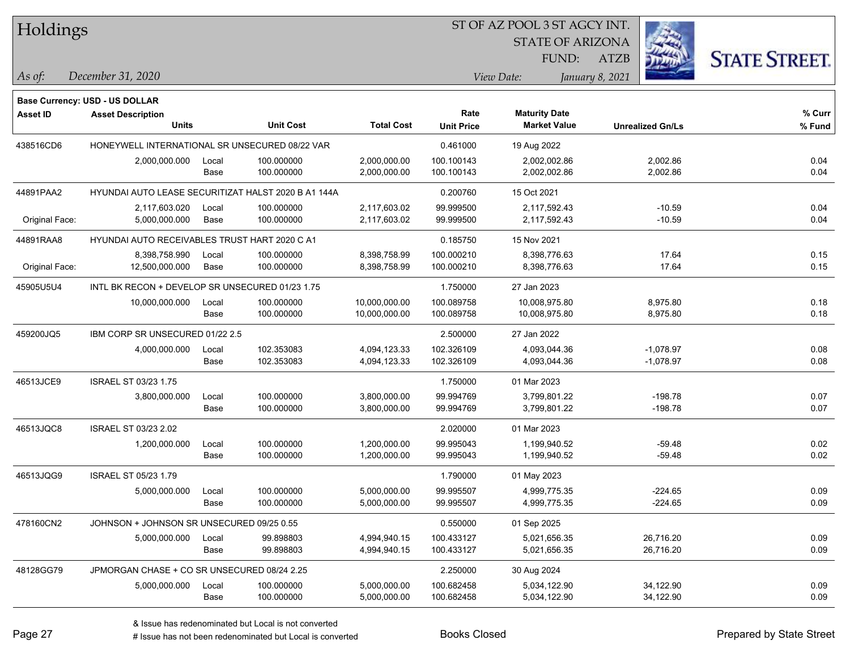| Holdings |
|----------|
|          |

STATE OF ARIZONA

FUND:



*December 31, 2020 As of: View Date: January 8, 2021*

**Base Currency: USD - US DOLLAR**

| <b>Asset ID</b> | <b>Asset Description</b><br><b>Units</b>            |               | <b>Unit Cost</b>         | <b>Total Cost</b>              | Rate<br><b>Unit Price</b> | <b>Maturity Date</b><br><b>Market Value</b> | <b>Unrealized Gn/Ls</b>    | % Curr<br>% Fund |
|-----------------|-----------------------------------------------------|---------------|--------------------------|--------------------------------|---------------------------|---------------------------------------------|----------------------------|------------------|
| 438516CD6       | HONEYWELL INTERNATIONAL SR UNSECURED 08/22 VAR      |               |                          |                                | 0.461000                  | 19 Aug 2022                                 |                            |                  |
|                 | 2,000,000.000                                       | Local<br>Base | 100.000000<br>100.000000 | 2,000,000.00<br>2,000,000.00   | 100.100143<br>100.100143  | 2,002,002.86<br>2,002,002.86                | 2,002.86<br>2,002.86       | 0.04<br>0.04     |
| 44891PAA2       | HYUNDAI AUTO LEASE SECURITIZAT HALST 2020 B A1 144A |               |                          |                                | 0.200760                  | 15 Oct 2021                                 |                            |                  |
| Original Face:  | 2,117,603.020<br>5,000,000.000                      | Local<br>Base | 100.000000<br>100.000000 | 2,117,603.02<br>2,117,603.02   | 99.999500<br>99.999500    | 2,117,592.43<br>2,117,592.43                | $-10.59$<br>$-10.59$       | 0.04<br>0.04     |
| 44891RAA8       | HYUNDAI AUTO RECEIVABLES TRUST HART 2020 C A1       |               |                          |                                | 0.185750                  | 15 Nov 2021                                 |                            |                  |
| Original Face:  | 8,398,758.990<br>12,500,000.000                     | Local<br>Base | 100.000000<br>100.000000 | 8,398,758.99<br>8,398,758.99   | 100.000210<br>100.000210  | 8,398,776.63<br>8,398,776.63                | 17.64<br>17.64             | 0.15<br>0.15     |
| 45905U5U4       | INTL BK RECON + DEVELOP SR UNSECURED 01/23 1.75     |               |                          | 1.750000                       | 27 Jan 2023               |                                             |                            |                  |
|                 | 10,000,000.000                                      | Local<br>Base | 100.000000<br>100.000000 | 10,000,000.00<br>10,000,000.00 | 100.089758<br>100.089758  | 10,008,975.80<br>10,008,975.80              | 8,975.80<br>8,975.80       | 0.18<br>0.18     |
| 459200JQ5       | IBM CORP SR UNSECURED 01/22 2.5                     |               |                          |                                | 2.500000                  | 27 Jan 2022                                 |                            |                  |
|                 | 4,000,000.000                                       | Local<br>Base | 102.353083<br>102.353083 | 4,094,123.33<br>4,094,123.33   | 102.326109<br>102.326109  | 4,093,044.36<br>4,093,044.36                | $-1,078.97$<br>$-1,078.97$ | 0.08<br>0.08     |
| 46513JCE9       | <b>ISRAEL ST 03/23 1.75</b>                         |               |                          |                                | 1.750000                  | 01 Mar 2023                                 |                            |                  |
|                 | 3,800,000.000                                       | Local<br>Base | 100.000000<br>100.000000 | 3,800,000.00<br>3,800,000.00   | 99.994769<br>99.994769    | 3,799,801.22<br>3,799,801.22                | $-198.78$<br>$-198.78$     | 0.07<br>0.07     |
| 46513JQC8       | <b>ISRAEL ST 03/23 2.02</b>                         |               |                          |                                | 2.020000                  | 01 Mar 2023                                 |                            |                  |
|                 | 1,200,000.000                                       | Local<br>Base | 100.000000<br>100.000000 | 1,200,000.00<br>1,200,000.00   | 99.995043<br>99.995043    | 1,199,940.52<br>1,199,940.52                | $-59.48$<br>$-59.48$       | 0.02<br>0.02     |
| 46513JQG9       | <b>ISRAEL ST 05/23 1.79</b>                         |               |                          |                                | 1.790000                  | 01 May 2023                                 |                            |                  |
|                 | 5,000,000.000                                       | Local<br>Base | 100.000000<br>100.000000 | 5,000,000.00<br>5,000,000.00   | 99.995507<br>99.995507    | 4,999,775.35<br>4,999,775.35                | $-224.65$<br>$-224.65$     | 0.09<br>0.09     |
| 478160CN2       | JOHNSON + JOHNSON SR UNSECURED 09/25 0.55           |               |                          |                                | 0.550000                  | 01 Sep 2025                                 |                            |                  |
|                 | 5,000,000.000                                       | Local<br>Base | 99.898803<br>99.898803   | 4,994,940.15<br>4,994,940.15   | 100.433127<br>100.433127  | 5,021,656.35<br>5,021,656.35                | 26,716.20<br>26,716.20     | 0.09<br>0.09     |
| 48128GG79       | JPMORGAN CHASE + CO SR UNSECURED 08/24 2.25         |               |                          |                                | 2.250000                  | 30 Aug 2024                                 |                            |                  |
|                 | 5,000,000.000                                       | Local<br>Base | 100.000000<br>100.000000 | 5,000,000.00<br>5,000,000.00   | 100.682458<br>100.682458  | 5,034,122.90<br>5,034,122.90                | 34,122.90<br>34,122.90     | 0.09<br>0.09     |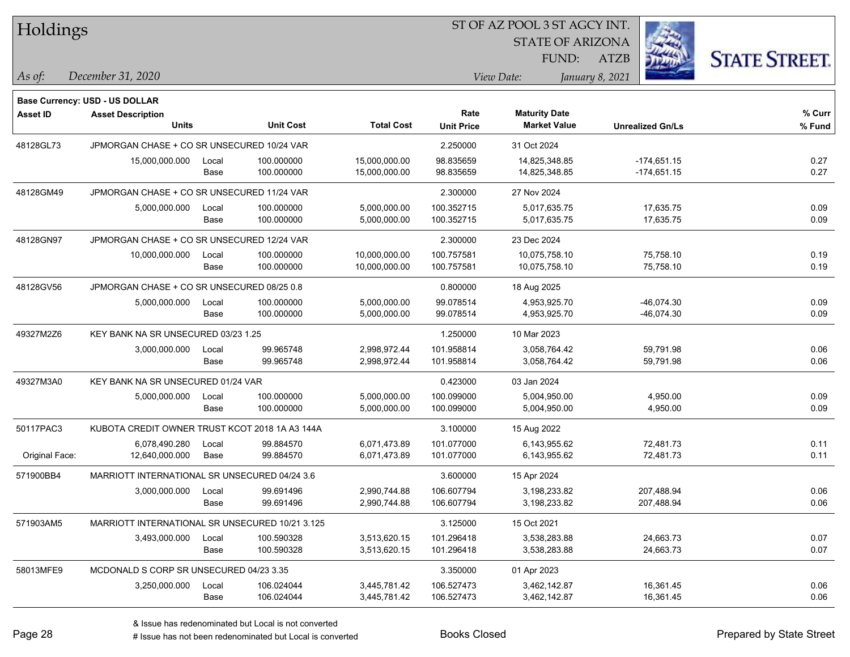| Holdings        |                                                 |       |                  |                   | 51 OF AZ POOL 3 51 AGCY INT. |                         |                 |                         |                      |
|-----------------|-------------------------------------------------|-------|------------------|-------------------|------------------------------|-------------------------|-----------------|-------------------------|----------------------|
|                 |                                                 |       |                  |                   |                              | <b>STATE OF ARIZONA</b> |                 | Ż.                      |                      |
|                 |                                                 |       |                  |                   |                              | FUND:                   | ATZB            |                         | <b>STATE STREET.</b> |
| As of:          | December 31, 2020                               |       |                  |                   |                              | View Date:              | January 8, 2021 |                         |                      |
|                 | <b>Base Currency: USD - US DOLLAR</b>           |       |                  |                   |                              |                         |                 |                         |                      |
| <b>Asset ID</b> | <b>Asset Description</b>                        |       |                  |                   | Rate                         | <b>Maturity Date</b>    |                 |                         | % Curr               |
|                 | <b>Units</b>                                    |       | <b>Unit Cost</b> | <b>Total Cost</b> | <b>Unit Price</b>            | <b>Market Value</b>     |                 | <b>Unrealized Gn/Ls</b> | % Fund               |
| 48128GL73       | JPMORGAN CHASE + CO SR UNSECURED 10/24 VAR      |       |                  |                   | 2.250000                     | 31 Oct 2024             |                 |                         |                      |
|                 | 15,000,000.000                                  | Local | 100.000000       | 15,000,000.00     | 98.835659                    | 14,825,348.85           |                 | $-174,651.15$           | 0.27                 |
|                 |                                                 | Base  | 100.000000       | 15,000,000.00     | 98.835659                    | 14,825,348.85           |                 | $-174,651.15$           | 0.27                 |
| 48128GM49       | JPMORGAN CHASE + CO SR UNSECURED 11/24 VAR      |       |                  |                   | 2.300000                     | 27 Nov 2024             |                 |                         |                      |
|                 | 5,000,000.000                                   | Local | 100.000000       | 5,000,000.00      | 100.352715                   | 5,017,635.75            |                 | 17,635.75               | 0.09                 |
|                 |                                                 | Base  | 100.000000       | 5,000,000.00      | 100.352715                   | 5,017,635.75            |                 | 17,635.75               | 0.09                 |
| 48128GN97       | JPMORGAN CHASE + CO SR UNSECURED 12/24 VAR      |       |                  |                   | 2.300000                     | 23 Dec 2024             |                 |                         |                      |
|                 | 10,000,000.000                                  | Local | 100.000000       | 10,000,000.00     | 100.757581                   | 10,075,758.10           |                 | 75,758.10               | 0.19                 |
|                 |                                                 | Base  | 100.000000       | 10,000,000.00     | 100.757581                   | 10,075,758.10           |                 | 75,758.10               | 0.19                 |
| 48128GV56       | JPMORGAN CHASE + CO SR UNSECURED 08/25 0.8      |       |                  |                   | 0.800000                     | 18 Aug 2025             |                 |                         |                      |
|                 | 5,000,000.000                                   | Local | 100.000000       | 5,000,000.00      | 99.078514                    | 4,953,925.70            |                 | $-46,074.30$            | 0.09                 |
|                 |                                                 | Base  | 100.000000       | 5,000,000.00      | 99.078514                    | 4,953,925.70            |                 | $-46,074.30$            | 0.09                 |
| 49327M2Z6       | KEY BANK NA SR UNSECURED 03/23 1.25             |       |                  |                   | 1.250000                     | 10 Mar 2023             |                 |                         |                      |
|                 | 3,000,000.000                                   | Local | 99.965748        | 2,998,972.44      | 101.958814                   | 3,058,764.42            |                 | 59,791.98               | 0.06                 |
|                 |                                                 | Base  | 99.965748        | 2,998,972.44      | 101.958814                   | 3,058,764.42            |                 | 59,791.98               | 0.06                 |
| 49327M3A0       | KEY BANK NA SR UNSECURED 01/24 VAR              |       |                  |                   | 0.423000                     | 03 Jan 2024             |                 |                         |                      |
|                 | 5,000,000.000                                   | Local | 100.000000       | 5,000,000.00      | 100.099000                   | 5,004,950.00            |                 | 4,950.00                | 0.09                 |
|                 |                                                 | Base  | 100.000000       | 5,000,000.00      | 100.099000                   | 5,004,950.00            |                 | 4,950.00                | 0.09                 |
| 50117PAC3       | KUBOTA CREDIT OWNER TRUST KCOT 2018 1A A3 144A  |       |                  |                   | 3.100000                     | 15 Aug 2022             |                 |                         |                      |
|                 | 6,078,490.280                                   | Local | 99.884570        | 6,071,473.89      | 101.077000                   | 6,143,955.62            |                 | 72,481.73               | 0.11                 |
| Original Face:  | 12,640,000.000                                  | Base  | 99.884570        | 6,071,473.89      | 101.077000                   | 6,143,955.62            |                 | 72,481.73               | 0.11                 |
| 571900BB4       | MARRIOTT INTERNATIONAL SR UNSECURED 04/24 3.6   |       |                  |                   | 3.600000                     | 15 Apr 2024             |                 |                         |                      |
|                 | 3,000,000.000                                   | Local | 99.691496        | 2,990,744.88      | 106.607794                   | 3,198,233.82            |                 | 207,488.94              | 0.06                 |
|                 |                                                 | Base  | 99.691496        | 2,990,744.88      | 106.607794                   | 3,198,233.82            |                 | 207,488.94              | 0.06                 |
| 571903AM5       | MARRIOTT INTERNATIONAL SR UNSECURED 10/21 3.125 |       |                  |                   | 3.125000                     | 15 Oct 2021             |                 |                         |                      |
|                 | 3,493,000.000                                   | Local | 100.590328       | 3,513,620.15      | 101.296418                   | 3,538,283.88            |                 | 24,663.73               | 0.07                 |
|                 |                                                 | Base  | 100.590328       | 3,513,620.15      | 101.296418                   | 3,538,283.88            |                 | 24,663.73               | 0.07                 |
| 58013MFE9       | MCDONALD S CORP SR UNSECURED 04/23 3.35         |       |                  |                   | 3.350000                     | 01 Apr 2023             |                 |                         |                      |
|                 | 3,250,000.000                                   | Local | 106.024044       | 3,445,781.42      | 106.527473                   | 3,462,142.87            |                 | 16,361.45               | 0.06                 |
|                 |                                                 | Base  | 106.024044       | 3,445,781.42      | 106.527473                   | 3,462,142.87            |                 | 16,361.45               | 0.06                 |

ST OF A Z POOL 2 ST ACCV INT

denote the redenominated but Local is converted Books Closed Prepared by State Street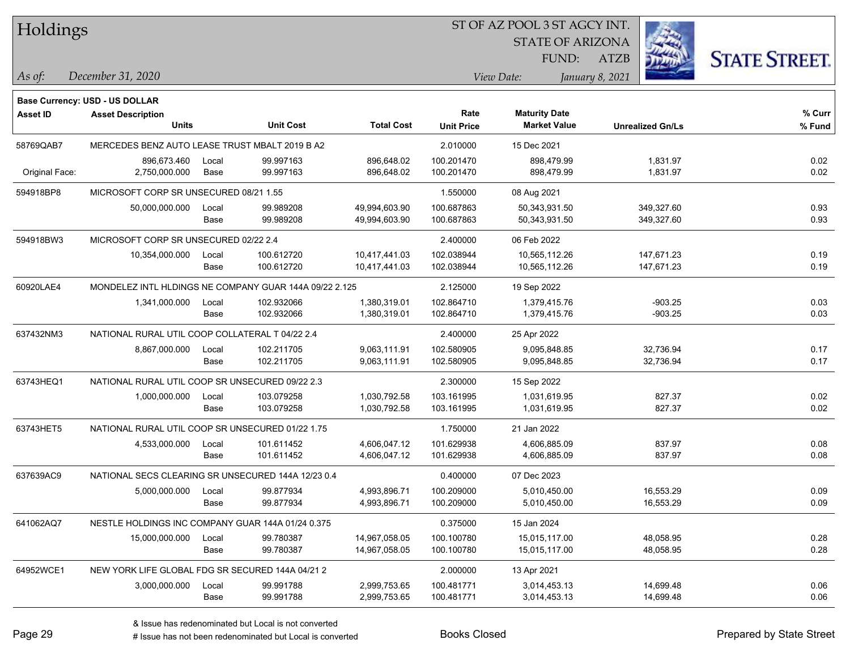| Holdings        |                                                            |       |                  |                   | ST OF AZ POOL 3 ST AGCY INT. |                         |                         |            |                      |
|-----------------|------------------------------------------------------------|-------|------------------|-------------------|------------------------------|-------------------------|-------------------------|------------|----------------------|
|                 |                                                            |       |                  |                   |                              | <b>STATE OF ARIZONA</b> |                         |            |                      |
|                 |                                                            |       |                  |                   |                              | FUND:                   | <b>ATZB</b>             |            | <b>STATE STREET.</b> |
| $ $ As of:      | December 31, 2020                                          |       |                  |                   |                              | View Date:              | January 8, 2021         |            |                      |
|                 |                                                            |       |                  |                   |                              |                         |                         |            |                      |
| <b>Asset ID</b> | Base Currency: USD - US DOLLAR<br><b>Asset Description</b> |       |                  |                   | Rate                         | <b>Maturity Date</b>    |                         |            | % Curr               |
|                 | <b>Units</b>                                               |       | <b>Unit Cost</b> | <b>Total Cost</b> | <b>Unit Price</b>            | <b>Market Value</b>     | <b>Unrealized Gn/Ls</b> |            | % Fund               |
| 58769QAB7       | MERCEDES BENZ AUTO LEASE TRUST MBALT 2019 B A2             |       |                  |                   | 2.010000                     | 15 Dec 2021             |                         |            |                      |
|                 | 896,673.460                                                | Local | 99.997163        | 896.648.02        | 100.201470                   | 898,479.99              |                         | 1,831.97   | 0.02                 |
| Original Face:  | 2,750,000.000                                              | Base  | 99.997163        | 896,648.02        | 100.201470                   | 898,479.99              |                         | 1,831.97   | 0.02                 |
| 594918BP8       | MICROSOFT CORP SR UNSECURED 08/21 1.55                     |       |                  |                   | 1.550000                     | 08 Aug 2021             |                         |            |                      |
|                 | 50,000,000.000                                             | Local | 99.989208        | 49,994,603.90     | 100.687863                   | 50,343,931.50           |                         | 349,327.60 | 0.93                 |
|                 |                                                            | Base  | 99.989208        | 49,994,603.90     | 100.687863                   | 50,343,931.50           |                         | 349,327.60 | 0.93                 |
| 594918BW3       | MICROSOFT CORP SR UNSECURED 02/22 2.4                      |       |                  |                   | 2.400000                     | 06 Feb 2022             |                         |            |                      |
|                 | 10,354,000.000                                             | Local | 100.612720       | 10,417,441.03     | 102.038944                   | 10,565,112.26           |                         | 147,671.23 | 0.19                 |
|                 |                                                            | Base  | 100.612720       | 10,417,441.03     | 102.038944                   | 10,565,112.26           |                         | 147,671.23 | 0.19                 |
| 60920LAE4       | MONDELEZ INTL HLDINGS NE COMPANY GUAR 144A 09/22 2.125     |       |                  |                   | 2.125000                     | 19 Sep 2022             |                         |            |                      |
|                 | 1,341,000.000                                              | Local | 102.932066       | 1,380,319.01      | 102.864710                   | 1,379,415.76            |                         | $-903.25$  | 0.03                 |
|                 |                                                            | Base  | 102.932066       | 1,380,319.01      | 102.864710                   | 1,379,415.76            |                         | $-903.25$  | 0.03                 |
| 637432NM3       | NATIONAL RURAL UTIL COOP COLLATERAL T 04/22 2.4            |       |                  | 2.400000          | 25 Apr 2022                  |                         |                         |            |                      |
|                 | 8,867,000.000                                              | Local | 102.211705       | 9,063,111.91      | 102.580905                   | 9,095,848.85            |                         | 32,736.94  | 0.17                 |
|                 |                                                            | Base  | 102.211705       | 9,063,111.91      | 102.580905                   | 9,095,848.85            |                         | 32,736.94  | 0.17                 |
| 63743HEQ1       | NATIONAL RURAL UTIL COOP SR UNSECURED 09/22 2.3            |       |                  |                   | 2.300000                     | 15 Sep 2022             |                         |            |                      |
|                 | 1,000,000.000                                              | Local | 103.079258       | 1,030,792.58      | 103.161995                   | 1,031,619.95            |                         | 827.37     | 0.02                 |
|                 |                                                            | Base  | 103.079258       | 1,030,792.58      | 103.161995                   | 1,031,619.95            |                         | 827.37     | 0.02                 |
| 63743HET5       | NATIONAL RURAL UTIL COOP SR UNSECURED 01/22 1.75           |       |                  |                   | 1.750000                     | 21 Jan 2022             |                         |            |                      |
|                 | 4,533,000.000                                              | Local | 101.611452       | 4,606,047.12      | 101.629938                   | 4,606,885.09            |                         | 837.97     | 0.08                 |
|                 |                                                            | Base  | 101.611452       | 4,606,047.12      | 101.629938                   | 4,606,885.09            |                         | 837.97     | 0.08                 |
| 637639AC9       | NATIONAL SECS CLEARING SR UNSECURED 144A 12/23 0.4         |       |                  |                   | 0.400000                     | 07 Dec 2023             |                         |            |                      |
|                 | 5,000,000.000                                              | Local | 99.877934        | 4,993,896.71      | 100.209000                   | 5,010,450.00            |                         | 16,553.29  | 0.09                 |
|                 |                                                            | Base  | 99.877934        | 4,993,896.71      | 100.209000                   | 5,010,450.00            |                         | 16,553.29  | 0.09                 |
| 641062AQ7       | NESTLE HOLDINGS INC COMPANY GUAR 144A 01/24 0.375          |       |                  |                   | 0.375000                     | 15 Jan 2024             |                         |            |                      |
|                 | 15,000,000.000                                             | Local | 99.780387        | 14,967,058.05     | 100.100780                   | 15,015,117.00           |                         | 48,058.95  | 0.28                 |
|                 |                                                            | Base  | 99.780387        | 14,967,058.05     | 100.100780                   | 15,015,117.00           |                         | 48,058.95  | 0.28                 |
| 64952WCE1       | NEW YORK LIFE GLOBAL FDG SR SECURED 144A 04/21 2           |       |                  |                   | 2.000000                     | 13 Apr 2021             |                         |            |                      |
|                 | 3,000,000.000                                              | Local | 99.991788        | 2,999,753.65      | 100.481771                   | 3,014,453.13            |                         | 14,699.48  | 0.06                 |
|                 |                                                            | Base  | 99.991788        | 2,999,753.65      | 100.481771                   | 3,014,453.13            |                         | 14,699.48  | 0.06                 |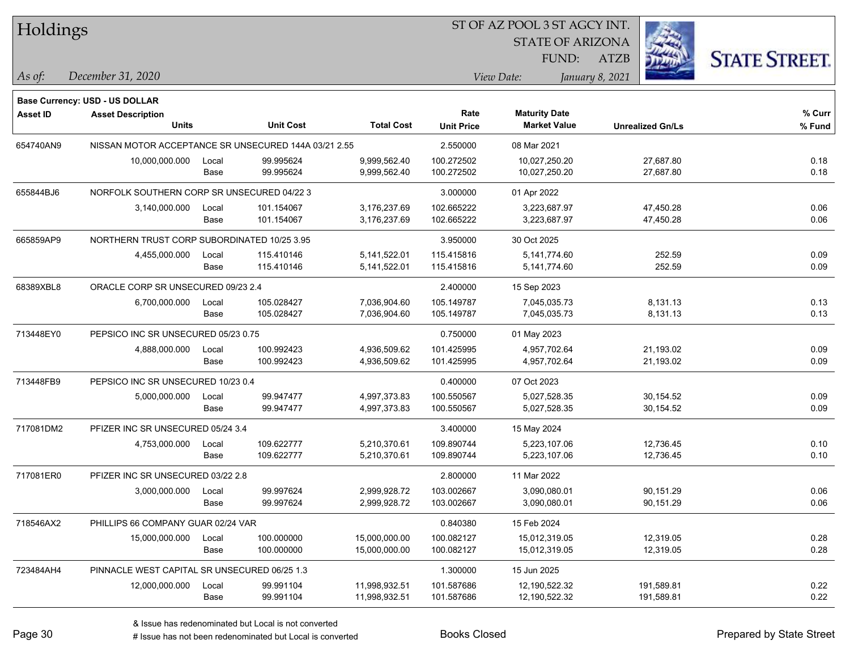| Holdings        |                                                      |       |                  |                   |                   | ST OF AZ POOL 3 ST AGCY INT.                |                         |                      |
|-----------------|------------------------------------------------------|-------|------------------|-------------------|-------------------|---------------------------------------------|-------------------------|----------------------|
|                 |                                                      |       |                  |                   |                   | <b>STATE OF ARIZONA</b>                     |                         |                      |
|                 |                                                      |       |                  |                   |                   | FUND:                                       | <b>ATZB</b>             | <b>STATE STREET.</b> |
| $ $ As of:      | December 31, 2020                                    |       |                  |                   |                   | View Date:                                  | January 8, 2021         |                      |
|                 |                                                      |       |                  |                   |                   |                                             |                         |                      |
|                 | <b>Base Currency: USD - US DOLLAR</b>                |       |                  |                   | Rate              |                                             |                         | $%$ Curr             |
| <b>Asset ID</b> | <b>Asset Description</b><br><b>Units</b>             |       | <b>Unit Cost</b> | <b>Total Cost</b> | <b>Unit Price</b> | <b>Maturity Date</b><br><b>Market Value</b> | <b>Unrealized Gn/Ls</b> | % Fund               |
| 654740AN9       | NISSAN MOTOR ACCEPTANCE SR UNSECURED 144A 03/21 2.55 |       |                  |                   | 2.550000          | 08 Mar 2021                                 |                         |                      |
|                 | 10,000,000.000                                       | Local | 99.995624        | 9.999.562.40      | 100.272502        | 10,027,250.20                               | 27,687.80               | 0.18                 |
|                 |                                                      | Base  | 99.995624        | 9,999,562.40      | 100.272502        | 10,027,250.20                               | 27,687.80               | 0.18                 |
| 655844BJ6       | NORFOLK SOUTHERN CORP SR UNSECURED 04/22 3           |       |                  |                   | 3.000000          | 01 Apr 2022                                 |                         |                      |
|                 | 3,140,000.000                                        | Local | 101.154067       | 3,176,237.69      | 102.665222        | 3,223,687.97                                | 47,450.28               | 0.06                 |
|                 |                                                      | Base  | 101.154067       | 3,176,237.69      | 102.665222        | 3,223,687.97                                | 47,450.28               | 0.06                 |
| 665859AP9       | NORTHERN TRUST CORP SUBORDINATED 10/25 3.95          |       |                  |                   | 3.950000          | 30 Oct 2025                                 |                         |                      |
|                 | 4,455,000.000                                        | Local | 115.410146       | 5,141,522.01      | 115.415816        | 5,141,774.60                                | 252.59                  | 0.09                 |
|                 |                                                      | Base  | 115.410146       | 5,141,522.01      | 115.415816        | 5,141,774.60                                | 252.59                  | 0.09                 |
| 68389XBL8       | ORACLE CORP SR UNSECURED 09/23 2.4                   |       |                  |                   | 2.400000          | 15 Sep 2023                                 |                         |                      |
|                 | 6,700,000.000                                        | Local | 105.028427       | 7,036,904.60      | 105.149787        | 7,045,035.73                                | 8,131.13                | 0.13                 |
|                 |                                                      | Base  | 105.028427       | 7,036,904.60      | 105.149787        | 7,045,035.73                                | 8,131.13                | 0.13                 |
| 713448EY0       | PEPSICO INC SR UNSECURED 05/23 0.75                  |       |                  |                   | 0.750000          | 01 May 2023                                 |                         |                      |
|                 | 4,888,000.000                                        | Local | 100.992423       | 4,936,509.62      | 101.425995        | 4,957,702.64                                | 21,193.02               | 0.09                 |
|                 |                                                      | Base  | 100.992423       | 4,936,509.62      | 101.425995        | 4,957,702.64                                | 21,193.02               | 0.09                 |
| 713448FB9       | PEPSICO INC SR UNSECURED 10/23 0.4                   |       |                  |                   | 0.400000          | 07 Oct 2023                                 |                         |                      |
|                 | 5,000,000.000                                        | Local | 99.947477        | 4,997,373.83      | 100.550567        | 5,027,528.35                                | 30,154.52               | 0.09                 |
|                 |                                                      | Base  | 99.947477        | 4,997,373.83      | 100.550567        | 5,027,528.35                                | 30,154.52               | 0.09                 |
| 717081DM2       | PFIZER INC SR UNSECURED 05/24 3.4                    |       |                  |                   | 3.400000          | 15 May 2024                                 |                         |                      |
|                 | 4,753,000.000                                        | Local | 109.622777       | 5,210,370.61      | 109.890744        | 5,223,107.06                                | 12,736.45               | 0.10                 |
|                 |                                                      | Base  | 109.622777       | 5,210,370.61      | 109.890744        | 5,223,107.06                                | 12,736.45               | 0.10                 |
| 717081ER0       | PFIZER INC SR UNSECURED 03/22 2.8                    |       |                  |                   | 2.800000          | 11 Mar 2022                                 |                         |                      |
|                 | 3,000,000.000                                        | Local | 99.997624        | 2,999,928.72      | 103.002667        | 3,090,080.01                                | 90,151.29               | 0.06                 |
|                 |                                                      | Base  | 99.997624        | 2,999,928.72      | 103.002667        | 3,090,080.01                                | 90,151.29               | 0.06                 |
| 718546AX2       | PHILLIPS 66 COMPANY GUAR 02/24 VAR                   |       |                  |                   | 0.840380          | 15 Feb 2024                                 |                         |                      |
|                 | 15,000,000.000                                       | Local | 100.000000       | 15,000,000.00     | 100.082127        | 15,012,319.05                               | 12,319.05               | 0.28                 |
|                 |                                                      | Base  | 100.000000       | 15,000,000.00     | 100.082127        | 15,012,319.05                               | 12,319.05               | 0.28                 |
| 723484AH4       | PINNACLE WEST CAPITAL SR UNSECURED 06/25 1.3         |       |                  |                   | 1.300000          | 15 Jun 2025                                 |                         |                      |
|                 | 12,000,000.000                                       | Local | 99.991104        | 11,998,932.51     | 101.587686        | 12,190,522.32                               | 191,589.81              | 0.22                 |
|                 |                                                      | Base  | 99.991104        | 11,998,932.51     | 101.587686        | 12,190,522.32                               | 191,589.81              | 0.22                 |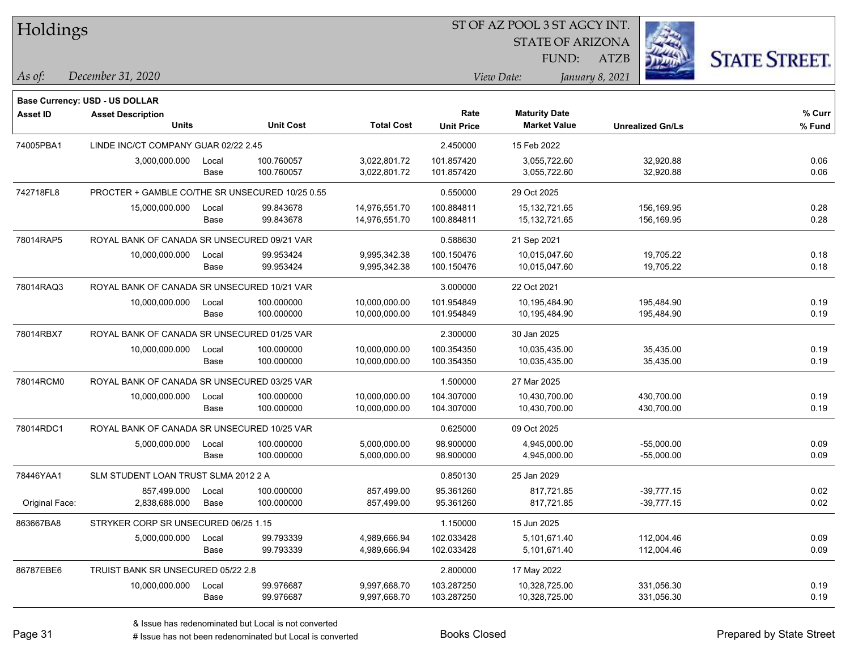| Holdings<br><b>STATE OF ARIZONA</b><br><b>STATE STREET.</b><br>FUND:<br>ATZB<br>December 31, 2020<br>January 8, 2021<br>As of:<br>View Date:<br>Base Currency: USD - US DOLLAR<br>Rate<br><b>Maturity Date</b><br><b>Asset ID</b><br><b>Asset Description</b><br><b>Total Cost</b><br><b>Units</b><br><b>Unit Cost</b><br><b>Market Value</b><br><b>Unit Price</b><br><b>Unrealized Gn/Ls</b><br>74005PBA1<br>LINDE INC/CT COMPANY GUAR 02/22 2.45<br>2.450000<br>15 Feb 2022<br>100.760057<br>101.857420<br>3,000,000.000<br>3,022,801.72<br>3,055,722.60<br>32,920.88<br>Local<br>100.760057<br>3,022,801.72<br>101.857420<br>3,055,722.60<br>32,920.88<br>Base | % Curr<br>% Fund<br>0.06<br>0.06 |
|-------------------------------------------------------------------------------------------------------------------------------------------------------------------------------------------------------------------------------------------------------------------------------------------------------------------------------------------------------------------------------------------------------------------------------------------------------------------------------------------------------------------------------------------------------------------------------------------------------------------------------------------------------------------|----------------------------------|
|                                                                                                                                                                                                                                                                                                                                                                                                                                                                                                                                                                                                                                                                   |                                  |
|                                                                                                                                                                                                                                                                                                                                                                                                                                                                                                                                                                                                                                                                   |                                  |
|                                                                                                                                                                                                                                                                                                                                                                                                                                                                                                                                                                                                                                                                   |                                  |
|                                                                                                                                                                                                                                                                                                                                                                                                                                                                                                                                                                                                                                                                   |                                  |
|                                                                                                                                                                                                                                                                                                                                                                                                                                                                                                                                                                                                                                                                   |                                  |
|                                                                                                                                                                                                                                                                                                                                                                                                                                                                                                                                                                                                                                                                   |                                  |
|                                                                                                                                                                                                                                                                                                                                                                                                                                                                                                                                                                                                                                                                   |                                  |
|                                                                                                                                                                                                                                                                                                                                                                                                                                                                                                                                                                                                                                                                   |                                  |
|                                                                                                                                                                                                                                                                                                                                                                                                                                                                                                                                                                                                                                                                   |                                  |
|                                                                                                                                                                                                                                                                                                                                                                                                                                                                                                                                                                                                                                                                   |                                  |
| 742718FL8<br>PROCTER + GAMBLE CO/THE SR UNSECURED 10/25 0.55<br>0.550000<br>29 Oct 2025                                                                                                                                                                                                                                                                                                                                                                                                                                                                                                                                                                           |                                  |
| 100.884811<br>15,000,000.000<br>99.843678<br>14,976,551.70<br>15,132,721.65<br>156,169.95<br>Local                                                                                                                                                                                                                                                                                                                                                                                                                                                                                                                                                                | 0.28                             |
| 99.843678<br>14,976,551.70<br>100.884811<br>15, 132, 721.65<br>156,169.95<br>Base                                                                                                                                                                                                                                                                                                                                                                                                                                                                                                                                                                                 | 0.28                             |
| 78014RAP5<br>ROYAL BANK OF CANADA SR UNSECURED 09/21 VAR<br>0.588630<br>21 Sep 2021                                                                                                                                                                                                                                                                                                                                                                                                                                                                                                                                                                               |                                  |
| 99.953424<br>9,995,342.38<br>100.150476<br>10,015,047.60<br>19,705.22<br>10,000,000.000<br>Local                                                                                                                                                                                                                                                                                                                                                                                                                                                                                                                                                                  | 0.18                             |
| 99.953424<br>9,995,342.38<br>100.150476<br>10,015,047.60<br>19,705.22<br>Base                                                                                                                                                                                                                                                                                                                                                                                                                                                                                                                                                                                     | 0.18                             |
| 78014RAQ3<br>ROYAL BANK OF CANADA SR UNSECURED 10/21 VAR<br>3.000000<br>22 Oct 2021                                                                                                                                                                                                                                                                                                                                                                                                                                                                                                                                                                               |                                  |
| 10,000,000.000<br>100.000000<br>10,000,000.00<br>101.954849<br>10,195,484.90<br>195,484.90<br>Local                                                                                                                                                                                                                                                                                                                                                                                                                                                                                                                                                               | 0.19                             |
| 100.000000<br>10,000,000.00<br>101.954849<br>10,195,484.90<br>195,484.90<br>Base                                                                                                                                                                                                                                                                                                                                                                                                                                                                                                                                                                                  | 0.19                             |
| 78014RBX7<br>ROYAL BANK OF CANADA SR UNSECURED 01/25 VAR<br>2.300000<br>30 Jan 2025                                                                                                                                                                                                                                                                                                                                                                                                                                                                                                                                                                               |                                  |
| 100.354350<br>35,435.00<br>10,000,000.000<br>100.000000<br>10,000,000.00<br>10,035,435.00<br>Local                                                                                                                                                                                                                                                                                                                                                                                                                                                                                                                                                                | 0.19                             |
| 100.000000<br>10,000,000.00<br>100.354350<br>10,035,435.00<br>35,435.00<br>Base                                                                                                                                                                                                                                                                                                                                                                                                                                                                                                                                                                                   | 0.19                             |
| 78014RCM0<br>ROYAL BANK OF CANADA SR UNSECURED 03/25 VAR<br>1.500000<br>27 Mar 2025                                                                                                                                                                                                                                                                                                                                                                                                                                                                                                                                                                               |                                  |
| 104.307000<br>100.000000<br>10,000,000.00<br>10,430,700.00<br>430,700.00<br>10,000,000.000<br>Local                                                                                                                                                                                                                                                                                                                                                                                                                                                                                                                                                               | 0.19                             |
| 100.000000<br>104.307000<br>10,430,700.00<br>430,700.00<br>Base<br>10,000,000.00                                                                                                                                                                                                                                                                                                                                                                                                                                                                                                                                                                                  | 0.19                             |
| 78014RDC1<br>0.625000<br>ROYAL BANK OF CANADA SR UNSECURED 10/25 VAR<br>09 Oct 2025                                                                                                                                                                                                                                                                                                                                                                                                                                                                                                                                                                               |                                  |
| 5,000,000.000<br>100.000000<br>5,000,000.00<br>98.900000<br>4,945,000.00<br>$-55,000.00$<br>Local                                                                                                                                                                                                                                                                                                                                                                                                                                                                                                                                                                 | 0.09                             |
| 100.000000<br>5,000,000.00<br>98.900000<br>4,945,000.00<br>$-55,000.00$<br>Base                                                                                                                                                                                                                                                                                                                                                                                                                                                                                                                                                                                   | 0.09                             |
| 78446YAA1<br>SLM STUDENT LOAN TRUST SLMA 2012 2 A<br>0.850130<br>25 Jan 2029                                                                                                                                                                                                                                                                                                                                                                                                                                                                                                                                                                                      |                                  |
| 857,499.000 Local<br>100.000000<br>857,499.00<br>95.361260<br>817,721.85<br>-39,777.15                                                                                                                                                                                                                                                                                                                                                                                                                                                                                                                                                                            | 0.02                             |
| 2,838,688.000 Base<br>100.000000<br>857,499.00<br>95.361260<br>$-39,777.15$<br>Original Face:<br>817,721.85                                                                                                                                                                                                                                                                                                                                                                                                                                                                                                                                                       | 0.02                             |
| 863667BA8<br>STRYKER CORP SR UNSECURED 06/25 1.15<br>1.150000<br>15 Jun 2025                                                                                                                                                                                                                                                                                                                                                                                                                                                                                                                                                                                      |                                  |
| 99.793339<br>102.033428<br>Local<br>4,989,666.94<br>5,101,671.40<br>112,004.46<br>5,000,000.000                                                                                                                                                                                                                                                                                                                                                                                                                                                                                                                                                                   | 0.09                             |
| 99.793339<br>4,989,666.94<br>102.033428<br>5,101,671.40<br>112,004.46<br>Base                                                                                                                                                                                                                                                                                                                                                                                                                                                                                                                                                                                     | 0.09                             |
| 86787EBE6<br>TRUIST BANK SR UNSECURED 05/22 2.8<br>2.800000<br>17 May 2022                                                                                                                                                                                                                                                                                                                                                                                                                                                                                                                                                                                        |                                  |
| 99.976687<br>103.287250<br>331,056.30<br>10,000,000.000<br>9,997,668.70<br>10,328,725.00<br>Local                                                                                                                                                                                                                                                                                                                                                                                                                                                                                                                                                                 | 0.19                             |
| 99.976687<br>103.287250<br>10,328,725.00<br>331,056.30<br>Base<br>9,997,668.70                                                                                                                                                                                                                                                                                                                                                                                                                                                                                                                                                                                    | 0.19                             |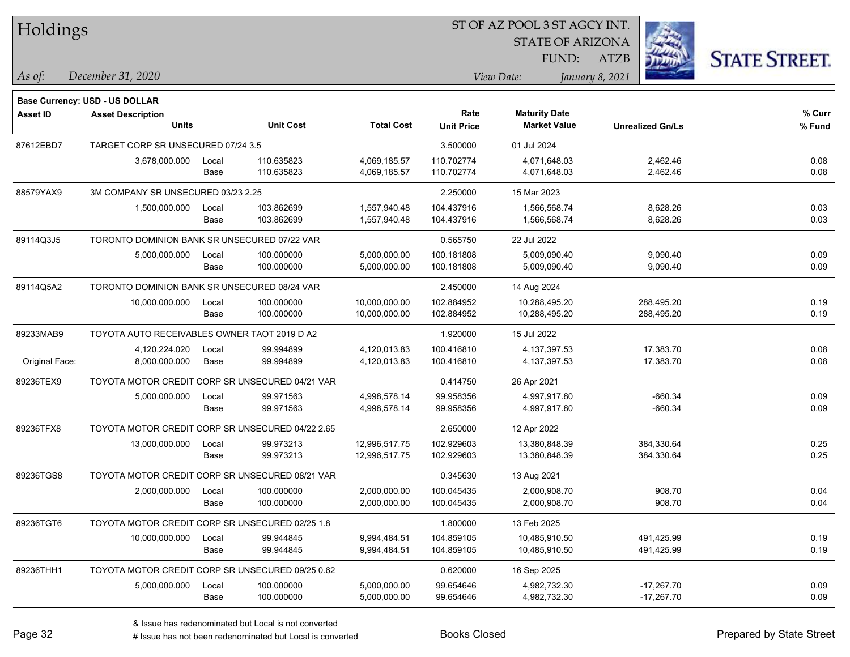|  | <b>Holdings</b> |
|--|-----------------|
|--|-----------------|

STATE OF ARIZONA FUND:

ATZB



*December 31, 2020 As of: View Date: January 8, 2021*

**Base Currency: USD - US DOLLAR**

| Asset ID       | <b>Asset Description</b><br><b>Units</b>         |               | <b>Unit Cost</b>         | <b>Total Cost</b>              | Rate<br><b>Unit Price</b> | <b>Maturity Date</b><br><b>Market Value</b> | <b>Unrealized Gn/Ls</b>      | % Curr<br>% Fund |
|----------------|--------------------------------------------------|---------------|--------------------------|--------------------------------|---------------------------|---------------------------------------------|------------------------------|------------------|
| 87612EBD7      | TARGET CORP SR UNSECURED 07/24 3.5               |               |                          | 3.500000                       | 01 Jul 2024               |                                             |                              |                  |
|                | 3,678,000.000                                    | Local<br>Base | 110.635823<br>110.635823 | 4,069,185.57<br>4,069,185.57   | 110.702774<br>110.702774  | 4,071,648.03<br>4,071,648.03                | 2,462.46<br>2,462.46         | 0.08<br>0.08     |
| 88579YAX9      | 3M COMPANY SR UNSECURED 03/23 2.25               |               |                          |                                | 2.250000                  | 15 Mar 2023                                 |                              |                  |
|                | 1,500,000.000                                    | Local<br>Base | 103.862699<br>103.862699 | 1,557,940.48<br>1,557,940.48   | 104.437916<br>104.437916  | 1,566,568.74<br>1,566,568.74                | 8,628.26<br>8,628.26         | 0.03<br>0.03     |
| 89114Q3J5      | TORONTO DOMINION BANK SR UNSECURED 07/22 VAR     |               |                          |                                | 0.565750                  | 22 Jul 2022                                 |                              |                  |
|                | 5,000,000.000                                    | Local<br>Base | 100.000000<br>100.000000 | 5,000,000.00<br>5,000,000.00   | 100.181808<br>100.181808  | 5,009,090.40<br>5,009,090.40                | 9,090.40<br>9,090.40         | 0.09<br>0.09     |
| 89114Q5A2      | TORONTO DOMINION BANK SR UNSECURED 08/24 VAR     |               |                          |                                | 2.450000                  | 14 Aug 2024                                 |                              |                  |
|                | 10,000,000.000                                   | Local<br>Base | 100.000000<br>100.000000 | 10,000,000.00<br>10,000,000.00 | 102.884952<br>102.884952  | 10,288,495.20<br>10,288,495.20              | 288,495.20<br>288,495.20     | 0.19<br>0.19     |
| 89233MAB9      | TOYOTA AUTO RECEIVABLES OWNER TAOT 2019 D A2     |               |                          |                                | 1.920000                  | 15 Jul 2022                                 |                              |                  |
| Original Face: | 4,120,224.020<br>8,000,000.000                   | Local<br>Base | 99.994899<br>99.994899   | 4,120,013.83<br>4,120,013.83   | 100.416810<br>100.416810  | 4,137,397.53<br>4, 137, 397.53              | 17,383.70<br>17,383.70       | 0.08<br>0.08     |
| 89236TEX9      | TOYOTA MOTOR CREDIT CORP SR UNSECURED 04/21 VAR  |               |                          |                                | 0.414750                  | 26 Apr 2021                                 |                              |                  |
|                | 5,000,000.000                                    | Local<br>Base | 99.971563<br>99.971563   | 4,998,578.14<br>4,998,578.14   | 99.958356<br>99.958356    | 4,997,917.80<br>4,997,917.80                | $-660.34$<br>$-660.34$       | 0.09<br>0.09     |
| 89236TFX8      | TOYOTA MOTOR CREDIT CORP SR UNSECURED 04/22 2.65 |               |                          |                                | 2.650000                  | 12 Apr 2022                                 |                              |                  |
|                | 13,000,000.000                                   | Local<br>Base | 99.973213<br>99.973213   | 12,996,517.75<br>12,996,517.75 | 102.929603<br>102.929603  | 13,380,848.39<br>13,380,848.39              | 384,330.64<br>384,330.64     | 0.25<br>0.25     |
| 89236TGS8      | TOYOTA MOTOR CREDIT CORP SR UNSECURED 08/21 VAR  |               |                          |                                | 0.345630                  | 13 Aug 2021                                 |                              |                  |
|                | 2,000,000.000                                    | Local<br>Base | 100.000000<br>100.000000 | 2,000,000.00<br>2,000,000.00   | 100.045435<br>100.045435  | 2,000,908.70<br>2,000,908.70                | 908.70<br>908.70             | 0.04<br>0.04     |
| 89236TGT6      | TOYOTA MOTOR CREDIT CORP SR UNSECURED 02/25 1.8  |               |                          |                                | 1.800000                  | 13 Feb 2025                                 |                              |                  |
|                | 10,000,000.000                                   | Local<br>Base | 99.944845<br>99.944845   | 9,994,484.51<br>9,994,484.51   | 104.859105<br>104.859105  | 10,485,910.50<br>10,485,910.50              | 491,425.99<br>491,425.99     | 0.19<br>0.19     |
| 89236THH1      | TOYOTA MOTOR CREDIT CORP SR UNSECURED 09/25 0.62 |               |                          |                                | 0.620000                  | 16 Sep 2025                                 |                              |                  |
|                | 5,000,000.000                                    | Local<br>Base | 100.000000<br>100.000000 | 5,000,000.00<br>5,000,000.00   | 99.654646<br>99.654646    | 4,982,732.30<br>4,982,732.30                | $-17,267.70$<br>$-17,267.70$ | 0.09<br>0.09     |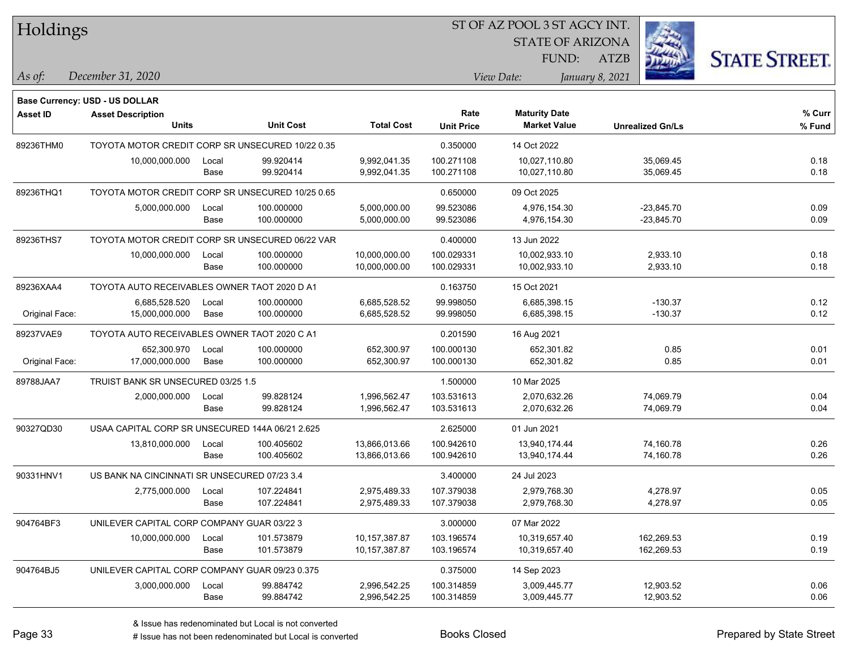| <b>Holdings</b> |  |
|-----------------|--|
|-----------------|--|

STATE OF ARIZONA FUND:



*December 31, 2020 As of: View Date: January 8, 2021*

**Base Currency: USD - US DOLLAR**

| Asset ID       | <b>Asset Description</b><br><b>Units</b>         |       | <b>Unit Cost</b> | <b>Total Cost</b> | Rate<br><b>Unit Price</b> | <b>Maturity Date</b><br><b>Market Value</b> | <b>Unrealized Gn/Ls</b> | % Curr<br>% Fund |
|----------------|--------------------------------------------------|-------|------------------|-------------------|---------------------------|---------------------------------------------|-------------------------|------------------|
| 89236THM0      | TOYOTA MOTOR CREDIT CORP SR UNSECURED 10/22 0.35 |       |                  |                   | 0.350000                  | 14 Oct 2022                                 |                         |                  |
|                | 10,000,000.000                                   | Local | 99.920414        | 9,992,041.35      | 100.271108                | 10,027,110.80                               | 35,069.45               | 0.18             |
|                |                                                  | Base  | 99.920414        | 9,992,041.35      | 100.271108                | 10,027,110.80                               | 35,069.45               | 0.18             |
| 89236THQ1      | TOYOTA MOTOR CREDIT CORP SR UNSECURED 10/25 0.65 |       |                  |                   | 0.650000                  | 09 Oct 2025                                 |                         |                  |
|                | 5,000,000.000                                    | Local | 100.000000       | 5,000,000.00      | 99.523086                 | 4,976,154.30                                | $-23,845.70$            | 0.09             |
|                |                                                  | Base  | 100.000000       | 5,000,000.00      | 99.523086                 | 4,976,154.30                                | $-23,845.70$            | 0.09             |
| 89236THS7      | TOYOTA MOTOR CREDIT CORP SR UNSECURED 06/22 VAR  |       |                  |                   | 0.400000                  | 13 Jun 2022                                 |                         |                  |
|                | 10,000,000.000                                   | Local | 100.000000       | 10,000,000.00     | 100.029331                | 10,002,933.10                               | 2,933.10                | 0.18             |
|                |                                                  | Base  | 100.000000       | 10,000,000.00     | 100.029331                | 10,002,933.10                               | 2,933.10                | 0.18             |
| 89236XAA4      | TOYOTA AUTO RECEIVABLES OWNER TAOT 2020 D A1     |       |                  |                   | 0.163750                  | 15 Oct 2021                                 |                         |                  |
|                | 6,685,528.520                                    | Local | 100.000000       | 6,685,528.52      | 99.998050                 | 6,685,398.15                                | $-130.37$               | 0.12             |
| Original Face: | 15,000,000.000                                   | Base  | 100.000000       | 6,685,528.52      | 99.998050                 | 6,685,398.15                                | $-130.37$               | 0.12             |
| 89237VAE9      | TOYOTA AUTO RECEIVABLES OWNER TAOT 2020 C A1     |       |                  |                   | 0.201590                  | 16 Aug 2021                                 |                         |                  |
|                | 652,300.970                                      | Local | 100.000000       | 652,300.97        | 100.000130                | 652,301.82                                  | 0.85                    | 0.01             |
| Original Face: | 17,000,000.000                                   | Base  | 100.000000       | 652,300.97        | 100.000130                | 652,301.82                                  | 0.85                    | 0.01             |
| 89788JAA7      | TRUIST BANK SR UNSECURED 03/25 1.5               |       |                  | 1.500000          | 10 Mar 2025               |                                             |                         |                  |
|                | 2,000,000.000                                    | Local | 99.828124        | 1,996,562.47      | 103.531613                | 2,070,632.26                                | 74,069.79               | 0.04             |
|                |                                                  | Base  | 99.828124        | 1,996,562.47      | 103.531613                | 2,070,632.26                                | 74,069.79               | 0.04             |
| 90327QD30      | USAA CAPITAL CORP SR UNSECURED 144A 06/21 2.625  |       |                  |                   | 2.625000                  | 01 Jun 2021                                 |                         |                  |
|                | 13,810,000.000                                   | Local | 100.405602       | 13,866,013.66     | 100.942610                | 13,940,174.44                               | 74,160.78               | 0.26             |
|                |                                                  | Base  | 100.405602       | 13,866,013.66     | 100.942610                | 13,940,174.44                               | 74,160.78               | 0.26             |
| 90331HNV1      | US BANK NA CINCINNATI SR UNSECURED 07/23 3.4     |       |                  |                   | 3.400000                  | 24 Jul 2023                                 |                         |                  |
|                | 2,775,000.000                                    | Local | 107.224841       | 2,975,489.33      | 107.379038                | 2,979,768.30                                | 4,278.97                | 0.05             |
|                |                                                  | Base  | 107.224841       | 2,975,489.33      | 107.379038                | 2,979,768.30                                | 4,278.97                | 0.05             |
| 904764BF3      | UNILEVER CAPITAL CORP COMPANY GUAR 03/22 3       |       |                  |                   | 3.000000                  | 07 Mar 2022                                 |                         |                  |
|                | 10,000,000.000                                   | Local | 101.573879       | 10,157,387.87     | 103.196574                | 10,319,657.40                               | 162,269.53              | 0.19             |
|                |                                                  | Base  | 101.573879       | 10,157,387.87     | 103.196574                | 10,319,657.40                               | 162,269.53              | 0.19             |
| 904764BJ5      | UNILEVER CAPITAL CORP COMPANY GUAR 09/23 0.375   |       |                  |                   | 0.375000                  | 14 Sep 2023                                 |                         |                  |
|                | 3,000,000.000                                    | Local | 99.884742        | 2,996,542.25      | 100.314859                | 3,009,445.77                                | 12,903.52               | 0.06             |
|                |                                                  | Base  | 99.884742        | 2,996,542.25      | 100.314859                | 3,009,445.77                                | 12,903.52               | 0.06             |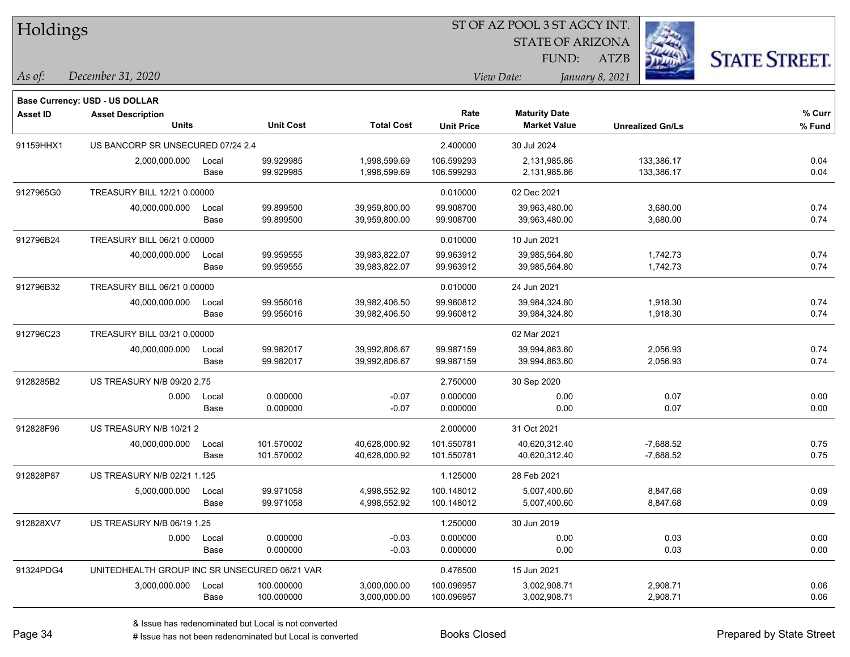| Holdings        |                                               |       |                  |                   |                   |                         |                         |                      |
|-----------------|-----------------------------------------------|-------|------------------|-------------------|-------------------|-------------------------|-------------------------|----------------------|
|                 |                                               |       |                  |                   |                   | <b>STATE OF ARIZONA</b> |                         |                      |
|                 |                                               |       |                  |                   |                   | FUND:                   | ATZB                    | <b>STATE STREET.</b> |
| As of:          | December 31, 2020                             |       |                  |                   |                   | View Date:              | January 8, 2021         |                      |
|                 | <b>Base Currency: USD - US DOLLAR</b>         |       |                  |                   |                   |                         |                         |                      |
| <b>Asset ID</b> | <b>Asset Description</b>                      |       |                  |                   | Rate              | <b>Maturity Date</b>    |                         | % Curr               |
|                 | <b>Units</b>                                  |       | <b>Unit Cost</b> | <b>Total Cost</b> | <b>Unit Price</b> | <b>Market Value</b>     | <b>Unrealized Gn/Ls</b> | % Fund               |
| 91159HHX1       | US BANCORP SR UNSECURED 07/24 2.4             |       |                  |                   | 2.400000          | 30 Jul 2024             |                         |                      |
|                 | 2,000,000.000                                 | Local | 99.929985        | 1,998,599.69      | 106.599293        | 2,131,985.86            | 133,386.17              | 0.04                 |
|                 |                                               | Base  | 99.929985        | 1,998,599.69      | 106.599293        | 2,131,985.86            | 133,386.17              | 0.04                 |
| 9127965G0       | TREASURY BILL 12/21 0.00000                   |       |                  |                   | 0.010000          | 02 Dec 2021             |                         |                      |
|                 | 40,000,000.000                                | Local | 99.899500        | 39,959,800.00     | 99.908700         | 39,963,480.00           | 3,680.00                | 0.74                 |
|                 |                                               | Base  | 99.899500        | 39,959,800.00     | 99.908700         | 39,963,480.00           | 3,680.00                | 0.74                 |
| 912796B24       | TREASURY BILL 06/21 0.00000                   |       |                  |                   | 0.010000          | 10 Jun 2021             |                         |                      |
|                 | 40,000,000.000                                | Local | 99.959555        | 39,983,822.07     | 99.963912         | 39,985,564.80           | 1,742.73                | 0.74                 |
|                 |                                               | Base  | 99.959555        | 39,983,822.07     | 99.963912         | 39,985,564.80           | 1,742.73                | 0.74                 |
| 912796B32       | TREASURY BILL 06/21 0.00000                   |       |                  |                   | 0.010000          | 24 Jun 2021             |                         |                      |
|                 | 40,000,000.000                                | Local | 99.956016        | 39,982,406.50     | 99.960812         | 39,984,324.80           | 1,918.30                | 0.74                 |
|                 |                                               | Base  | 99.956016        | 39,982,406.50     | 99.960812         | 39,984,324.80           | 1,918.30                | 0.74                 |
| 912796C23       | TREASURY BILL 03/21 0.00000                   |       |                  |                   |                   | 02 Mar 2021             |                         |                      |
|                 | 40,000,000.000                                | Local | 99.982017        | 39,992,806.67     | 99.987159         | 39,994,863.60           | 2,056.93                | 0.74                 |
|                 |                                               | Base  | 99.982017        | 39,992,806.67     | 99.987159         | 39,994,863.60           | 2,056.93                | 0.74                 |
| 9128285B2       | US TREASURY N/B 09/20 2.75                    |       |                  |                   | 2.750000          | 30 Sep 2020             |                         |                      |
|                 | 0.000                                         | Local | 0.000000         | $-0.07$           | 0.000000          | 0.00                    | 0.07                    | 0.00                 |
|                 |                                               | Base  | 0.000000         | $-0.07$           | 0.000000          | 0.00                    | 0.07                    | 0.00                 |
| 912828F96       | US TREASURY N/B 10/21 2                       |       |                  |                   | 2.000000          | 31 Oct 2021             |                         |                      |
|                 | 40,000,000.000                                | Local | 101.570002       | 40,628,000.92     | 101.550781        | 40,620,312.40           | $-7,688.52$             | 0.75                 |
|                 |                                               | Base  | 101.570002       | 40,628,000.92     | 101.550781        | 40,620,312.40           | $-7,688.52$             | 0.75                 |
| 912828P87       | US TREASURY N/B 02/21 1.125                   |       |                  |                   | 1.125000          | 28 Feb 2021             |                         |                      |
|                 | 5,000,000.000                                 | Local | 99.971058        | 4,998,552.92      | 100.148012        | 5,007,400.60            | 8,847.68                | 0.09                 |
|                 |                                               | Base  | 99.971058        | 4,998,552.92      | 100.148012        | 5,007,400.60            | 8,847.68                | 0.09                 |
| 912828XV7       | US TREASURY N/B 06/19 1.25                    |       |                  |                   | 1.250000          | 30 Jun 2019             |                         |                      |
|                 | 0.000                                         | Local | 0.000000         | $-0.03$           | 0.000000          | 0.00                    | 0.03                    | 0.00                 |
|                 |                                               | Base  | 0.000000         | $-0.03$           | 0.000000          | 0.00                    | 0.03                    | 0.00                 |
| 91324PDG4       | UNITEDHEALTH GROUP INC SR UNSECURED 06/21 VAR |       |                  |                   | 0.476500          | 15 Jun 2021             |                         |                      |
|                 | 3,000,000.000                                 | Local | 100.000000       | 3,000,000.00      | 100.096957        | 3,002,908.71            | 2,908.71                | 0.06                 |
|                 |                                               | Base  | 100.000000       | 3,000,000.00      | 100.096957        | 3,002,908.71            | 2,908.71                | 0.06                 |

 $\overline{\phantom{0}}$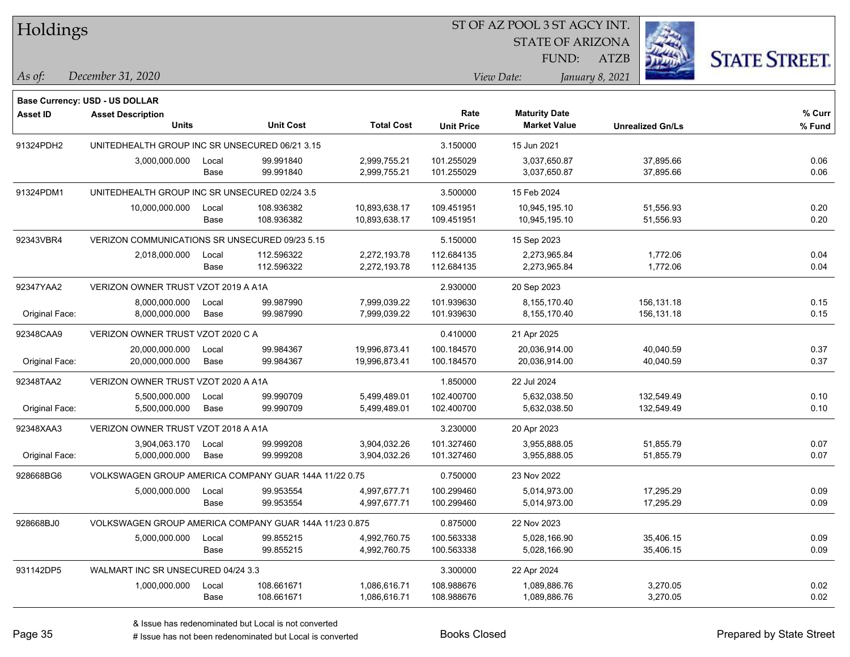| Holdings |
|----------|
|          |

**Maturity Date**

STATE OF ARIZONA

FUND:



**% Curr**

*December 31, 2020 As of: View Date: January 8, 2021*

**Base Currency: USD - US DOLLAR**

ATZB

|                | <b>Units</b>                                           |       | <b>Unit Cost</b> | <b>Total Cost</b> | <b>Unit Price</b> | <b>Market Value</b> | <b>Unrealized Gn/Ls</b>                                                                | % Fund |
|----------------|--------------------------------------------------------|-------|------------------|-------------------|-------------------|---------------------|----------------------------------------------------------------------------------------|--------|
| 91324PDH2      | UNITEDHEALTH GROUP INC SR UNSECURED 06/21 3.15         |       |                  |                   | 3.150000          | 15 Jun 2021         |                                                                                        |        |
|                | 3,000,000.000                                          | Local | 99.991840        | 2,999,755.21      | 101.255029        | 3,037,650.87        | 37,895.66                                                                              | 0.06   |
|                |                                                        | Base  | 99.991840        | 2,999,755.21      | 101.255029        | 3,037,650.87        | 37,895.66                                                                              | 0.06   |
| 91324PDM1      | UNITEDHEALTH GROUP INC SR UNSECURED 02/24 3.5          |       |                  |                   | 3.500000          | 15 Feb 2024         |                                                                                        |        |
|                | 10,000,000.000                                         | Local | 108.936382       | 10,893,638.17     | 109.451951        | 10,945,195.10       | 51,556.93                                                                              | 0.20   |
|                |                                                        | Base  | 108.936382       | 10,893,638.17     | 109.451951        | 10,945,195.10       | 51,556.93                                                                              | 0.20   |
| 92343VBR4      | VERIZON COMMUNICATIONS SR UNSECURED 09/23 5.15         |       |                  |                   | 5.150000          | 15 Sep 2023         |                                                                                        |        |
|                | 2,018,000.000                                          | Local | 112.596322       | 2,272,193.78      | 112.684135        | 2,273,965.84        | 1,772.06                                                                               | 0.04   |
|                |                                                        | Base  | 112.596322       | 2,272,193.78      | 112.684135        | 2,273,965.84        | 1,772.06                                                                               | 0.04   |
| 92347YAA2      | VERIZON OWNER TRUST VZOT 2019 A A1A                    |       |                  |                   | 2.930000          | 20 Sep 2023         |                                                                                        |        |
|                | 8,000,000.000                                          | Local | 99.987990        | 7,999,039.22      | 101.939630        | 8,155,170.40        | 156,131.18                                                                             | 0.15   |
| Original Face: | 8,000,000.000                                          | Base  | 99.987990        | 7,999,039.22      | 101.939630        | 8,155,170.40        | 156,131.18                                                                             | 0.15   |
| 92348CAA9      | VERIZON OWNER TRUST VZOT 2020 C A                      |       |                  |                   | 0.410000          | 21 Apr 2025         |                                                                                        |        |
|                | 20,000,000.000                                         | Local | 99.984367        | 19,996,873.41     | 100.184570        | 20,036,914.00       | 40,040.59                                                                              | 0.37   |
| Original Face: | 20,000,000.000                                         | Base  | 99.984367        | 19,996,873.41     | 100.184570        | 20,036,914.00       | 40,040.59                                                                              | 0.37   |
| 92348TAA2      | VERIZON OWNER TRUST VZOT 2020 A A1A                    |       |                  |                   | 1.850000          | 22 Jul 2024         |                                                                                        |        |
|                | 5,500,000.000                                          | Local | 99.990709        | 5,499,489.01      | 102.400700        | 5,632,038.50        | 132,549.49                                                                             | 0.10   |
| Original Face: | 5,500,000.000                                          | Base  | 99.990709        | 5,499,489.01      | 102.400700        | 5,632,038.50        | 132,549.49                                                                             | 0.10   |
| 92348XAA3      | VERIZON OWNER TRUST VZOT 2018 A A1A                    |       |                  |                   | 3.230000          | 20 Apr 2023         | 51,855.79<br>51,855.79<br>17,295.29<br>17,295.29<br>35,406.15<br>35,406.15<br>3,270.05 |        |
|                | 3,904,063.170                                          | Local | 99.999208        | 3,904,032.26      | 101.327460        | 3,955,888.05        |                                                                                        | 0.07   |
| Original Face: | 5,000,000.000                                          | Base  | 99.999208        | 3,904,032.26      | 101.327460        | 3,955,888.05        |                                                                                        | 0.07   |
| 928668BG6      | VOLKSWAGEN GROUP AMERICA COMPANY GUAR 144A 11/22 0.75  |       |                  |                   | 0.750000          | 23 Nov 2022         |                                                                                        |        |
|                | 5,000,000.000                                          | Local | 99.953554        | 4,997,677.71      | 100.299460        | 5,014,973.00        |                                                                                        | 0.09   |
|                |                                                        | Base  | 99.953554        | 4,997,677.71      | 100.299460        | 5,014,973.00        |                                                                                        | 0.09   |
| 928668BJ0      | VOLKSWAGEN GROUP AMERICA COMPANY GUAR 144A 11/23 0.875 |       |                  |                   | 0.875000          | 22 Nov 2023         |                                                                                        |        |
|                | 5,000,000.000                                          | Local | 99.855215        | 4,992,760.75      | 100.563338        | 5,028,166.90        |                                                                                        | 0.09   |
|                |                                                        | Base  | 99.855215        | 4,992,760.75      | 100.563338        | 5,028,166.90        |                                                                                        | 0.09   |
| 931142DP5      | WALMART INC SR UNSECURED 04/24 3.3                     |       |                  |                   | 3.300000          | 22 Apr 2024         |                                                                                        |        |
|                | 1,000,000.000                                          | Local | 108.661671       | 1,086,616.71      | 108.988676        | 1,089,886.76        |                                                                                        | 0.02   |

**Asset ID Asset Description Rate**

Base 108.661671 1,086,616.71 108.988676 1,089,886.76 3,270.05 0.02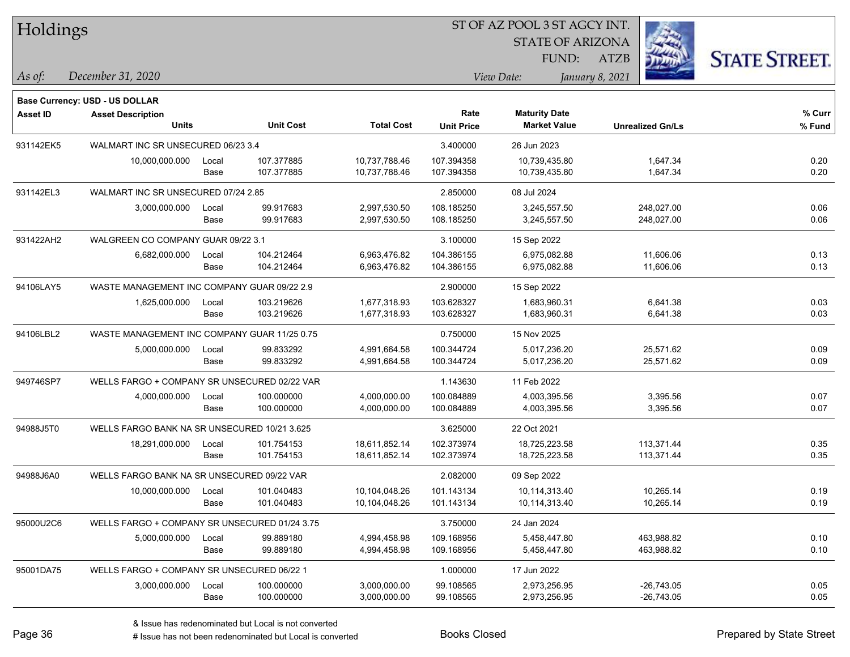| 51 OF AZ POOL 351 AGCY INT.<br>Holdings |                                               |                                              |                  |                   |                   |                                             |                         |                      |
|-----------------------------------------|-----------------------------------------------|----------------------------------------------|------------------|-------------------|-------------------|---------------------------------------------|-------------------------|----------------------|
|                                         |                                               |                                              |                  |                   |                   | <b>STATE OF ARIZONA</b>                     |                         |                      |
|                                         |                                               |                                              |                  |                   |                   | FUND:                                       | <b>ATZB</b>             | <b>STATE STREET.</b> |
| As of:                                  | December 31, 2020                             |                                              |                  |                   | View Date:        |                                             | January 8, 2021         |                      |
|                                         |                                               |                                              |                  |                   |                   |                                             |                         |                      |
|                                         | <b>Base Currency: USD - US DOLLAR</b>         |                                              |                  |                   |                   |                                             |                         |                      |
| <b>Asset ID</b>                         | <b>Asset Description</b><br><b>Units</b>      |                                              | <b>Unit Cost</b> | <b>Total Cost</b> | Rate              | <b>Maturity Date</b><br><b>Market Value</b> |                         | % Curr               |
|                                         |                                               |                                              |                  |                   | <b>Unit Price</b> |                                             | <b>Unrealized Gn/Ls</b> | % Fund               |
| 931142EK5                               | WALMART INC SR UNSECURED 06/23 3.4            |                                              |                  |                   | 3.400000          | 26 Jun 2023                                 |                         |                      |
|                                         | 10,000,000.000                                | Local                                        | 107.377885       | 10,737,788.46     | 107.394358        | 10,739,435.80                               | 1,647.34                | 0.20                 |
|                                         |                                               | Base                                         | 107.377885       | 10,737,788.46     | 107.394358        | 10,739,435.80                               | 1,647.34                | 0.20                 |
| 931142EL3                               | WALMART INC SR UNSECURED 07/24 2.85           |                                              |                  |                   | 2.850000          | 08 Jul 2024                                 |                         |                      |
|                                         | 3,000,000.000                                 | Local                                        | 99.917683        | 2,997,530.50      | 108.185250        | 3,245,557.50                                | 248,027.00              | 0.06                 |
|                                         |                                               | Base                                         | 99.917683        | 2,997,530.50      | 108.185250        | 3,245,557.50                                | 248,027.00              | 0.06                 |
| 931422AH2                               | WALGREEN CO COMPANY GUAR 09/22 3.1            |                                              |                  |                   | 3.100000          | 15 Sep 2022                                 |                         |                      |
|                                         | 6,682,000.000                                 | Local                                        | 104.212464       | 6,963,476.82      | 104.386155        | 6.975.082.88                                | 11,606.06               | 0.13                 |
|                                         |                                               | Base                                         | 104.212464       | 6,963,476.82      | 104.386155        | 6,975,082.88                                | 11,606.06               | 0.13                 |
| 94106LAY5                               | WASTE MANAGEMENT INC COMPANY GUAR 09/22 2.9   |                                              |                  |                   | 2.900000          | 15 Sep 2022                                 |                         |                      |
|                                         | 1,625,000.000                                 | Local                                        | 103.219626       | 1,677,318.93      | 103.628327        | 1,683,960.31                                | 6,641.38                | 0.03                 |
|                                         |                                               | Base                                         | 103.219626       | 1,677,318.93      | 103.628327        | 1,683,960.31                                | 6,641.38                | 0.03                 |
| 94106LBL2                               |                                               | WASTE MANAGEMENT INC COMPANY GUAR 11/25 0.75 |                  |                   | 0.750000          | 15 Nov 2025                                 |                         |                      |
|                                         | 5,000,000.000                                 | Local                                        | 99.833292        | 4,991,664.58      | 100.344724        | 5,017,236.20                                | 25,571.62               | 0.09                 |
|                                         |                                               | Base                                         | 99.833292        | 4,991,664.58      | 100.344724        | 5,017,236.20                                | 25,571.62               | 0.09                 |
| 949746SP7                               | WELLS FARGO + COMPANY SR UNSECURED 02/22 VAR  |                                              |                  |                   | 1.143630          | 11 Feb 2022                                 |                         |                      |
|                                         | 4,000,000.000                                 | Local                                        | 100.000000       | 4,000,000.00      | 100.084889        | 4,003,395.56                                | 3,395.56                | 0.07                 |
|                                         |                                               | Base                                         | 100.000000       | 4,000,000.00      | 100.084889        | 4,003,395.56                                | 3,395.56                | 0.07                 |
| 94988J5T0                               | WELLS FARGO BANK NA SR UNSECURED 10/21 3.625  |                                              |                  |                   | 3.625000          | 22 Oct 2021                                 |                         |                      |
|                                         | 18,291,000.000                                | Local                                        | 101.754153       | 18,611,852.14     | 102.373974        | 18,725,223.58                               | 113,371.44              | 0.35                 |
|                                         |                                               | Base                                         | 101.754153       | 18,611,852.14     | 102.373974        | 18,725,223.58                               | 113,371.44              | 0.35                 |
| 94988J6A0                               | WELLS FARGO BANK NA SR UNSECURED 09/22 VAR    |                                              |                  |                   | 2.082000          | 09 Sep 2022                                 |                         |                      |
|                                         | 10,000,000.000                                | Local                                        | 101.040483       | 10,104,048.26     | 101.143134        | 10,114,313.40                               | 10,265.14               | 0.19                 |
|                                         |                                               | Base                                         | 101.040483       | 10,104,048.26     | 101.143134        | 10,114,313.40                               | 10,265.14               | 0.19                 |
| 95000U2C6                               | WELLS FARGO + COMPANY SR UNSECURED 01/24 3.75 |                                              |                  |                   | 3.750000          | 24 Jan 2024                                 |                         |                      |
|                                         | 5,000,000.000                                 | Local                                        | 99.889180        | 4,994,458.98      | 109.168956        | 5,458,447.80                                | 463,988.82              | 0.10                 |
|                                         |                                               | Base                                         | 99.889180        | 4,994,458.98      | 109.168956        | 5,458,447.80                                | 463,988.82              | 0.10                 |
| 95001DA75                               | WELLS FARGO + COMPANY SR UNSECURED 06/22 1    |                                              |                  |                   | 1.000000          | 17 Jun 2022                                 |                         |                      |
|                                         | 3,000,000.000                                 | Local                                        | 100.000000       | 3,000,000.00      | 99.108565         | 2,973,256.95                                | $-26,743.05$            | 0.05                 |
|                                         |                                               | Base                                         | 100.000000       | 3,000,000.00      | 99.108565         | 2,973,256.95                                | $-26,743.05$            | 0.05                 |

 $\overline{\text{SUSP}}$ 

٦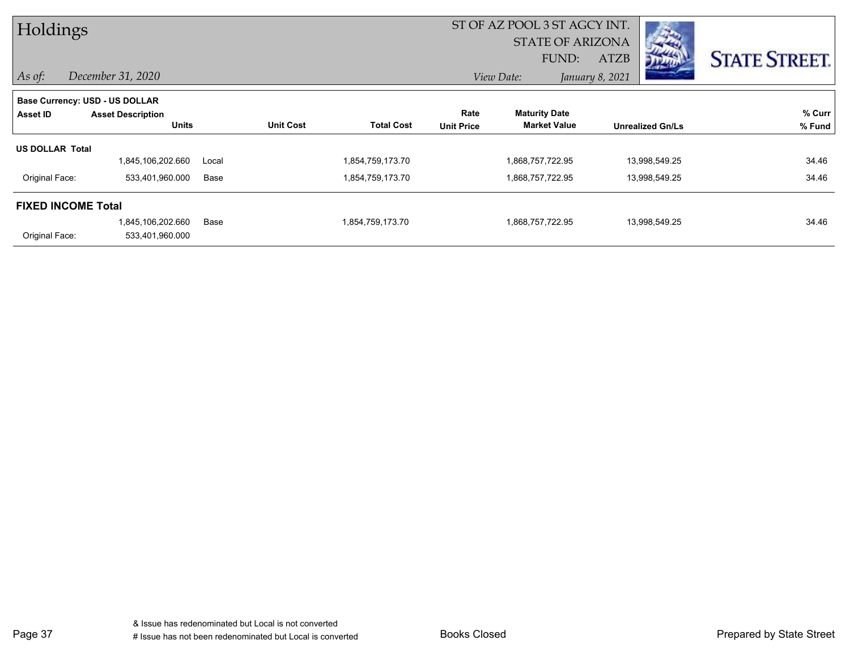| Holdings                  |                                |       |                  |                   | ST OF AZ POOL 3 ST AGCY INT. |                         |                 |                         |                      |
|---------------------------|--------------------------------|-------|------------------|-------------------|------------------------------|-------------------------|-----------------|-------------------------|----------------------|
|                           |                                |       |                  |                   |                              | <b>STATE OF ARIZONA</b> |                 |                         |                      |
|                           |                                |       |                  |                   |                              | FUND:                   | <b>ATZB</b>     | מייער                   | <b>STATE STREET.</b> |
| $\vert$ As of:            | December 31, 2020              |       |                  |                   |                              | View Date:              | January 8, 2021 |                         |                      |
|                           | Base Currency: USD - US DOLLAR |       |                  |                   |                              |                         |                 |                         |                      |
| Asset ID                  | <b>Asset Description</b>       |       |                  |                   | Rate                         | <b>Maturity Date</b>    |                 |                         | % Curr               |
|                           | <b>Units</b>                   |       | <b>Unit Cost</b> | <b>Total Cost</b> | <b>Unit Price</b>            | <b>Market Value</b>     |                 | <b>Unrealized Gn/Ls</b> | % Fund               |
| <b>US DOLLAR Total</b>    |                                |       |                  |                   |                              |                         |                 |                         |                      |
|                           | 1,845,106,202.660              | Local |                  | 1,854,759,173.70  |                              | 1,868,757,722.95        |                 | 13,998,549.25           | 34.46                |
| Original Face:            | 533,401,960.000                | Base  |                  | 1,854,759,173.70  |                              | 1,868,757,722.95        |                 | 13,998,549.25           | 34.46                |
| <b>FIXED INCOME Total</b> |                                |       |                  |                   |                              |                         |                 |                         |                      |
|                           | 1,845,106,202.660              | Base  |                  | 1,854,759,173.70  |                              | 1,868,757,722.95        |                 | 13,998,549.25           | 34.46                |
| Original Face:            | 533,401,960.000                |       |                  |                   |                              |                         |                 |                         |                      |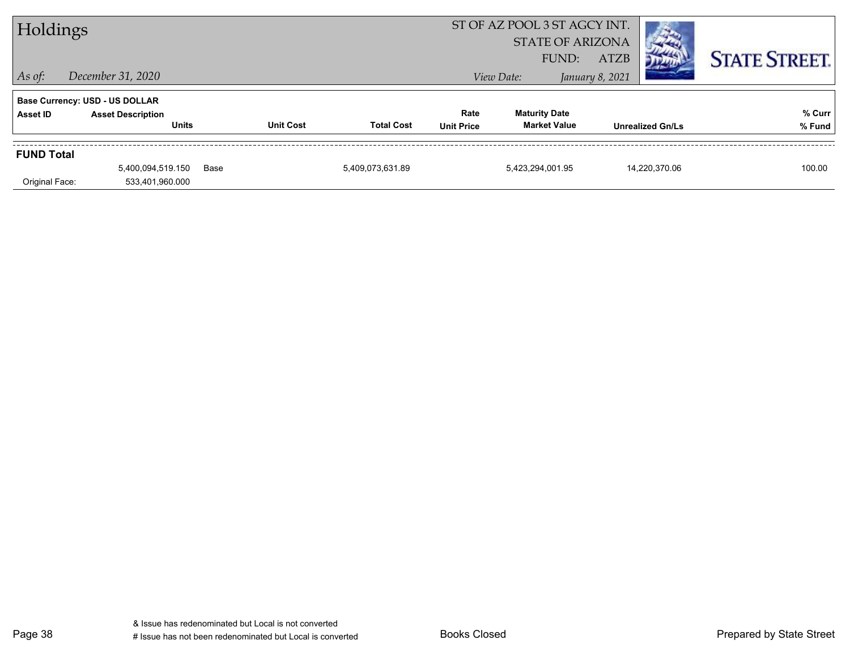| Holdings          |                                          |      | ST OF AZ POOL 3 ST AGCY INT.<br><b>STATE OF ARIZONA</b> |                   |                           |                                             |                      |                         |                  |
|-------------------|------------------------------------------|------|---------------------------------------------------------|-------------------|---------------------------|---------------------------------------------|----------------------|-------------------------|------------------|
|                   | <b>ATZB</b><br>FUND:                     |      |                                                         |                   |                           |                                             | <b>STATE STREET.</b> |                         |                  |
| $ $ As of:        | December 31, 2020                        |      |                                                         |                   |                           | View Date:                                  | January 8, 2021      |                         |                  |
|                   | <b>Base Currency: USD - US DOLLAR</b>    |      |                                                         |                   |                           |                                             |                      |                         |                  |
| Asset ID          | <b>Asset Description</b><br><b>Units</b> |      | <b>Unit Cost</b>                                        | <b>Total Cost</b> | Rate<br><b>Unit Price</b> | <b>Maturity Date</b><br><b>Market Value</b> |                      | <b>Unrealized Gn/Ls</b> | % Curr<br>% Fund |
| <b>FUND Total</b> |                                          |      |                                                         |                   |                           |                                             |                      |                         |                  |
|                   | 5,400,094,519.150                        | Base |                                                         | 5,409,073,631.89  |                           | 5,423,294,001.95                            |                      | 14.220.370.06           | 100.00           |
| Original Face:    | 533,401,960.000                          |      |                                                         |                   |                           |                                             |                      |                         |                  |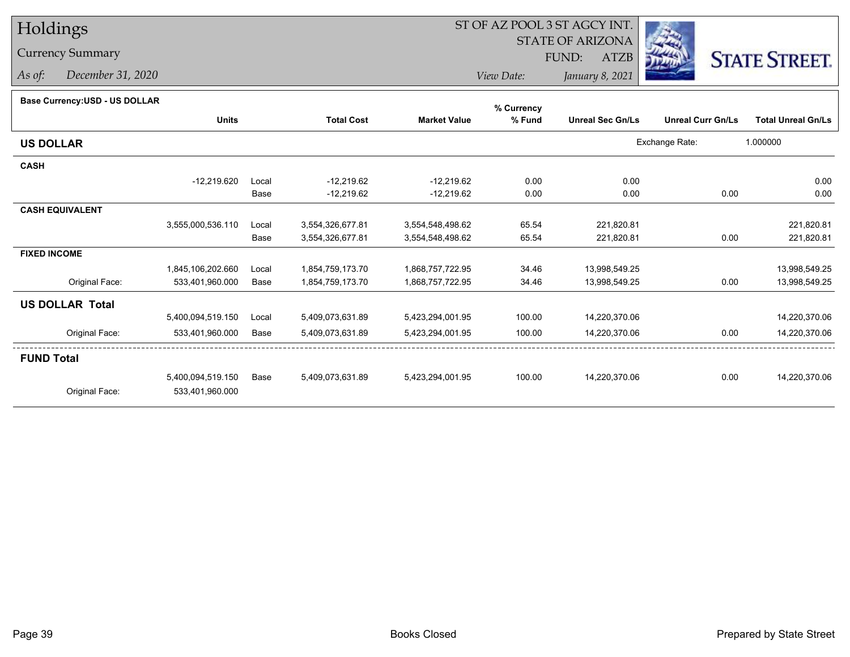# Holdings

# Currency Summary

*As of: December 31, 2020*

# ST OF AZ POOL 3 ST AGCY INT.

STATE OF ARIZONA

FUND: ATZB



*View Date:January 8, 2021*

| Base Currency: USD - US DOLLAR |  |
|--------------------------------|--|
|                                |  |

| Base Currency: USD - US DOLLAR |                   |       |                   |                     | % Currency |                         |                          |                           |
|--------------------------------|-------------------|-------|-------------------|---------------------|------------|-------------------------|--------------------------|---------------------------|
|                                | <b>Units</b>      |       | <b>Total Cost</b> | <b>Market Value</b> | % Fund     | <b>Unreal Sec Gn/Ls</b> | <b>Unreal Curr Gn/Ls</b> | <b>Total Unreal Gn/Ls</b> |
| <b>US DOLLAR</b>               |                   |       |                   |                     |            |                         | Exchange Rate:           | 1.000000                  |
| <b>CASH</b>                    |                   |       |                   |                     |            |                         |                          |                           |
|                                | $-12,219.620$     | Local | $-12,219.62$      | $-12,219.62$        | 0.00       | 0.00                    |                          | 0.00                      |
|                                |                   | Base  | $-12,219.62$      | $-12,219.62$        | 0.00       | 0.00                    | 0.00                     | 0.00                      |
| <b>CASH EQUIVALENT</b>         |                   |       |                   |                     |            |                         |                          |                           |
|                                | 3,555,000,536.110 | Local | 3,554,326,677.81  | 3,554,548,498.62    | 65.54      | 221,820.81              |                          | 221,820.81                |
|                                |                   | Base  | 3,554,326,677.81  | 3,554,548,498.62    | 65.54      | 221,820.81              | 0.00                     | 221,820.81                |
| <b>FIXED INCOME</b>            |                   |       |                   |                     |            |                         |                          |                           |
|                                | 1,845,106,202.660 | Local | 1,854,759,173.70  | 1,868,757,722.95    | 34.46      | 13,998,549.25           |                          | 13,998,549.25             |
| Original Face:                 | 533,401,960.000   | Base  | 1,854,759,173.70  | 1,868,757,722.95    | 34.46      | 13,998,549.25           | 0.00                     | 13,998,549.25             |
| <b>US DOLLAR Total</b>         |                   |       |                   |                     |            |                         |                          |                           |
|                                | 5,400,094,519.150 | Local | 5,409,073,631.89  | 5,423,294,001.95    | 100.00     | 14,220,370.06           |                          | 14,220,370.06             |
| Original Face:                 | 533,401,960.000   | Base  | 5,409,073,631.89  | 5,423,294,001.95    | 100.00     | 14,220,370.06           | 0.00                     | 14,220,370.06             |
| <b>FUND Total</b>              |                   |       |                   |                     |            |                         |                          |                           |
|                                | 5,400,094,519.150 | Base  | 5,409,073,631.89  | 5,423,294,001.95    | 100.00     | 14,220,370.06           | 0.00                     | 14,220,370.06             |
| Original Face:                 | 533,401,960.000   |       |                   |                     |            |                         |                          |                           |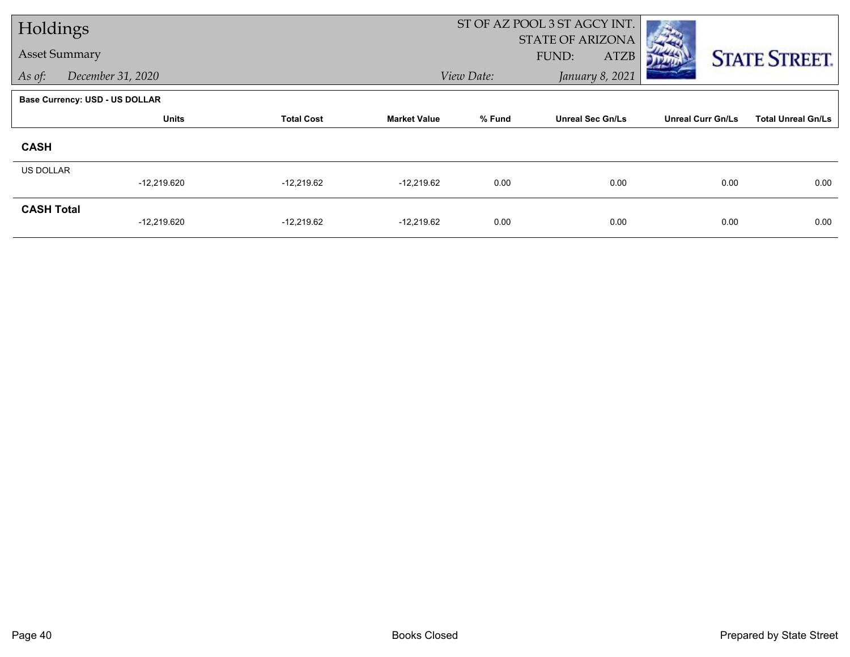|                      | Holdings                              |                   |                     |            | ST OF AZ POOL 3 ST AGCY INT. |                          |                           |
|----------------------|---------------------------------------|-------------------|---------------------|------------|------------------------------|--------------------------|---------------------------|
|                      |                                       |                   |                     |            | <b>STATE OF ARIZONA</b>      |                          |                           |
| <b>Asset Summary</b> |                                       |                   |                     |            | FUND:<br>ATZB                |                          | <b>STATE STREET.</b>      |
| As of:               | December 31, 2020                     |                   |                     | View Date: | January 8, 2021              |                          |                           |
|                      | <b>Base Currency: USD - US DOLLAR</b> |                   |                     |            |                              |                          |                           |
|                      | <b>Units</b>                          | <b>Total Cost</b> | <b>Market Value</b> | % Fund     | <b>Unreal Sec Gn/Ls</b>      | <b>Unreal Curr Gn/Ls</b> | <b>Total Unreal Gn/Ls</b> |
| <b>CASH</b>          |                                       |                   |                     |            |                              |                          |                           |
| US DOLLAR            |                                       |                   |                     |            |                              |                          |                           |
|                      | $-12,219.620$                         | $-12,219.62$      | $-12,219.62$        | 0.00       | 0.00                         | 0.00                     | 0.00                      |
| <b>CASH Total</b>    |                                       |                   |                     |            |                              |                          |                           |
|                      | $-12,219.620$                         | $-12,219.62$      | $-12,219.62$        | 0.00       | 0.00                         | 0.00                     | 0.00                      |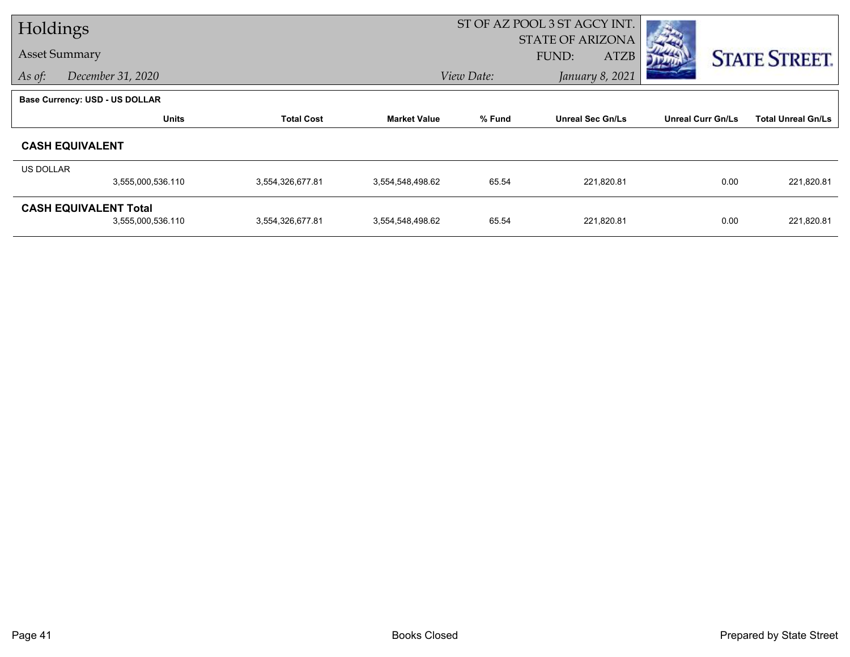|           | Holdings                              |                   |                     | ST OF AZ POOL 3 ST AGCY INT. |                         |                          |                           |
|-----------|---------------------------------------|-------------------|---------------------|------------------------------|-------------------------|--------------------------|---------------------------|
|           |                                       |                   |                     |                              | <b>STATE OF ARIZONA</b> |                          |                           |
|           | <b>Asset Summary</b>                  |                   |                     |                              | FUND:<br><b>ATZB</b>    |                          | <b>STATE STREET.</b>      |
| As of:    | December 31, 2020                     |                   |                     | View Date:                   | January 8, 2021         |                          |                           |
|           | <b>Base Currency: USD - US DOLLAR</b> |                   |                     |                              |                         |                          |                           |
|           | <b>Units</b>                          | <b>Total Cost</b> | <b>Market Value</b> | % Fund                       | <b>Unreal Sec Gn/Ls</b> | <b>Unreal Curr Gn/Ls</b> | <b>Total Unreal Gn/Ls</b> |
|           | <b>CASH EQUIVALENT</b>                |                   |                     |                              |                         |                          |                           |
| US DOLLAR |                                       |                   |                     |                              |                         |                          |                           |
|           | 3,555,000,536.110                     | 3,554,326,677.81  | 3,554,548,498.62    | 65.54                        | 221,820.81              | 0.00                     | 221,820.81                |
|           | <b>CASH EQUIVALENT Total</b>          |                   |                     |                              |                         |                          |                           |
|           | 3,555,000,536.110                     | 3,554,326,677.81  | 3,554,548,498.62    | 65.54                        | 221,820.81              | 0.00                     | 221,820.81                |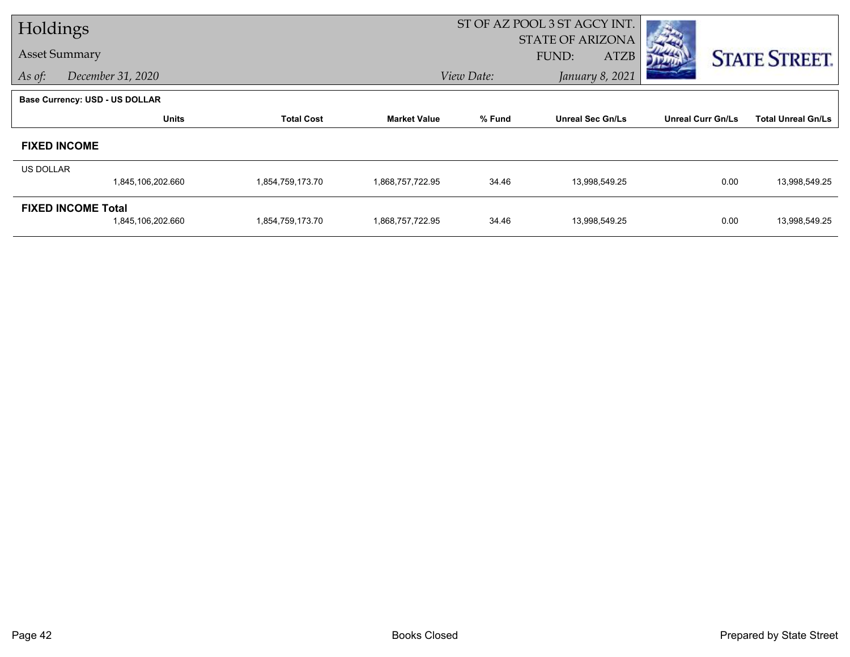|                      | Holdings                              |                   |                     |            | ST OF AZ POOL 3 ST AGCY INT. |                          |                           |
|----------------------|---------------------------------------|-------------------|---------------------|------------|------------------------------|--------------------------|---------------------------|
| <b>Asset Summary</b> |                                       |                   |                     |            | STATE OF ARIZONA             |                          |                           |
|                      |                                       |                   |                     |            | FUND:<br><b>ATZB</b>         |                          | <b>STATE STREET.</b>      |
| As of:               | December 31, 2020                     |                   |                     | View Date: | January 8, 2021              |                          |                           |
|                      | <b>Base Currency: USD - US DOLLAR</b> |                   |                     |            |                              |                          |                           |
|                      | <b>Units</b>                          | <b>Total Cost</b> | <b>Market Value</b> | % Fund     | <b>Unreal Sec Gn/Ls</b>      | <b>Unreal Curr Gn/Ls</b> | <b>Total Unreal Gn/Ls</b> |
|                      | <b>FIXED INCOME</b>                   |                   |                     |            |                              |                          |                           |
| <b>US DOLLAR</b>     |                                       |                   |                     |            |                              |                          |                           |
|                      | 1,845,106,202.660                     | 1,854,759,173.70  | 1,868,757,722.95    | 34.46      | 13,998,549.25                | 0.00                     | 13,998,549.25             |
|                      | <b>FIXED INCOME Total</b>             |                   |                     |            |                              |                          |                           |
|                      | 1,845,106,202.660                     | 1,854,759,173.70  | 1,868,757,722.95    | 34.46      | 13,998,549.25                | 0.00                     | 13,998,549.25             |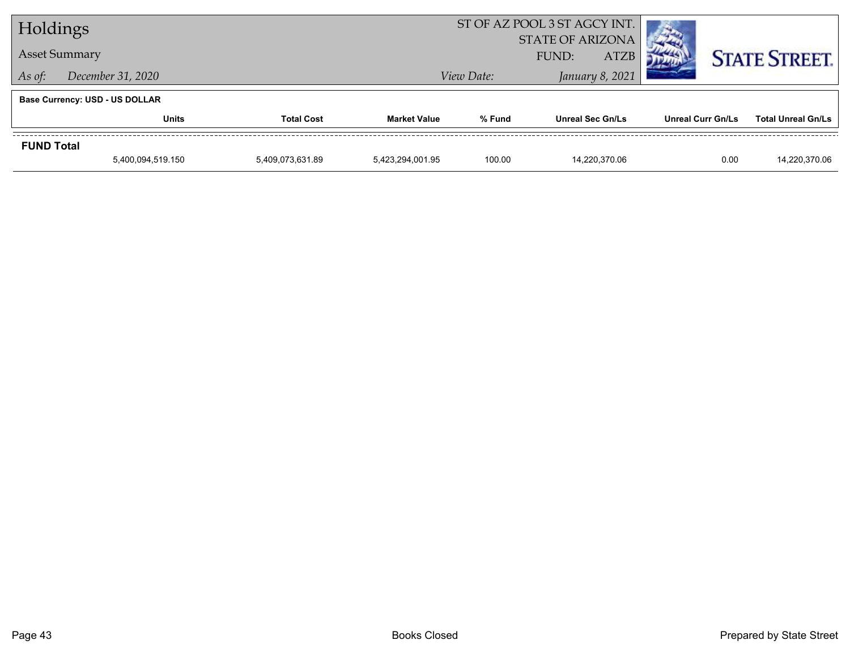| Holdings             |                                       |                   |                     | ST OF AZ POOL 3 ST AGCY INT. |                                                 |                   |                           |  |
|----------------------|---------------------------------------|-------------------|---------------------|------------------------------|-------------------------------------------------|-------------------|---------------------------|--|
| <b>Asset Summary</b> |                                       |                   |                     |                              | <b>STATE OF ARIZONA</b><br><b>ATZB</b><br>FUND: |                   | <b>STATE STREET.</b>      |  |
| As of:               | December 31, 2020                     |                   |                     | View Date:                   | January 8, 2021                                 |                   |                           |  |
|                      | <b>Base Currency: USD - US DOLLAR</b> |                   |                     |                              |                                                 |                   |                           |  |
|                      | <b>Units</b>                          | <b>Total Cost</b> | <b>Market Value</b> | % Fund                       | <b>Unreal Sec Gn/Ls</b>                         | Unreal Curr Gn/Ls | <b>Total Unreal Gn/Ls</b> |  |
| <b>FUND Total</b>    |                                       |                   |                     |                              |                                                 |                   |                           |  |
|                      | 5,400,094,519.150                     | 5,409,073,631.89  | 5.423.294.001.95    | 100.00                       | 14.220.370.06                                   | 0.00              | 14,220,370.06             |  |